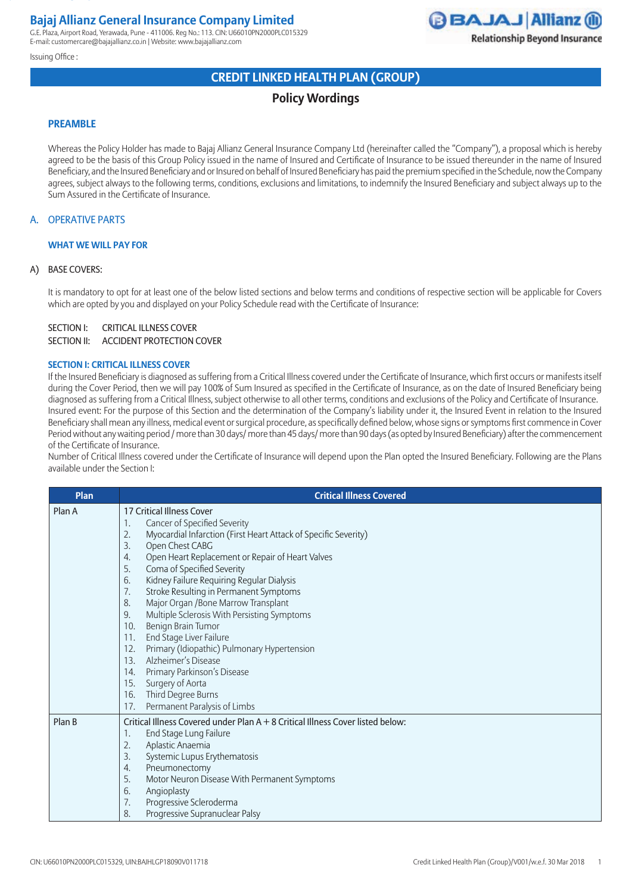### **Bajaj Allianz General Insurance Company Limited**

G.E. Plaza, Airport Road, Yerawada, Pune - 411006. Reg No.: 113. CIN: U66010PN2000PLC015329 E-mail: customercare@bajajallianz.co.in | Website: www.bajajallianz.com



Issuing Office :

## **Credit Linked Health Plan (Group)**

## **Policy Wordings**

### **PREAMBLE**

Whereas the Policy Holder has made to Bajaj Allianz General Insurance Company Ltd (hereinafter called the "Company"), a proposal which is hereby agreed to be the basis of this Group Policy issued in the name of Insured and Certificate of Insurance to be issued thereunder in the name of Insured Beneficiary, and the Insured Beneficiary and or Insured on behalf of Insured Beneficiary has paid the premium specified in the Schedule, now the Company agrees, subject always to the following terms, conditions, exclusions and limitations, to indemnify the Insured Beneficiary and subject always up to the Sum Assured in the Certificate of Insurance.

### A. OPERATIVE PARTS

### **WHAT WE WILL PAY FOR**

### A) BASE COVERS:

It is mandatory to opt for at least one of the below listed sections and below terms and conditions of respective section will be applicable for Covers which are opted by you and displayed on your Policy Schedule read with the Certificate of Insurance:

### SECTION I: CRITICAL ILLNESS COVER

### SECTION II: ACCIDENT PROTECTION COVER

### **SECTION I: CRITICAL ILLNESS COVER**

If the Insured Beneficiary is diagnosed as suffering from a Critical Illness covered under the Certificate of Insurance, which first occurs or manifests itself during the Cover Period, then we will pay 100% of Sum Insured as specified in the Certificate of Insurance, as on the date of Insured Beneficiary being diagnosed as suffering from a Critical Illness, subject otherwise to all other terms, conditions and exclusions of the Policy and Certificate of Insurance. Insured event: For the purpose of this Section and the determination of the Company's liability under it, the Insured Event in relation to the Insured Beneficiary shall mean any illness, medical event or surgical procedure, as specifically defined below, whose signs or symptoms first commence in Cover Period without any waiting period / more than 30 days/ more than 45 days/ more than 90 days (as opted by Insured Beneficiary) after the commencement of the Certificate of Insurance.

Number of Critical Illness covered under the Certificate of Insurance will depend upon the Plan opted the Insured Beneficiary. Following are the Plans available under the Section I:

| Plan   | <b>Critical Illness Covered</b>                                                                                                                                                                                                                                                                                                                                                                                                                                                                                                                                                                                                                                                                                                                                 |
|--------|-----------------------------------------------------------------------------------------------------------------------------------------------------------------------------------------------------------------------------------------------------------------------------------------------------------------------------------------------------------------------------------------------------------------------------------------------------------------------------------------------------------------------------------------------------------------------------------------------------------------------------------------------------------------------------------------------------------------------------------------------------------------|
| Plan A | 17 Critical Illness Cover<br>Cancer of Specified Severity<br>1.<br>Myocardial Infarction (First Heart Attack of Specific Severity)<br>2.<br>3.<br>Open Chest CABG<br>Open Heart Replacement or Repair of Heart Valves<br>$\overline{4}$ .<br>Coma of Specified Severity<br>5.<br>Kidney Failure Requiring Regular Dialysis<br>6.<br>Stroke Resulting in Permanent Symptoms<br>7.<br>Major Organ / Bone Marrow Transplant<br>8.<br>Multiple Sclerosis With Persisting Symptoms<br>9.<br>Benign Brain Tumor<br>10.<br>End Stage Liver Failure<br>11.<br>Primary (Idiopathic) Pulmonary Hypertension<br>12.<br>13. Alzheimer's Disease<br>14. Primary Parkinson's Disease<br>15. Surgery of Aorta<br>16. Third Degree Burns<br>Permanent Paralysis of Limbs<br>17. |
| Plan B | Critical Illness Covered under Plan A + 8 Critical Illness Cover listed below:<br>End Stage Lung Failure<br>1.<br>Aplastic Anaemia<br>2.<br>3.<br>Systemic Lupus Erythematosis<br>Pneumonectomy<br>4.<br>5.<br>Motor Neuron Disease With Permanent Symptoms<br>6.<br>Angioplasty<br>7.<br>Progressive Scleroderma<br>8.<br>Progressive Supranuclear Palsy                                                                                                                                                                                                                                                                                                                                                                                                       |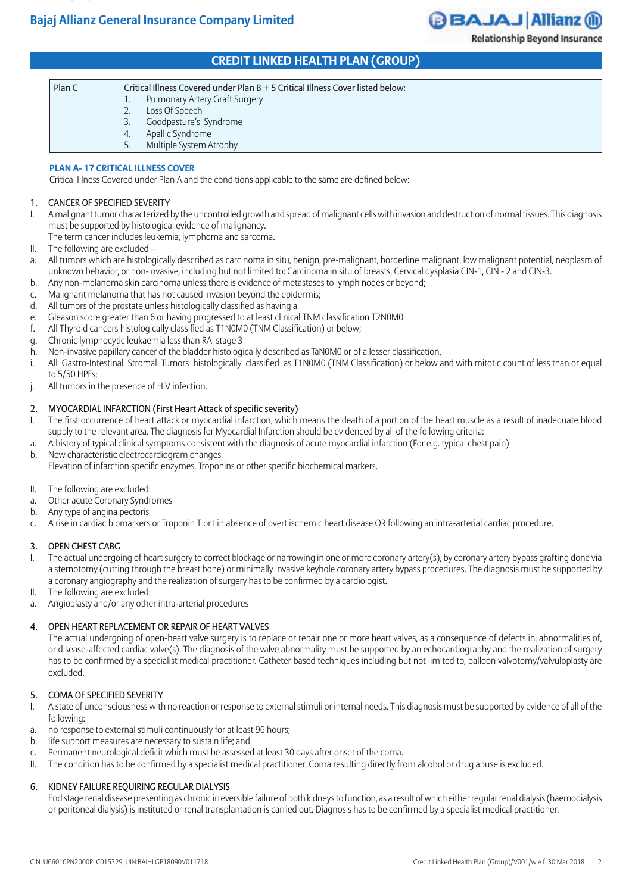| Critical Illness Covered under Plan B + 5 Critical Illness Cover listed below: |
|--------------------------------------------------------------------------------|
| Pulmonary Artery Graft Surgery                                                 |
| Loss Of Speech                                                                 |
| Goodpasture's Syndrome                                                         |
| Apallic Syndrome<br>4.                                                         |
| Multiple System Atrophy                                                        |
|                                                                                |

### **PLAN A- 17 CRITICAL ILLNESS COVER**

Critical Illness Covered under Plan A and the conditions applicable to the same are defined below:

### 1. CANCER OF SPECIFIED SEVERITY

- I. A malignant tumor characterized by the uncontrolled growth and spread of malignant cells with invasion and destruction of normal tissues. This diagnosis must be supported by histological evidence of malignancy.
	- The term cancer includes leukemia, lymphoma and sarcoma.
- II. The following are excluded –
- a. All tumors which are histologically described as carcinoma in situ, benign, pre-malignant, borderline malignant, low malignant potential, neoplasm of unknown behavior, or non-invasive, including but not limited to: Carcinoma in situ of breasts, Cervical dysplasia CIN-1, CIN - 2 and CIN-3.
- b. Any non-melanoma skin carcinoma unless there is evidence of metastases to lymph nodes or beyond;
- c. Malignant melanoma that has not caused invasion beyond the epidermis;
- d. All tumors of the prostate unless histologically classified as having a
- e. Gleason score greater than 6 or having progressed to at least clinical TNM classification T2N0M0
- f. All Thyroid cancers histologically classified as T1N0M0 (TNM Classification) or below;
- g. Chronic lymphocytic leukaemia less than RAI stage 3
- h. Non-invasive papillary cancer of the bladder histologically described as TaN0M0 or of a lesser classification,
- i. All Gastro-Intestinal Stromal Tumors histologically classified as T1N0M0 (TNM Classification) or below and with mitotic count of less than or equal to 5/50 HPFs;
- j. All tumors in the presence of HIV infection.

### 2. MYOCARDIAL INFARCTION (First Heart Attack of specific severity)

- I. The first occurrence of heart attack or myocardial infarction, which means the death of a portion of the heart muscle as a result of inadequate blood supply to the relevant area. The diagnosis for Myocardial Infarction should be evidenced by all of the following criteria:
- a. A history of typical clinical symptoms consistent with the diagnosis of acute myocardial infarction (For e.g. typical chest pain)
- b. New characteristic electrocardiogram changes Elevation of infarction specific enzymes, Troponins or other specific biochemical markers.
- II. The following are excluded:
- a. Other acute Coronary Syndromes
- b. Any type of angina pectoris
- c. A rise in cardiac biomarkers or Troponin T or I in absence of overt ischemic heart disease OR following an intra-arterial cardiac procedure.

### 3. OPEN CHEST CABG

- I. The actual undergoing of heart surgery to correct blockage or narrowing in one or more coronary artery(s), by coronary artery bypass grafting done via a sternotomy (cutting through the breast bone) or minimally invasive keyhole coronary artery bypass procedures. The diagnosis must be supported by a coronary angiography and the realization of surgery has to be confirmed by a cardiologist.
- II. The following are excluded:
- a. Angioplasty and/or any other intra-arterial procedures

### 4. OPEN HEART REPLACEMENT OR REPAIR OF HEART VALVES

 The actual undergoing of open-heart valve surgery is to replace or repair one or more heart valves, as a consequence of defects in, abnormalities of, or disease-affected cardiac valve(s). The diagnosis of the valve abnormality must be supported by an echocardiography and the realization of surgery has to be confirmed by a specialist medical practitioner. Catheter based techniques including but not limited to, balloon valvotomy/valvuloplasty are excluded.

### 5. COMA OF SPECIFIED SEVERITY

- I. A state of unconsciousness with no reaction or response to external stimuli or internal needs. This diagnosis must be supported by evidence of all of the following:
- a. no response to external stimuli continuously for at least 96 hours;
- b. life support measures are necessary to sustain life; and
- c. Permanent neurological deficit which must be assessed at least 30 days after onset of the coma.
- II. The condition has to be confirmed by a specialist medical practitioner. Coma resulting directly from alcohol or drug abuse is excluded.

### 6. KIDNEY FAILURE REQUIRING REGULAR DIALYSIS

 End stage renal disease presenting as chronic irreversible failure of both kidneys to function, as a result of which either regular renal dialysis (haemodialysis or peritoneal dialysis) is instituted or renal transplantation is carried out. Diagnosis has to be confirmed by a specialist medical practitioner.

**BAJAJ Allianz (ii)**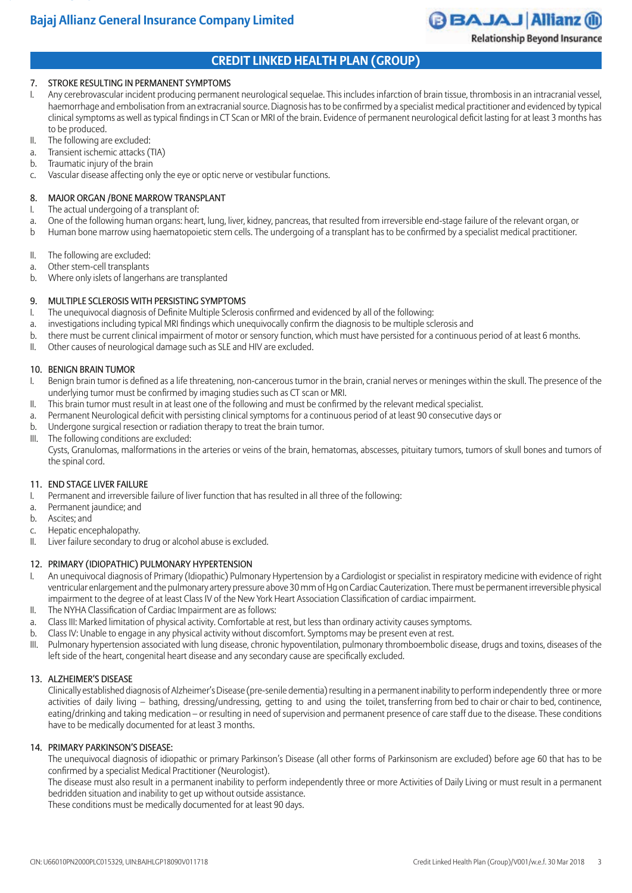### 7. STROKE RESULTING IN PERMANENT SYMPTOMS

- I. Any cerebrovascular incident producing permanent neurological sequelae. This includes infarction of brain tissue, thrombosis in an intracranial vessel, haemorrhage and embolisation from an extracranial source. Diagnosis has to be confirmed by a specialist medical practitioner and evidenced by typical clinical symptoms as well as typical findings in CT Scan or MRI of the brain. Evidence of permanent neurological deficit lasting for at least 3 months has to be produced.
- II. The following are excluded:
- a. Transient ischemic attacks (TIA)
- b. Traumatic injury of the brain
- c. Vascular disease affecting only the eye or optic nerve or vestibular functions.

### 8. MAJOR ORGAN /BONE MARROW TRANSPLANT

- I. The actual undergoing of a transplant of:
- a. One of the following human organs: heart, lung, liver, kidney, pancreas, that resulted from irreversible end-stage failure of the relevant organ, or
- b Human bone marrow using haematopoietic stem cells. The undergoing of a transplant has to be confirmed by a specialist medical practitioner.
- II. The following are excluded:
- a. Other stem-cell transplants
- b. Where only islets of langerhans are transplanted

### 9. MULTIPLE SCLEROSIS WITH PERSISTING SYMPTOMS

- I. The unequivocal diagnosis of Definite Multiple Sclerosis confirmed and evidenced by all of the following:
- a. investigations including typical MRI findings which unequivocally confirm the diagnosis to be multiple sclerosis and
- b. there must be current clinical impairment of motor or sensory function, which must have persisted for a continuous period of at least 6 months.
- II. Other causes of neurological damage such as SLE and HIV are excluded.

### 10. BENIGN BRAIN TUMOR

- I. Benign brain tumor is defined as a life threatening, non-cancerous tumor in the brain, cranial nerves or meninges within the skull. The presence of the underlying tumor must be confirmed by imaging studies such as CT scan or MRI.
- II. This brain tumor must result in at least one of the following and must be confirmed by the relevant medical specialist.
- a. Permanent Neurological deficit with persisting clinical symptoms for a continuous period of at least 90 consecutive days or
- b. Undergone surgical resection or radiation therapy to treat the brain tumor.
- III. The following conditions are excluded:

 Cysts, Granulomas, malformations in the arteries or veins of the brain, hematomas, abscesses, pituitary tumors, tumors of skull bones and tumors of the spinal cord.

### 11. END STAGE LIVER FAILURE

- I. Permanent and irreversible failure of liver function that has resulted in all three of the following:
- a. Permanent jaundice; and
- b. Ascites; and
- c. Hepatic encephalopathy.
- II. Liver failure secondary to drug or alcohol abuse is excluded.

### 12. PRIMARY (IDIOPATHIC) PULMONARY HYPERTENSION

- I. An unequivocal diagnosis of Primary (Idiopathic) Pulmonary Hypertension by a Cardiologist or specialist in respiratory medicine with evidence of right ventricular enlargement and the pulmonary artery pressure above 30 mm of Hg on Cardiac Cauterization. There must be permanent irreversible physical impairment to the degree of at least Class IV of the New York Heart Association Classification of cardiac impairment.
- II. The NYHA Classification of Cardiac Impairment are as follows:
- a. Class III: Marked limitation of physical activity. Comfortable at rest, but less than ordinary activity causes symptoms.
- b. Class IV: Unable to engage in any physical activity without discomfort. Symptoms may be present even at rest.
- III. Pulmonary hypertension associated with lung disease, chronic hypoventilation, pulmonary thromboembolic disease, drugs and toxins, diseases of the left side of the heart, congenital heart disease and any secondary cause are specifically excluded.

### 13. ALZHEIMER'S DISEASE

 Clinically established diagnosis of Alzheimer's Disease (pre-senile dementia) resulting in a permanent inability to perform independently three or more activities of daily living – bathing, dressing/undressing, getting to and using the toilet, transferring from bed to chair or chair to bed, continence, eating/drinking and taking medication – or resulting in need of supervision and permanent presence of care staff due to the disease. These conditions have to be medically documented for at least 3 months.

### 14. PRIMARY PARKINSON'S DISEASE:

 The unequivocal diagnosis of idiopathic or primary Parkinson's Disease (all other forms of Parkinsonism are excluded) before age 60 that has to be confirmed by a specialist Medical Practitioner (Neurologist).

 The disease must also result in a permanent inability to perform independently three or more Activities of Daily Living or must result in a permanent bedridden situation and inability to get up without outside assistance.

These conditions must be medically documented for at least 90 days.

**BAJAJ Allianz @**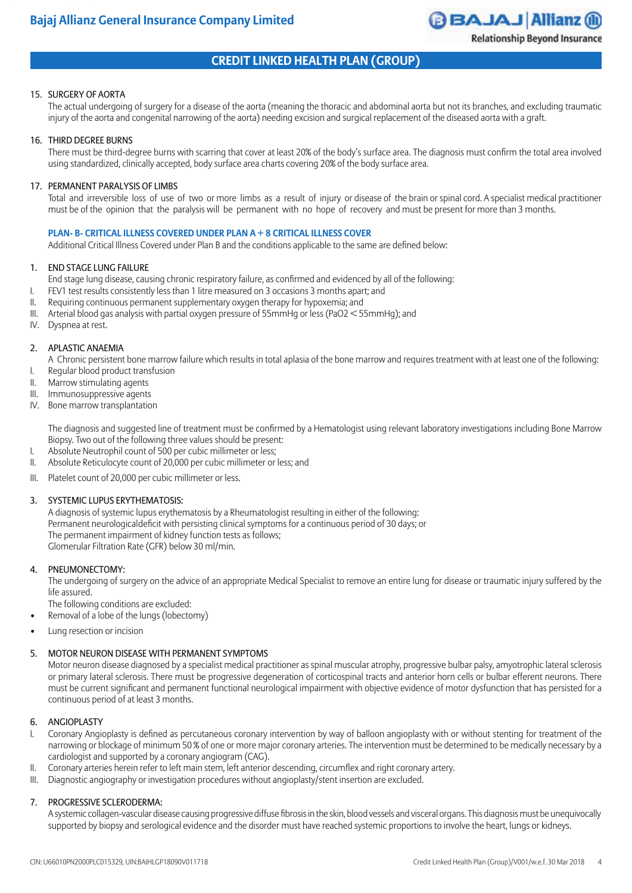# **BAJAJ Allianz @ Relationship Beyond Insurance**

### **Credit Linked Health Plan (Group)**

### 15. SURGERY OF AORTA

 The actual undergoing of surgery for a disease of the aorta (meaning the thoracic and abdominal aorta but not its branches, and excluding traumatic injury of the aorta and congenital narrowing of the aorta) needing excision and surgical replacement of the diseased aorta with a graft.

### 16. THIRD DEGREE BURNS

 There must be third-degree burns with scarring that cover at least 20% of the body's surface area. The diagnosis must confirm the total area involved using standardized, clinically accepted, body surface area charts covering 20% of the body surface area.

### 17. PERMANENT PARALYSIS OF LIMBS

 Total and irreversible loss of use of two or more limbs as a result of injury or disease of the brain or spinal cord. A specialist medical practitioner must be of the opinion that the paralysis will be permanent with no hope of recovery and must be present for more than 3 months.

### **PLAN- B- CRITICAL ILLNESS COVERED UNDER PLAN A + 8 CRITICAL ILLNESS COVER**

Additional Critical Illness Covered under Plan B and the conditions applicable to the same are defined below:

### 1. END STAGE LUNG FAILURE

- End stage lung disease, causing chronic respiratory failure, as confirmed and evidenced by all of the following:
- I. FEV1 test results consistently less than 1 litre measured on 3 occasions 3 months apart; and
- II. Requiring continuous permanent supplementary oxygen therapy for hypoxemia; and
- III. Arterial blood gas analysis with partial oxygen pressure of 55mmHg or less (PaO2 < 55mmHg); and
- IV. Dyspnea at rest.

### 2. APLASTIC ANAEMIA

A Chronic persistent bone marrow failure which results in total aplasia of the bone marrow and requires treatment with at least one of the following: I. Regular blood product transfusion

- II. Marrow stimulating agents
- III. Immunosuppressive agents
- IV. Bone marrow transplantation

 The diagnosis and suggested line of treatment must be confirmed by a Hematologist using relevant laboratory investigations including Bone Marrow Biopsy. Two out of the following three values should be present:

- I. Absolute Neutrophil count of 500 per cubic millimeter or less;
- II. Absolute Reticulocyte count of 20,000 per cubic millimeter or less; and
- III. Platelet count of 20,000 per cubic millimeter or less.

### 3. SYSTEMIC LUPUS ERYTHEMATOSIS:

 A diagnosis of systemic lupus erythematosis by a Rheumatologist resulting in either of the following: Permanent neurologicaldeficit with persisting clinical symptoms for a continuous period of 30 days; or The permanent impairment of kidney function tests as follows; Glomerular Filtration Rate (GFR) below 30 ml/min.

### 4. PNEUMONECTOMY:

 The undergoing of surgery on the advice of an appropriate Medical Specialist to remove an entire lung for disease or traumatic injury suffered by the life assured.

The following conditions are excluded:

• Removal of a lobe of the lungs (lobectomy)

Lung resection or incision

### 5. MOTOR NEURON DISEASE WITH PERMANENT SYMPTOMS

 Motor neuron disease diagnosed by a specialist medical practitioner as spinal muscular atrophy, progressive bulbar palsy, amyotrophic lateral sclerosis or primary lateral sclerosis. There must be progressive degeneration of corticospinal tracts and anterior horn cells or bulbar efferent neurons. There must be current significant and permanent functional neurological impairment with objective evidence of motor dysfunction that has persisted for a continuous period of at least 3 months.

### 6. ANGIOPLASTY

- I. Coronary Angioplasty is defined as percutaneous coronary intervention by way of balloon angioplasty with or without stenting for treatment of the narrowing or blockage of minimum 50 % of one or more major coronary arteries. The intervention must be determined to be medically necessary by a cardiologist and supported by a coronary angiogram (CAG).
- II. Coronary arteries herein refer to left main stem, left anterior descending, circumflex and right coronary artery.
- III. Diagnostic angiography or investigation procedures without angioplasty/stent insertion are excluded.

### 7. PROGRESSIVE SCLERODERMA:

 A systemic collagen-vascular disease causing progressive diffuse fibrosis in the skin, blood vessels and visceral organs. This diagnosis must be unequivocally supported by biopsy and serological evidence and the disorder must have reached systemic proportions to involve the heart, lungs or kidneys.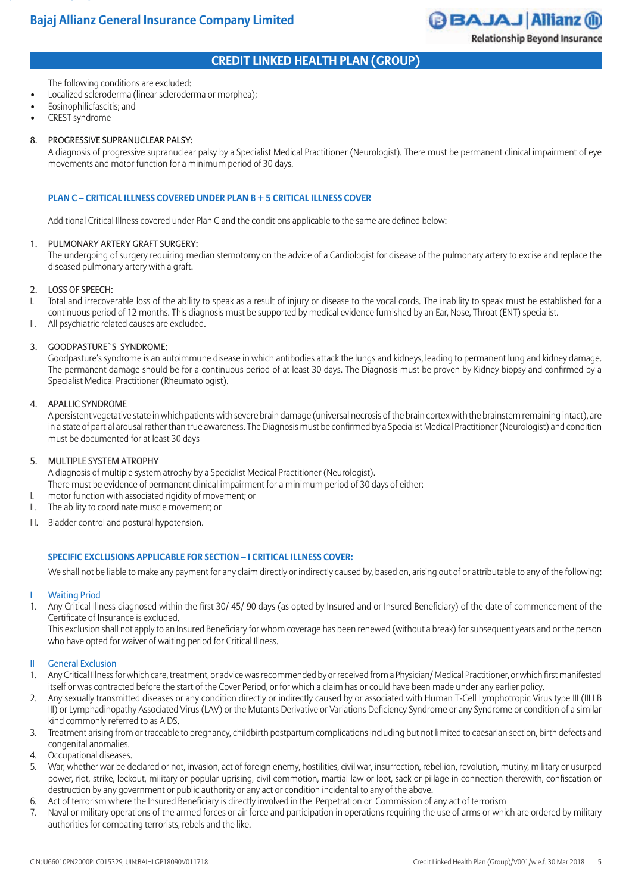The following conditions are excluded:

- Localized scleroderma (linear scleroderma or morphea);
- Eosinophilicfascitis; and
- CREST syndrome

### 8. PROGRESSIVE SUPRANUCLEAR PALSY:

 A diagnosis of progressive supranuclear palsy by a Specialist Medical Practitioner (Neurologist). There must be permanent clinical impairment of eye movements and motor function for a minimum period of 30 days.

### **PLAN C – CRITICAL ILLNESS COVERED UNDER PLAN B + 5 CRITICAL ILLNESS COVER**

Additional Critical Illness covered under Plan C and the conditions applicable to the same are defined below:

### 1. PULMONARY ARTERY GRAFT SURGERY:

 The undergoing of surgery requiring median sternotomy on the advice of a Cardiologist for disease of the pulmonary artery to excise and replace the diseased pulmonary artery with a graft.

### 2. LOSS OF SPEECH:

- I. Total and irrecoverable loss of the ability to speak as a result of injury or disease to the vocal cords. The inability to speak must be established for a continuous period of 12 months. This diagnosis must be supported by medical evidence furnished by an Ear, Nose, Throat (ENT) specialist.
- II. All psychiatric related causes are excluded.

### 3. GOODPASTURE`S SYNDROME:

 Goodpasture's syndrome is an autoimmune disease in which antibodies attack the lungs and kidneys, leading to permanent lung and kidney damage. The permanent damage should be for a continuous period of at least 30 days. The Diagnosis must be proven by Kidney biopsy and confirmed by a Specialist Medical Practitioner (Rheumatologist).

### 4. APALLIC SYNDROME

 A persistent vegetative state in which patients with severe brain damage (universal necrosis of the brain cortex with the brainstem remaining intact), are in a state of partial arousal rather than true awareness. The Diagnosis must be confirmed by a Specialist Medical Practitioner (Neurologist) and condition must be documented for at least 30 days

### 5. MULTIPLE SYSTEM ATROPHY

A diagnosis of multiple system atrophy by a Specialist Medical Practitioner (Neurologist).

There must be evidence of permanent clinical impairment for a minimum period of 30 days of either:

- I. motor function with associated rigidity of movement; or
- II. The ability to coordinate muscle movement; or
- III. Bladder control and postural hypotension.

### **SPECIFIC EXCLUSIONS APPLICABLE FOR SECTION – I CRITICAL ILLNESS COVER:**

We shall not be liable to make any payment for any claim directly or indirectly caused by, based on, arising out of or attributable to any of the following:

### I Waiting Priod

1. Any Critical Illness diagnosed within the first 30/ 45/ 90 days (as opted by Insured and or Insured Beneficiary) of the date of commencement of the Certificate of Insurance is excluded.

 This exclusion shall not apply to an Insured Beneficiary for whom coverage has been renewed (without a break) for subsequent years and or the person who have opted for waiver of waiting period for Critical Illness.

### II General Exclusion

- 1. Any Critical Illness for which care, treatment, or advice was recommended by or received from a Physician/ Medical Practitioner, or which first manifested itself or was contracted before the start of the Cover Period, or for which a claim has or could have been made under any earlier policy.
- 2. Any sexually transmitted diseases or any condition directly or indirectly caused by or associated with Human T-Cell Lymphotropic Virus type III (III LB III) or Lymphadinopathy Associated Virus (LAV) or the Mutants Derivative or Variations Deficiency Syndrome or any Syndrome or condition of a similar kind commonly referred to as AIDS.
- 3. Treatment arising from or traceable to pregnancy, childbirth postpartum complications including but not limited to caesarian section, birth defects and congenital anomalies.
- 4. Occupational diseases.
- 5. War, whether war be declared or not, invasion, act of foreign enemy, hostilities, civil war, insurrection, rebellion, revolution, mutiny, military or usurped power, riot, strike, lockout, military or popular uprising, civil commotion, martial law or loot, sack or pillage in connection therewith, confiscation or destruction by any government or public authority or any act or condition incidental to any of the above.
- 6. Act of terrorism where the Insured Beneficiary is directly involved in the Perpetration or Commission of any act of terrorism
- 7. Naval or military operations of the armed forces or air force and participation in operations requiring the use of arms or which are ordered by military authorities for combating terrorists, rebels and the like.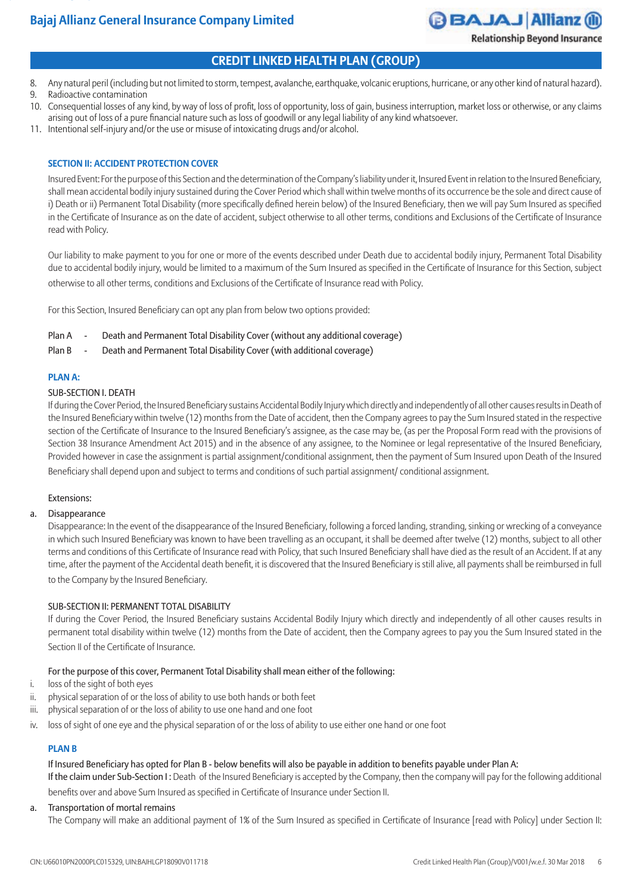- 8. Any natural peril (including but not limited to storm, tempest, avalanche, earthquake, volcanic eruptions, hurricane, or any other kind of natural hazard).
- 9. Radioactive contamination
- 10. Consequential losses of any kind, by way of loss of profit, loss of opportunity, loss of gain, business interruption, market loss or otherwise, or any claims arising out of loss of a pure financial nature such as loss of goodwill or any legal liability of any kind whatsoever.
- 11. Intentional self-injury and/or the use or misuse of intoxicating drugs and/or alcohol.

### **SECTION II: ACCIDENT PROTECTION COVER**

 Insured Event: For the purpose of this Section and the determination of the Company's liability under it, Insured Event in relation to the Insured Beneficiary, shall mean accidental bodily injury sustained during the Cover Period which shall within twelve months of its occurrence be the sole and direct cause of i) Death or ii) Permanent Total Disability (more specifically defined herein below) of the Insured Beneficiary, then we will pay Sum Insured as specified in the Certificate of Insurance as on the date of accident, subject otherwise to all other terms, conditions and Exclusions of the Certificate of Insurance read with Policy.

 Our liability to make payment to you for one or more of the events described under Death due to accidental bodily injury, Permanent Total Disability due to accidental bodily injury, would be limited to a maximum of the Sum Insured as specified in the Certificate of Insurance for this Section, subject otherwise to all other terms, conditions and Exclusions of the Certificate of Insurance read with Policy.

For this Section, Insured Beneficiary can opt any plan from below two options provided:

- Plan A Death and Permanent Total Disability Cover (without any additional coverage)
- Plan B Death and Permanent Total Disability Cover (with additional coverage)

### **PLAN A:**

### SUB-SECTION I. DEATH

 If during the Cover Period, the Insured Beneficiary sustains Accidental Bodily Injury which directly and independently of all other causes results in Death of the Insured Beneficiary within twelve (12) months from the Date of accident, then the Company agrees to pay the Sum Insured stated in the respective section of the Certificate of Insurance to the Insured Beneficiary's assignee, as the case may be, (as per the Proposal Form read with the provisions of Section 38 Insurance Amendment Act 2015) and in the absence of any assignee, to the Nominee or legal representative of the Insured Beneficiary, Provided however in case the assignment is partial assignment/conditional assignment, then the payment of Sum Insured upon Death of the Insured Beneficiary shall depend upon and subject to terms and conditions of such partial assignment/ conditional assignment.

### Extensions:

### a. Disappearance

Disappearance: In the event of the disappearance of the Insured Beneficiary, following a forced landing, stranding, sinking or wrecking of a conveyance in which such Insured Beneficiary was known to have been travelling as an occupant, it shall be deemed after twelve (12) months, subject to all other terms and conditions of this Certificate of Insurance read with Policy, that such Insured Beneficiary shall have died as the result of an Accident. If at any time, after the payment of the Accidental death benefit, it is discovered that the Insured Beneficiary is still alive, all payments shall be reimbursed in full to the Company by the Insured Beneficiary.

### SUB-SECTION II: PERMANENT TOTAL DISABILITY

If during the Cover Period, the Insured Beneficiary sustains Accidental Bodily Injury which directly and independently of all other causes results in permanent total disability within twelve (12) months from the Date of accident, then the Company agrees to pay you the Sum Insured stated in the Section II of the Certificate of Insurance.

### For the purpose of this cover, Permanent Total Disability shall mean either of the following:

- i. loss of the sight of both eyes
- ii. physical separation of or the loss of ability to use both hands or both feet
- iii. physical separation of or the loss of ability to use one hand and one foot
- iv. loss of sight of one eye and the physical separation of or the loss of ability to use either one hand or one foot

### **PLAN B**

### If Insured Beneficiary has opted for Plan B - below benefits will also be payable in addition to benefits payable under Plan A:

If the claim under Sub-Section I: Death of the Insured Beneficiary is accepted by the Company, then the company will pay for the following additional benefits over and above Sum Insured as specified in Certificate of Insurance under Section II.

### a. Transportation of mortal remains

The Company will make an additional payment of 1% of the Sum Insured as specified in Certificate of Insurance [read with Policy] under Section II:

**BAJAJ Allianz (ii)**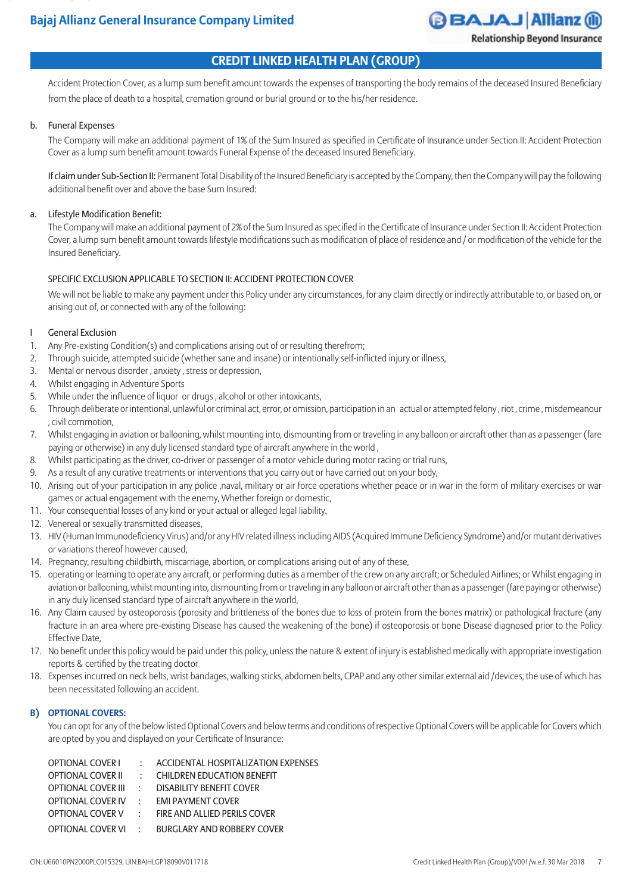Accident Protection Cover, as a lump sum benefit amount towards the expenses of transporting the body remains of the deceased Insured Beneficiary from the place of death to a hospital, cremation ground or burial ground or to the his/her residence.

### b. Funeral Expenses

The Company will make an additional payment of 1% of the Sum Insured as specified in Certificate of Insurance under Section II: Accident Protection Cover as a lump sum benefit amount towards Funeral Expense of the deceased Insured Beneficiary.

If claim under Sub-Section II: Permanent Total Disability of the Insured Beneficiary is accepted by the Company, then the Company will pay the following additional benefit over and above the base Sum Insured:

### a. Lifestyle Modification Benefit:

The Company will make an additional payment of 2% of the Sum Insured as specified in the Certificate of Insurance under Section II: Accident Protection Cover, a lump sum benefit amount towards lifestyle modifications such as modification of place of residence and / or modification of the vehicle for the Insured Beneficiary.

### SPECIFIC EXCLUSION APPLICABLE TO SECTION II: ACCIDENT PROTECTION COVER

We will not be liable to make any payment under this Policy under any circumstances, for any claim directly or indirectly attributable to, or based on, or arising out of, or connected with any of the following:

### I General Exclusion

- 1. Any Pre-existing Condition(s) and complications arising out of or resulting therefrom;
- 2. Through suicide, attempted suicide (whether sane and insane) or intentionally self-inflicted injury or illness,
- 3. Mental or nervous disorder , anxiety , stress or depression,
- 4. Whilst engaging in Adventure Sports
- 5. While under the influence of liquor or drugs , alcohol or other intoxicants,
- 6. Through deliberate or intentional, unlawful or criminal act, error, or omission, participation in an actual or attempted felony , riot , crime , misdemeanour , civil commotion,
- 7. Whilst engaging in aviation or ballooning, whilst mounting into, dismounting from or traveling in any balloon or aircraft other than as a passenger (fare paying or otherwise) in any duly licensed standard type of aircraft anywhere in the world ,
- 8. Whilst participating as the driver, co-driver or passenger of a motor vehicle during motor racing or trial runs,
- 9. As a result of any curative treatments or interventions that you carry out or have carried out on your body,
- 10. Arising out of your participation in any police ,naval, military or air force operations whether peace or in war in the form of military exercises or war games or actual engagement with the enemy, Whether foreign or domestic,
- 11. Your consequential losses of any kind or your actual or alleged legal liability.
- 12. Venereal or sexually transmitted diseases,
- 13. HIV (Human Immunodeficiency Virus) and/or any HIV related illness including AIDS (Acquired Immune Deficiency Syndrome) and/or mutant derivatives or variations thereof however caused,
- 14. Pregnancy, resulting childbirth, miscarriage, abortion, or complications arising out of any of these,
- 15. operating or learning to operate any aircraft, or performing duties as a member of the crew on any aircraft; or Scheduled Airlines; or Whilst engaging in aviation or ballooning, whilst mounting into, dismounting from or traveling in any balloon or aircraft other than as a passenger (fare paying or otherwise) in any duly licensed standard type of aircraft anywhere in the world,
- 16. Any Claim caused by osteoporosis (porosity and brittleness of the bones due to loss of protein from the bones matrix) or pathological fracture (any fracture in an area where pre-existing Disease has caused the weakening of the bone) if osteoporosis or bone Disease diagnosed prior to the Policy Effective Date,
- 17. No benefit under this policy would be paid under this policy, unless the nature & extent of injury is established medically with appropriate investigation reports & certified by the treating doctor
- 18. Expenses incurred on neck belts, wrist bandages, walking sticks, abdomen belts, CPAP and any other similar external aid /devices, the use of which has been necessitated following an accident.

### **B) OPTIONAL COVERS:**

You can opt for any of the below listed Optional Covers and below terms and conditions of respective Optional Covers will be applicable for Covers which are opted by you and displayed on your Certificate of Insurance:

|  | OPTIONAL COVER   : ACCIDENTAL HOSPITALIZATION EXPENSES |
|--|--------------------------------------------------------|
|  | OPTIONAL COVER II : CHILDREN EDUCATION BENEFIT         |
|  | OPTIONAL COVER III : DISABILITY BENEFIT COVER          |
|  | OPTIONAL COVER IV : EMI PAYMENT COVER                  |
|  | OPTIONAL COVER V : FIRE AND ALLIED PERILS COVER        |
|  | OPTIONAL COVER VI : BURGLARY AND ROBBERY COVER         |

**BAJAJ Allianz @**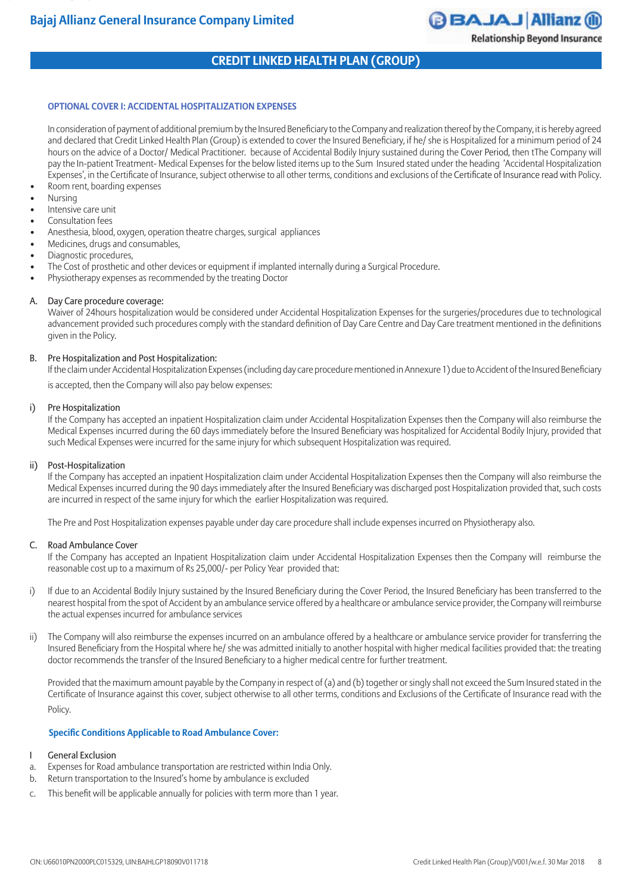### **OPTIONAL COVER I: ACCIDENTAL HOSPITALIZATION EXPENSES**

 In consideration of payment of additional premium by the Insured Beneficiary to the Company and realization thereof by the Company, it is hereby agreed and declared that Credit Linked Health Plan (Group) is extended to cover the Insured Beneficiary, if he/ she is Hospitalized for a minimum period of 24 hours on the advice of a Doctor/ Medical Practitioner. because of Accidental Bodily Injury sustained during the Cover Period, then tThe Company will pay the In-patient Treatment- Medical Expenses for the below listed items up to the Sum Insured stated under the heading 'Accidental Hospitalization Expenses', in the Certificate of Insurance, subject otherwise to all other terms, conditions and exclusions of the Certificate of Insurance read with Policy. • Room rent, boarding expenses

- Nursing
- Intensive care unit
- Consultation fees
- Anesthesia, blood, oxygen, operation theatre charges, surgical appliances
- Medicines, drugs and consumables,
- Diagnostic procedures,
- The Cost of prosthetic and other devices or equipment if implanted internally during a Surgical Procedure.
- Physiotherapy expenses as recommended by the treating Doctor

### A. Day Care procedure coverage:

 Waiver of 24hours hospitalization would be considered under Accidental Hospitalization Expenses for the surgeries/procedures due to technological advancement provided such procedures comply with the standard definition of Day Care Centre and Day Care treatment mentioned in the definitions given in the Policy.

### B. Pre Hospitalization and Post Hospitalization:

 If the claim under Accidental Hospitalization Expenses (including day care procedure mentioned in Annexure 1) due to Accident of the Insured Beneficiary is accepted, then the Company will also pay below expenses:

### i) Pre Hospitalization

 If the Company has accepted an inpatient Hospitalization claim under Accidental Hospitalization Expenses then the Company will also reimburse the Medical Expenses incurred during the 60 days immediately before the Insured Beneficiary was hospitalized for Accidental Bodily Injury, provided that such Medical Expenses were incurred for the same injury for which subsequent Hospitalization was required.

### ii) Post-Hospitalization

 If the Company has accepted an inpatient Hospitalization claim under Accidental Hospitalization Expenses then the Company will also reimburse the Medical Expenses incurred during the 90 days immediately after the Insured Beneficiary was discharged post Hospitalization provided that, such costs are incurred in respect of the same injury for which the earlier Hospitalization was required.

The Pre and Post Hospitalization expenses payable under day care procedure shall include expenses incurred on Physiotherapy also.

### C. Road Ambulance Cover

 If the Company has accepted an Inpatient Hospitalization claim under Accidental Hospitalization Expenses then the Company will reimburse the reasonable cost up to a maximum of Rs 25,000/- per Policy Year provided that:

- i) If due to an Accidental Bodily Injury sustained by the Insured Beneficiary during the Cover Period, the Insured Beneficiary has been transferred to the nearest hospital from the spot of Accident by an ambulance service offered by a healthcare or ambulance service provider, the Company will reimburse the actual expenses incurred for ambulance services
- ii) The Company will also reimburse the expenses incurred on an ambulance offered by a healthcare or ambulance service provider for transferring the Insured Beneficiary from the Hospital where he/ she was admitted initially to another hospital with higher medical facilities provided that: the treating doctor recommends the transfer of the Insured Beneficiary to a higher medical centre for further treatment.

 Provided that the maximum amount payable by the Company in respect of (a) and (b) together or singly shall not exceed the Sum Insured stated in the Certificate of Insurance against this cover, subject otherwise to all other terms, conditions and Exclusions of the Certificate of Insurance read with the Policy.

### **Specific Conditions Applicable to Road Ambulance Cover:**

- I General Exclusion
- a. Expenses for Road ambulance transportation are restricted within India Only.
- b. Return transportation to the Insured's home by ambulance is excluded
- c. This benefit will be applicable annually for policies with term more than 1 year.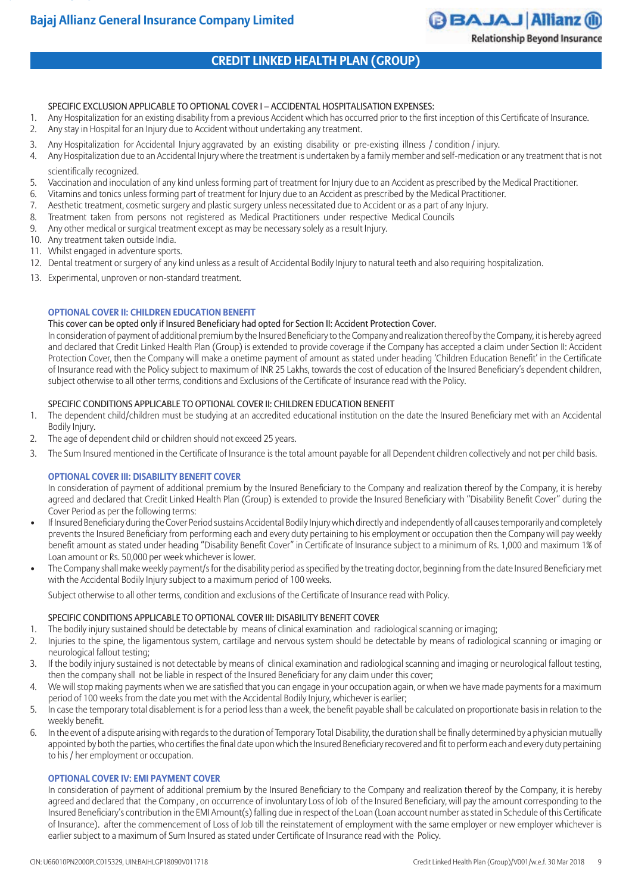SPECIFIC EXCLUSION APPLICABLE TO OPTIONAL COVER I – ACCIDENTAL HOSPITALISATION EXPENSES:

- 1. Any Hospitalization for an existing disability from a previous Accident which has occurred prior to the first inception of this Certificate of Insurance.
- 2. Any stay in Hospital for an Injury due to Accident without undertaking any treatment.
- 3. Any Hospitalization for Accidental Injury aggravated by an existing disability or pre-existing illness / condition / injury.
- 4. Any Hospitalization due to an Accidental Injury where the treatment is undertaken by a family member and self-medication or any treatment that is not scientifically recognized.
- 5. Vaccination and inoculation of any kind unless forming part of treatment for Injury due to an Accident as prescribed by the Medical Practitioner.
- 6. Vitamins and tonics unless forming part of treatment for Injury due to an Accident as prescribed by the Medical Practitioner.
- 7. Aesthetic treatment, cosmetic surgery and plastic surgery unless necessitated due to Accident or as a part of any Injury.
- 8. Treatment taken from persons not registered as Medical Practitioners under respective Medical Councils
- 9. Any other medical or surgical treatment except as may be necessary solely as a result Injury.
- 10. Any treatment taken outside India.
- 11. Whilst engaged in adventure sports.
- 12. Dental treatment or surgery of any kind unless as a result of Accidental Bodily Injury to natural teeth and also requiring hospitalization.
- 13. Experimental, unproven or non-standard treatment.

### **OPTIONAL COVER II: CHILDREN EDUCATION BENEFIT**

### This cover can be opted only if Insured Beneficiary had opted for Section II: Accident Protection Cover.

 In consideration of payment of additional premium by the Insured Beneficiary to the Company and realization thereof by the Company, it is hereby agreed and declared that Credit Linked Health Plan (Group) is extended to provide coverage if the Company has accepted a claim under Section II: Accident Protection Cover, then the Company will make a onetime payment of amount as stated under heading 'Children Education Benefit' in the Certificate of Insurance read with the Policy subject to maximum of INR 25 Lakhs, towards the cost of education of the Insured Beneficiary's dependent children, subject otherwise to all other terms, conditions and Exclusions of the Certificate of Insurance read with the Policy.

### SPECIFIC CONDITIONS APPLICABLE TO OPTIONAL COVER II: CHILDREN EDUCATION BENEFIT

- 1. The dependent child/children must be studying at an accredited educational institution on the date the Insured Beneficiary met with an Accidental Bodily Injury.
- 2. The age of dependent child or children should not exceed 25 years.
- 3. The Sum Insured mentioned in the Certificate of Insurance is the total amount payable for all Dependent children collectively and not per child basis.

### **OPTIONAL COVER III: DISABILITY BENEFIT COVER**

 In consideration of payment of additional premium by the Insured Beneficiary to the Company and realization thereof by the Company, it is hereby agreed and declared that Credit Linked Health Plan (Group) is extended to provide the Insured Beneficiary with "Disability Benefit Cover" during the Cover Period as per the following terms:

- If Insured Beneficiary during the Cover Period sustains Accidental Bodily Injury which directly and independently of all causes temporarily and completely prevents the Insured Beneficiary from performing each and every duty pertaining to his employment or occupation then the Company will pay weekly benefit amount as stated under heading "Disability Benefit Cover" in Certificate of Insurance subject to a minimum of Rs. 1,000 and maximum 1% of Loan amount or Rs. 50,000 per week whichever is lower.
- The Company shall make weekly payment/s for the disability period as specified by the treating doctor, beginning from the date Insured Beneficiary met with the Accidental Bodily Injury subject to a maximum period of 100 weeks.

Subject otherwise to all other terms, condition and exclusions of the Certificate of Insurance read with Policy.

### SPECIFIC CONDITIONS APPLICABLE TO OPTIONAL COVER III: DISABILITY BENEFIT COVER

- 1. The bodily injury sustained should be detectable by means of clinical examination and radiological scanning or imaging;
- 2. Injuries to the spine, the ligamentous system, cartilage and nervous system should be detectable by means of radiological scanning or imaging or neurological fallout testing;
- 3. If the bodily injury sustained is not detectable by means of clinical examination and radiological scanning and imaging or neurological fallout testing, then the company shall not be liable in respect of the Insured Beneficiary for any claim under this cover;
- 4. We will stop making payments when we are satisfied that you can engage in your occupation again, or when we have made payments for a maximum period of 100 weeks from the date you met with the Accidental Bodily Injury, whichever is earlier;
- 5. In case the temporary total disablement is for a period less than a week, the benefit payable shall be calculated on proportionate basis in relation to the weekly benefit.
- 6. In the event of a dispute arising with regards to the duration of Temporary Total Disability, the duration shall be finally determined by a physician mutually appointed by both the parties, who certifies the final date upon which the Insured Beneficiary recovered and fit to perform each and every duty pertaining to his / her employment or occupation.

### **OPTIONAL COVER IV: EMI PAYMENT COVER**

 In consideration of payment of additional premium by the Insured Beneficiary to the Company and realization thereof by the Company, it is hereby agreed and declared that the Company , on occurrence of involuntary Loss of Job of the Insured Beneficiary, will pay the amount corresponding to the Insured Beneficiary's contribution in the EMI Amount(s) falling due in respect of the Loan (Loan account number as stated in Schedule of this Certificate of Insurance). after the commencement of Loss of Job till the reinstatement of employment with the same employer or new employer whichever is earlier subject to a maximum of Sum Insured as stated under Certificate of Insurance read with the Policy.

**BBAJAJ Allianz (ii)**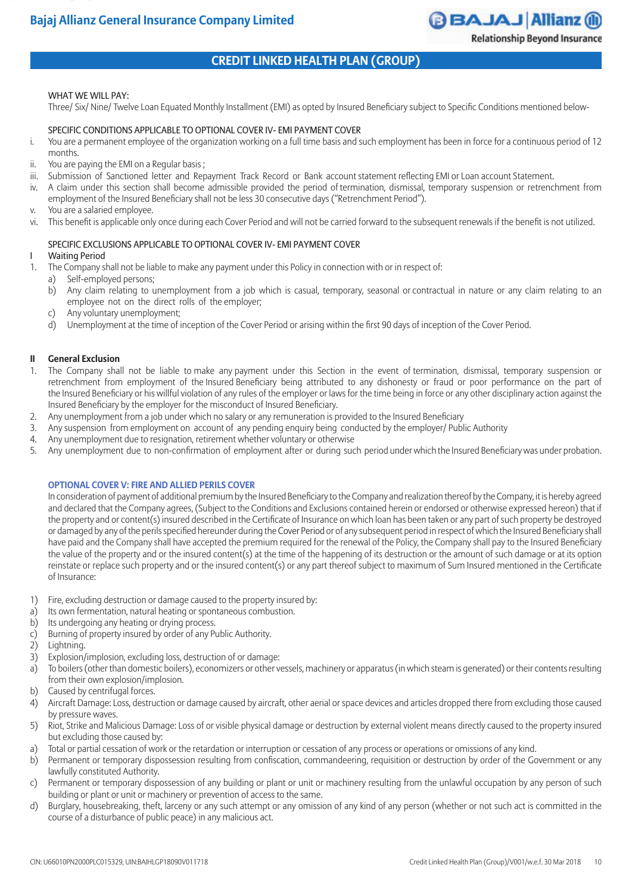### WHAT WE WILL PAY:

Three/ Six/ Nine/ Twelve Loan Equated Monthly Installment (EMI) as opted by Insured Beneficiary subject to Specific Conditions mentioned below-

### SPECIFIC CONDITIONS APPLICABLE TO OPTIONAL COVER IV- EMI PAYMENT COVER

- i. You are a permanent employee of the organization working on a full time basis and such employment has been in force for a continuous period of 12 months.
- ii. You are paying the EMI on a Regular basis ;
- iii. Submission of Sanctioned letter and Repayment Track Record or Bank account statement reflecting EMI or Loan account Statement.
- iv. A claim under this section shall become admissible provided the period of termination, dismissal, temporary suspension or retrenchment from employment of the Insured Beneficiary shall not be less 30 consecutive days ("Retrenchment Period").
- v. You are a salaried employee.
- vi. This benefit is applicable only once during each Cover Period and will not be carried forward to the subsequent renewals if the benefit is not utilized.

### SPECIFIC EXCLUSIONS APPLICABLE TO OPTIONAL COVER IV- EMI PAYMENT COVER

### I Waiting Period

- 1. The Company shall not be liable to make any payment under this Policy in connection with or in respect of:
	- a) Self-employed persons;
	- b) Any claim relating to unemployment from a job which is casual, temporary, seasonal or contractual in nature or any claim relating to an employee not on the direct rolls of the employer;
	- c) Any voluntary unemployment;
	- d) Unemployment at the time of inception of the Cover Period or arising within the first 90 days of inception of the Cover Period.

### **II General Exclusion**

- 1. The Company shall not be liable to make any payment under this Section in the event of termination, dismissal, temporary suspension or retrenchment from employment of the Insured Beneficiary being attributed to any dishonesty or fraud or poor performance on the part of the Insured Beneficiary or his willful violation of any rules of the employer or laws for the time being in force or any other disciplinary action against the Insured Beneficiary by the employer for the misconduct of Insured Beneficiary.
- 2. Any unemployment from a job under which no salary or any remuneration is provided to the Insured Beneficiary
- 3. Any suspension from employment on account of any pending enquiry being conducted by the employer/ Public Authority
- 4. Any unemployment due to resignation, retirement whether voluntary or otherwise
- 5. Any unemployment due to non-confirmation of employment after or during such period under which the Insured Beneficiary was under probation.

### **OPTIONAL COVER V: FIRE AND ALLIED PERILS COVER**

 In consideration of payment of additional premium by the Insured Beneficiary to the Company and realization thereof by the Company, it is hereby agreed and declared that the Company agrees, (Subject to the Conditions and Exclusions contained herein or endorsed or otherwise expressed hereon) that if the property and or content(s) insured described in the Certificate of Insurance on which loan has been taken or any part of such property be destroyed or damaged by any of the perils specified hereunder during the Cover Period or of any subsequent period in respect of which the Insured Beneficiary shall have paid and the Company shall have accepted the premium required for the renewal of the Policy, the Company shall pay to the Insured Beneficiary the value of the property and or the insured content(s) at the time of the happening of its destruction or the amount of such damage or at its option reinstate or replace such property and or the insured content(s) or any part thereof subject to maximum of Sum Insured mentioned in the Certificate of Insurance:

- 1) Fire, excluding destruction or damage caused to the property insured by:
- a) Its own fermentation, natural heating or spontaneous combustion.
- b) Its undergoing any heating or drying process.
- c) Burning of property insured by order of any Public Authority.
- 2) Lightning.
- 3) Explosion/implosion, excluding loss, destruction of or damage:
- a) To boilers (other than domestic boilers), economizers or other vessels, machinery or apparatus (in which steam is generated) or their contents resulting from their own explosion/implosion.
- b) Caused by centrifugal forces.
- 4) Aircraft Damage: Loss, destruction or damage caused by aircraft, other aerial or space devices and articles dropped there from excluding those caused by pressure waves.
- 5) Riot, Strike and Malicious Damage: Loss of or visible physical damage or destruction by external violent means directly caused to the property insured but excluding those caused by:
- a) Total or partial cessation of work or the retardation or interruption or cessation of any process or operations or omissions of any kind.
- b) Permanent or temporary dispossession resulting from confiscation, commandeering, requisition or destruction by order of the Government or any lawfully constituted Authority.
- c) Permanent or temporary dispossession of any building or plant or unit or machinery resulting from the unlawful occupation by any person of such building or plant or unit or machinery or prevention of access to the same.
- d) Burglary, housebreaking, theft, larceny or any such attempt or any omission of any kind of any person (whether or not such act is committed in the course of a disturbance of public peace) in any malicious act.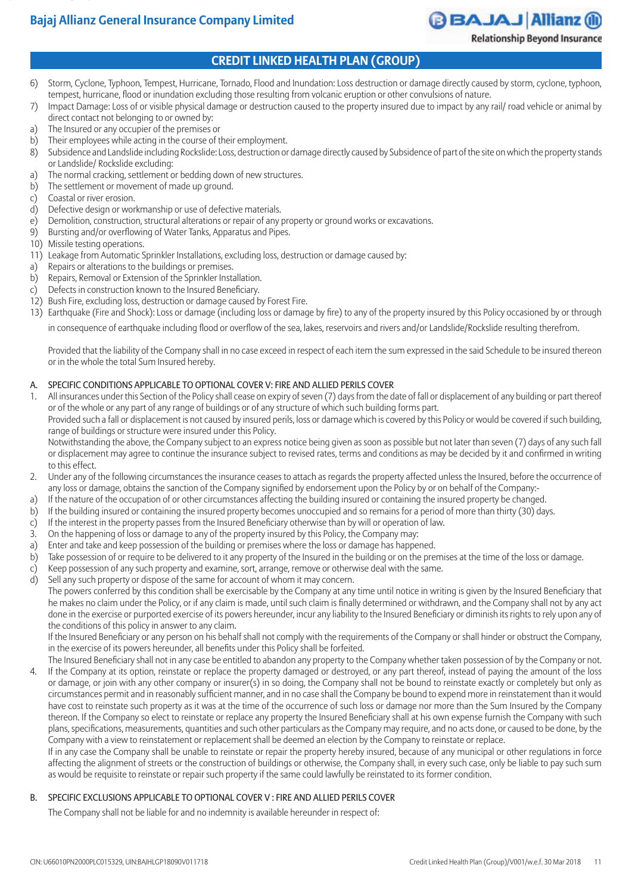- 6) Storm, Cyclone, Typhoon, Tempest, Hurricane, Tornado, Flood and Inundation: Loss destruction or damage directly caused by storm, cyclone, typhoon, tempest, hurricane, flood or inundation excluding those resulting from volcanic eruption or other convulsions of nature.
- 7) Impact Damage: Loss of or visible physical damage or destruction caused to the property insured due to impact by any rail/ road vehicle or animal by direct contact not belonging to or owned by:
- a) The Insured or any occupier of the premises or
- b) Their employees while acting in the course of their employment.
- 8) Subsidence and Landslide including Rockslide: Loss, destruction or damage directly caused by Subsidence of part of the site on which the property stands or Landslide/ Rockslide excluding:
- a) The normal cracking, settlement or bedding down of new structures.
- b) The settlement or movement of made up ground.
- c) Coastal or river erosion.
- d) Defective design or workmanship or use of defective materials.
- e) Demolition, construction, structural alterations or repair of any property or ground works or excavations.
- 9) Bursting and/or overflowing of Water Tanks, Apparatus and Pipes.
- 10) Missile testing operations.
- 11) Leakage from Automatic Sprinkler Installations, excluding loss, destruction or damage caused by:
- a) Repairs or alterations to the buildings or premises.
- b) Repairs, Removal or Extension of the Sprinkler Installation.
- c) Defects in construction known to the Insured Beneficiary.
- 12) Bush Fire, excluding loss, destruction or damage caused by Forest Fire.

13) Earthquake (Fire and Shock): Loss or damage (including loss or damage by fire) to any of the property insured by this Policy occasioned by or through

in consequence of earthquake including flood or overflow of the sea, lakes, reservoirs and rivers and/or Landslide/Rockslide resulting therefrom.

 Provided that the liability of the Company shall in no case exceed in respect of each item the sum expressed in the said Schedule to be insured thereon or in the whole the total Sum Insured hereby.

### A. SPECIFIC CONDITIONS APPLICABLE TO OPTIONAL COVER V: FIRE AND ALLIED PERILS COVER

1. All insurances under this Section of the Policy shall cease on expiry of seven (7) days from the date of fall or displacement of any building or part thereof or of the whole or any part of any range of buildings or of any structure of which such building forms part.

 Provided such a fall or displacement is not caused by insured perils, loss or damage which is covered by this Policy or would be covered if such building, range of buildings or structure were insured under this Policy.

 Notwithstanding the above, the Company subject to an express notice being given as soon as possible but not later than seven (7) days of any such fall or displacement may agree to continue the insurance subject to revised rates, terms and conditions as may be decided by it and confirmed in writing to this effect.

- 2. Under any of the following circumstances the insurance ceases to attach as regards the property affected unless the Insured, before the occurrence of any loss or damage, obtains the sanction of the Company signified by endorsement upon the Policy by or on behalf of the Company:-
- a) If the nature of the occupation of or other circumstances affecting the building insured or containing the insured property be changed.
- b) If the building insured or containing the insured property becomes unoccupied and so remains for a period of more than thirty (30) days.
- c) If the interest in the property passes from the Insured Beneficiary otherwise than by will or operation of law.
- 3. On the happening of loss or damage to any of the property insured by this Policy, the Company may:
- a) Enter and take and keep possession of the building or premises where the loss or damage has happened.
- b) Take possession of or require to be delivered to it any property of the Insured in the building or on the premises at the time of the loss or damage.
- c) Keep possession of any such property and examine, sort, arrange, remove or otherwise deal with the same.
- d) Sell any such property or dispose of the same for account of whom it may concern.
- The powers conferred by this condition shall be exercisable by the Company at any time until notice in writing is given by the Insured Beneficiary that he makes no claim under the Policy, or if any claim is made, until such claim is finally determined or withdrawn, and the Company shall not by any act done in the exercise or purported exercise of its powers hereunder, incur any liability to the Insured Beneficiary or diminish its rights to rely upon any of the conditions of this policy in answer to any claim.

 If the Insured Beneficiary or any person on his behalf shall not comply with the requirements of the Company or shall hinder or obstruct the Company, in the exercise of its powers hereunder, all benefits under this Policy shall be forfeited.

 The Insured Beneficiary shall not in any case be entitled to abandon any property to the Company whether taken possession of by the Company or not. 4. If the Company at its option, reinstate or replace the property damaged or destroyed, or any part thereof, instead of paying the amount of the loss or damage, or join with any other company or insurer(s) in so doing, the Company shall not be bound to reinstate exactly or completely but only as circumstances permit and in reasonably sufficient manner, and in no case shall the Company be bound to expend more in reinstatement than it would have cost to reinstate such property as it was at the time of the occurrence of such loss or damage nor more than the Sum Insured by the Company thereon. If the Company so elect to reinstate or replace any property the Insured Beneficiary shall at his own expense furnish the Company with such plans, specifications, measurements, quantities and such other particulars as the Company may require, and no acts done, or caused to be done, by the Company with a view to reinstatement or replacement shall be deemed an election by the Company to reinstate or replace.

 If in any case the Company shall be unable to reinstate or repair the property hereby insured, because of any municipal or other regulations in force affecting the alignment of streets or the construction of buildings or otherwise, the Company shall, in every such case, only be liable to pay such sum as would be requisite to reinstate or repair such property if the same could lawfully be reinstated to its former condition.

### B. SPECIFIC EXCLUSIONS APPLICABLE TO OPTIONAL COVER V : FIRE AND ALLIED PERILS COVER

The Company shall not be liable for and no indemnity is available hereunder in respect of:

**BAJAJ Allianz (ii)**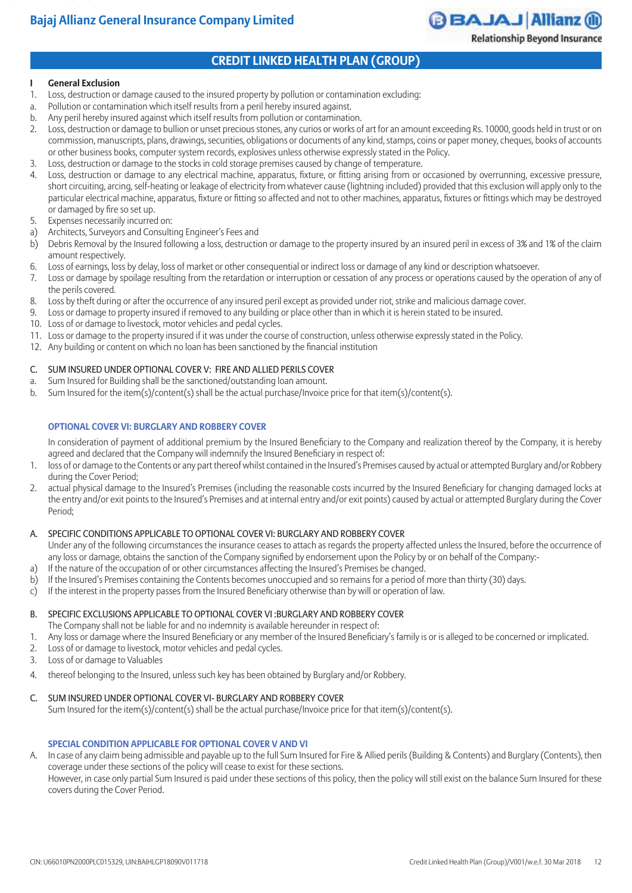

**Relationship Beyond Insurance** 

### **Credit Linked Health Plan (Group)**

### **I General Exclusion**

- 1. Loss, destruction or damage caused to the insured property by pollution or contamination excluding:
- a. Pollution or contamination which itself results from a peril hereby insured against.
- b. Any peril hereby insured against which itself results from pollution or contamination.
- 2. Loss, destruction or damage to bullion or unset precious stones, any curios or works of art for an amount exceeding Rs. 10000, goods held in trust or on commission, manuscripts, plans, drawings, securities, obligations or documents of any kind, stamps, coins or paper money, cheques, books of accounts or other business books, computer system records, explosives unless otherwise expressly stated in the Policy.
- 3. Loss, destruction or damage to the stocks in cold storage premises caused by change of temperature.
- 4. Loss, destruction or damage to any electrical machine, apparatus, fixture, or fitting arising from or occasioned by overrunning, excessive pressure, short circuiting, arcing, self-heating or leakage of electricity from whatever cause (lightning included) provided that this exclusion will apply only to the particular electrical machine, apparatus, fixture or fitting so affected and not to other machines, apparatus, fixtures or fittings which may be destroyed or damaged by fire so set up.
- 5. Expenses necessarily incurred on:
- a) Architects, Surveyors and Consulting Engineer's Fees and
- b) Debris Removal by the Insured following a loss, destruction or damage to the property insured by an insured peril in excess of 3% and 1% of the claim amount respectively.
- 6. Loss of earnings, loss by delay, loss of market or other consequential or indirect loss or damage of any kind or description whatsoever.
- 7. Loss or damage by spoilage resulting from the retardation or interruption or cessation of any process or operations caused by the operation of any of the perils covered.
- 8. Loss by theft during or after the occurrence of any insured peril except as provided under riot, strike and malicious damage cover.
- 9. Loss or damage to property insured if removed to any building or place other than in which it is herein stated to be insured.
- 10. Loss of or damage to livestock, motor vehicles and pedal cycles.
- 11. Loss or damage to the property insured if it was under the course of construction, unless otherwise expressly stated in the Policy.
- 12. Any building or content on which no loan has been sanctioned by the financial institution

### C. SUM INSURED UNDER OPTIONAL COVER V: FIRE AND ALLIED PERILS COVER

- a. Sum Insured for Building shall be the sanctioned/outstanding loan amount.
- b. Sum Insured for the item(s)/content(s) shall be the actual purchase/Invoice price for that item(s)/content(s).

### **OPTIONAL COVER VI: BURGLARY AND ROBBERY COVER**

In consideration of payment of additional premium by the Insured Beneficiary to the Company and realization thereof by the Company, it is hereby agreed and declared that the Company will indemnify the Insured Beneficiary in respect of:

- 1. loss of or damage to the Contents or any part thereof whilst contained in the Insured's Premises caused by actual or attempted Burglary and/or Robbery during the Cover Period;
- 2. actual physical damage to the Insured's Premises (including the reasonable costs incurred by the Insured Beneficiary for changing damaged locks at the entry and/or exit points to the Insured's Premises and at internal entry and/or exit points) caused by actual or attempted Burglary during the Cover Period;

### A. SPECIFIC CONDITIONS APPLICABLE TO OPTIONAL COVER VI: BURGLARY AND ROBBERY COVER

 Under any of the following circumstances the insurance ceases to attach as regards the property affected unless the Insured, before the occurrence of any loss or damage, obtains the sanction of the Company signified by endorsement upon the Policy by or on behalf of the Company:-

- a) If the nature of the occupation of or other circumstances affecting the Insured's Premises be changed.
- b) If the Insured's Premises containing the Contents becomes unoccupied and so remains for a period of more than thirty (30) days.
- c) If the interest in the property passes from the Insured Beneficiary otherwise than by will or operation of law.

### B. SPECIFIC EXCLUSIONS APPLICABLE TO OPTIONAL COVER VI :BURGLARY AND ROBBERY COVER

- The Company shall not be liable for and no indemnity is available hereunder in respect of:
- 1. Any loss or damage where the Insured Beneficiary or any member of the Insured Beneficiary's family is or is alleged to be concerned or implicated.
- 2. Loss of or damage to livestock, motor vehicles and pedal cycles.
- 3. Loss of or damage to Valuables
- 4. thereof belonging to the Insured, unless such key has been obtained by Burglary and/or Robbery.

### C. SUM INSURED UNDER OPTIONAL COVER VI- BURGLARY AND ROBBERY COVER

Sum Insured for the item(s)/content(s) shall be the actual purchase/Invoice price for that item(s)/content(s).

### **SPECIAL CONDITION APPLICABLE FOR OPTIONAL COVER V AND VI**

A. In case of any claim being admissible and payable up to the full Sum Insured for Fire & Allied perils (Building & Contents) and Burglary (Contents), then coverage under these sections of the policy will cease to exist for these sections. However, in case only partial Sum Insured is paid under these sections of this policy, then the policy will still exist on the balance Sum Insured for these covers during the Cover Period.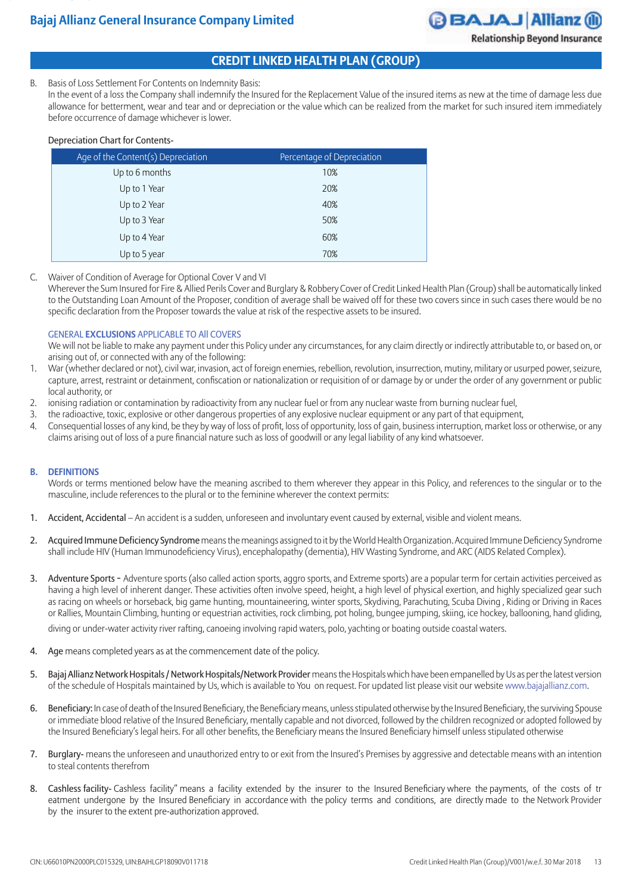### B. Basis of Loss Settlement For Contents on Indemnity Basis:

 In the event of a loss the Company shall indemnify the Insured for the Replacement Value of the insured items as new at the time of damage less due allowance for betterment, wear and tear and or depreciation or the value which can be realized from the market for such insured item immediately before occurrence of damage whichever is lower.

### Depreciation Chart for Contents-

| Age of the Content(s) Depreciation | Percentage of Depreciation |
|------------------------------------|----------------------------|
| Up to 6 months                     | 10%                        |
| Up to 1 Year                       | 20%                        |
| Up to 2 Year                       | 40%                        |
| Up to 3 Year                       | 50%                        |
| Up to 4 Year                       | 60%                        |
| Up to 5 year                       | 70%                        |

### C. Waiver of Condition of Average for Optional Cover V and VI

 Wherever the Sum Insured for Fire & Allied Perils Cover and Burglary & Robbery Cover of Credit Linked Health Plan (Group) shall be automatically linked to the Outstanding Loan Amount of the Proposer, condition of average shall be waived off for these two covers since in such cases there would be no specific declaration from the Proposer towards the value at risk of the respective assets to be insured.

### GENERAL **EXCLUSIONS** APPLICABLE TO All COVERS

 We will not be liable to make any payment under this Policy under any circumstances, for any claim directly or indirectly attributable to, or based on, or arising out of, or connected with any of the following:

- 1. War (whether declared or not), civil war, invasion, act of foreign enemies, rebellion, revolution, insurrection, mutiny, military or usurped power, seizure, capture, arrest, restraint or detainment, confiscation or nationalization or requisition of or damage by or under the order of any government or public local authority, or
- 2. ionising radiation or contamination by radioactivity from any nuclear fuel or from any nuclear waste from burning nuclear fuel,
- 3. the radioactive, toxic, explosive or other dangerous properties of any explosive nuclear equipment or any part of that equipment,
- 4. Consequential losses of any kind, be they by way of loss of profit, loss of opportunity, loss of gain, business interruption, market loss or otherwise, or any claims arising out of loss of a pure financial nature such as loss of goodwill or any legal liability of any kind whatsoever.

### **B. DEFINITIONS**

Words or terms mentioned below have the meaning ascribed to them wherever they appear in this Policy, and references to the singular or to the masculine, include references to the plural or to the feminine wherever the context permits:

- Accident, Accidental An accident is a sudden, unforeseen and involuntary event caused by external, visible and violent means.
- 2. Acquired Immune Deficiency Syndrome means the meanings assigned to it by the World Health Organization. Acquired Immune Deficiency Syndrome shall include HIV (Human Immunodeficiency Virus), encephalopathy (dementia), HIV Wasting Syndrome, and ARC (AIDS Related Complex).
- 3. Adventure Sports Adventure sports (also called action sports, aggro sports, and Extreme sports) are a popular term for certain activities perceived as having a high level of inherent danger. These activities often involve speed, height, a high level of physical exertion, and highly specialized gear such as racing on wheels or horseback, big game hunting, mountaineering, winter sports, Skydiving, Parachuting, Scuba Diving , Riding or Driving in Races or Rallies, Mountain Climbing, hunting or equestrian activities, rock climbing, pot holing, bungee jumping, skiing, ice hockey, ballooning, hand gliding,

diving or under-water activity river rafting, canoeing involving rapid waters, polo, yachting or boating outside coastal waters.

- 4. Age means completed years as at the commencement date of the policy.
- 5. Bajaj Allianz Network Hospitals / Network Hospitals/Network Provider means the Hospitals which have been empanelled by Us as per the latest version of the schedule of Hospitals maintained by Us, which is available to You on request. For updated list please visit our website www.bajajallianz.com.
- 6. Beneficiary: In case of death of the Insured Beneficiary, the Beneficiary means, unless stipulated otherwise by the Insured Beneficiary, the surviving Spouse or immediate blood relative of the Insured Beneficiary, mentally capable and not divorced, followed by the children recognized or adopted followed by the Insured Beneficiary's legal heirs. For all other benefits, the Beneficiary means the Insured Beneficiary himself unless stipulated otherwise
- 7. Burglary- means the unforeseen and unauthorized entry to or exit from the Insured's Premises by aggressive and detectable means with an intention to steal contents therefrom
- 8. Cashless facility- Cashless facility" means a facility extended by the insurer to the Insured Beneficiary where the payments, of the costs of tr eatment undergone by the Insured Beneficiary in accordance with the policy terms and conditions, are directly made to the Network Provider by the insurer to the extent pre-authorization approved.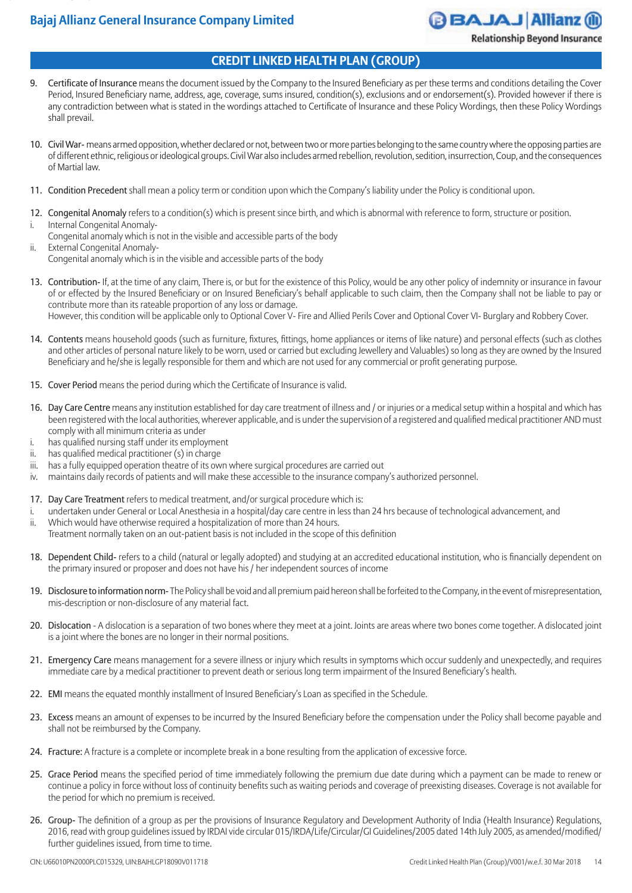- 9. Certificate of Insurance means the document issued by the Company to the Insured Beneficiary as per these terms and conditions detailing the Cover Period, Insured Beneficiary name, address, age, coverage, sums insured, condition(s), exclusions and or endorsement(s). Provided however if there is any contradiction between what is stated in the wordings attached to Certificate of Insurance and these Policy Wordings, then these Policy Wordings shall prevail.
- 10. Civil War- means armed opposition, whether declared or not, between two or more parties belonging to the same country where the opposing parties are of different ethnic, religious or ideological groups. Civil War also includes armed rebellion, revolution, sedition, insurrection, Coup, and the consequences of Martial law.
- 11. Condition Precedent shall mean a policy term or condition upon which the Company's liability under the Policy is conditional upon.
- 12. Congenital Anomaly refers to a condition(s) which is present since birth, and which is abnormal with reference to form, structure or position. i. Internal Congenital Anomaly-
- Congenital anomaly which is not in the visible and accessible parts of the body ii. External Congenital Anomaly-
- Congenital anomaly which is in the visible and accessible parts of the body
- 13. Contribution- If, at the time of any claim, There is, or but for the existence of this Policy, would be any other policy of indemnity or insurance in favour of or effected by the Insured Beneficiary or on Insured Beneficiary's behalf applicable to such claim, then the Company shall not be liable to pay or contribute more than its rateable proportion of any loss or damage. However, this condition will be applicable only to Optional Cover V- Fire and Allied Perils Cover and Optional Cover VI- Burglary and Robbery Cover.
- 14. Contents means household goods (such as furniture, fixtures, fittings, home appliances or items of like nature) and personal effects (such as clothes and other articles of personal nature likely to be worn, used or carried but excluding Jewellery and Valuables) so long as they are owned by the Insured Beneficiary and he/she is legally responsible for them and which are not used for any commercial or profit generating purpose.
- 15. Cover Period means the period during which the Certificate of Insurance is valid.
- 16. Day Care Centre means any institution established for day care treatment of illness and / or injuries or a medical setup within a hospital and which has been registered with the local authorities, wherever applicable, and is under the supervision of a registered and qualified medical practitioner AND must comply with all minimum criteria as under
- i. has qualified nursing staff under its employment
- ii. has qualified medical practitioner (s) in charge
- iii. has a fully equipped operation theatre of its own where surgical procedures are carried out
- iv. maintains daily records of patients and will make these accessible to the insurance company's authorized personnel.
- 17. Day Care Treatment refers to medical treatment, and/or surgical procedure which is:
- i. undertaken under General or Local Anesthesia in a hospital/day care centre in less than 24 hrs because of technological advancement, and
- ii. Which would have otherwise required a hospitalization of more than 24 hours. Treatment normally taken on an out-patient basis is not included in the scope of this definition
- 18. Dependent Child- refers to a child (natural or legally adopted) and studying at an accredited educational institution, who is financially dependent on the primary insured or proposer and does not have his / her independent sources of income
- 19. Disclosure to information norm- The Policy shall be void and all premium paid hereon shall be forfeited to the Company, in the event of misrepresentation, mis-description or non-disclosure of any material fact.
- 20. Dislocation A dislocation is a separation of two bones where they meet at a joint. Joints are areas where two bones come together. A dislocated joint is a joint where the bones are no longer in their normal positions.
- 21. Emergency Care means management for a severe illness or injury which results in symptoms which occur suddenly and unexpectedly, and requires immediate care by a medical practitioner to prevent death or serious long term impairment of the Insured Beneficiary's health.
- 22. EMI means the equated monthly installment of Insured Beneficiary's Loan as specified in the Schedule.
- 23. Excess means an amount of expenses to be incurred by the Insured Beneficiary before the compensation under the Policy shall become payable and shall not be reimbursed by the Company.
- 24. Fracture: A fracture is a complete or incomplete break in a bone resulting from the application of excessive force.
- 25. Grace Period means the specified period of time immediately following the premium due date during which a payment can be made to renew or continue a policy in force without loss of continuity benefits such as waiting periods and coverage of preexisting diseases. Coverage is not available for the period for which no premium is received.
- 26. Group- The definition of a group as per the provisions of Insurance Regulatory and Development Authority of India (Health Insurance) Regulations, 2016, read with group guidelines issued by IRDAI vide circular 015/IRDA/Life/Circular/GI Guidelines/2005 dated 14th July 2005, as amended/modified/ further guidelines issued, from time to time.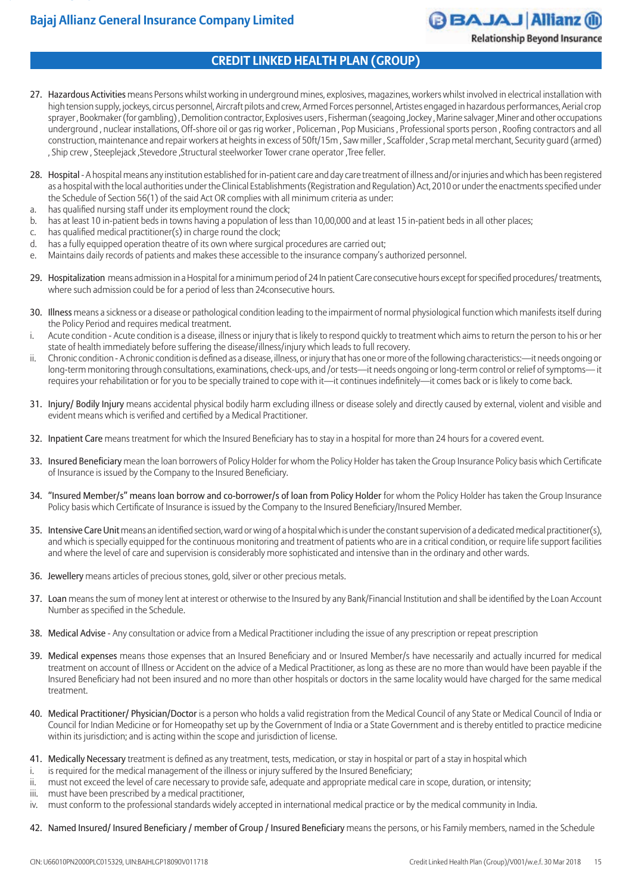- 27. Hazardous Activities means Persons whilst working in underground mines, explosives, magazines, workers whilst involved in electrical installation with high tension supply, jockeys, circus personnel, Aircraft pilots and crew, Armed Forces personnel, Artistes engaged in hazardous performances, Aerial crop sprayer , Bookmaker (for gambling) , Demolition contractor, Explosives users , Fisherman (seagoing ,Jockey , Marine salvager ,Miner and other occupations underground , nuclear installations, Off-shore oil or gas rig worker , Policeman , Pop Musicians , Professional sports person , Roofing contractors and all construction, maintenance and repair workers at heights in excess of 50ft/15m , Saw miller , Scaffolder , Scrap metal merchant, Security guard (armed) , Ship crew , Steeplejack ,Stevedore ,Structural steelworker Tower crane operator ,Tree feller.
- 28. Hospital A hospital means any institution established for in-patient care and day care treatment of illness and/or injuries and which has been registered as a hospital with the local authorities under the Clinical Establishments (Registration and Regulation) Act, 2010 or under the enactments specified under the Schedule of Section 56(1) of the said Act OR complies with all minimum criteria as under:
- a. has qualified nursing staff under its employment round the clock;
- b. has at least 10 in-patient beds in towns having a population of less than 10,00,000 and at least 15 in-patient beds in all other places;
- c. has qualified medical practitioner(s) in charge round the clock;
- d. has a fully equipped operation theatre of its own where surgical procedures are carried out;
- e. Maintains daily records of patients and makes these accessible to the insurance company's authorized personnel.
- 29. Hospitalization means admission in a Hospital for a minimum period of 24 In patient Care consecutive hours except for specified procedures/ treatments, where such admission could be for a period of less than 24consecutive hours.
- 30. Illness means a sickness or a disease or pathological condition leading to the impairment of normal physiological function which manifests itself during the Policy Period and requires medical treatment.
- i. Acute condition Acute condition is a disease, illness or injury that is likely to respond quickly to treatment which aims to return the person to his or her state of health immediately before suffering the disease/illness/injury which leads to full recovery.
- ii. Chronic condition A chronic condition is defined as a disease, illness, or injury that has one or more of the following characteristics:—it needs ongoing or long-term monitoring through consultations, examinations, check-ups, and /or tests—it needs ongoing or long-term control or relief of symptoms— it requires your rehabilitation or for you to be specially trained to cope with it—it continues indefinitely—it comes back or is likely to come back.
- 31. Injury/ Bodily Injury means accidental physical bodily harm excluding illness or disease solely and directly caused by external, violent and visible and evident means which is verified and certified by a Medical Practitioner.
- 32. Inpatient Care means treatment for which the Insured Beneficiary has to stay in a hospital for more than 24 hours for a covered event.
- 33. Insured Beneficiary mean the loan borrowers of Policy Holder for whom the Policy Holder has taken the Group Insurance Policy basis which Certificate of Insurance is issued by the Company to the Insured Beneficiary.
- 34. "Insured Member/s" means loan borrow and co-borrower/s of loan from Policy Holder for whom the Policy Holder has taken the Group Insurance Policy basis which Certificate of Insurance is issued by the Company to the Insured Beneficiary/Insured Member.
- 35. Intensive Care Unit means an identified section, ward or wing of a hospital which is under the constant supervision of a dedicated medical practitioner(s), and which is specially equipped for the continuous monitoring and treatment of patients who are in a critical condition, or require life support facilities and where the level of care and supervision is considerably more sophisticated and intensive than in the ordinary and other wards.
- 36. Jewellery means articles of precious stones, gold, silver or other precious metals.
- 37. Loan means the sum of money lent at interest or otherwise to the Insured by any Bank/Financial Institution and shall be identified by the Loan Account Number as specified in the Schedule.
- 38. Medical Advise Any consultation or advice from a Medical Practitioner including the issue of any prescription or repeat prescription
- 39. Medical expenses means those expenses that an Insured Beneficiary and or Insured Member/s have necessarily and actually incurred for medical treatment on account of Illness or Accident on the advice of a Medical Practitioner, as long as these are no more than would have been payable if the Insured Beneficiary had not been insured and no more than other hospitals or doctors in the same locality would have charged for the same medical treatment.
- 40. Medical Practitioner/ Physician/Doctor is a person who holds a valid registration from the Medical Council of any State or Medical Council of India or Council for Indian Medicine or for Homeopathy set up by the Government of India or a State Government and is thereby entitled to practice medicine within its jurisdiction; and is acting within the scope and jurisdiction of license.
- 41. Medically Necessary treatment is defined as any treatment, tests, medication, or stay in hospital or part of a stay in hospital which
- i. is required for the medical management of the illness or injury suffered by the Insured Beneficiary;
- ii. must not exceed the level of care necessary to provide safe, adequate and appropriate medical care in scope, duration, or intensity;
- iii. must have been prescribed by a medical practitioner,
- iv. must conform to the professional standards widely accepted in international medical practice or by the medical community in India.
- 42. Named Insured/ Insured Beneficiary / member of Group / Insured Beneficiary means the persons, or his Family members, named in the Schedule

**BBAJAJ Allianz ®**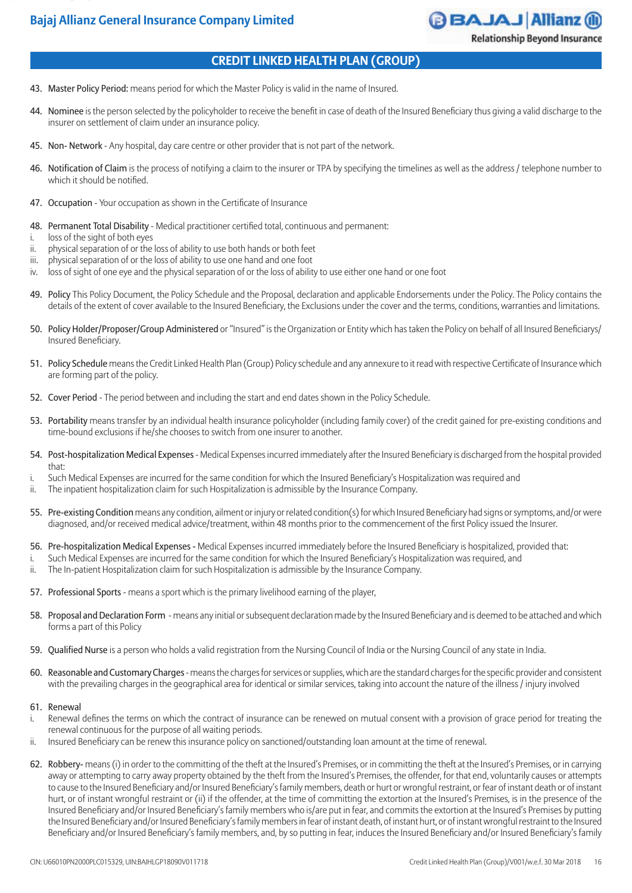- 43. Master Policy Period: means period for which the Master Policy is valid in the name of Insured.
- 44. Nominee is the person selected by the policyholder to receive the benefit in case of death of the Insured Beneficiary thus giving a valid discharge to the insurer on settlement of claim under an insurance policy.
- 45. Non- Network Any hospital, day care centre or other provider that is not part of the network.
- 46. Notification of Claim is the process of notifying a claim to the insurer or TPA by specifying the timelines as well as the address / telephone number to which it should be notified.
- 47. Occupation Your occupation as shown in the Certificate of Insurance
- 48. Permanent Total Disability Medical practitioner certified total, continuous and permanent:
- i. loss of the sight of both eyes
- ii. physical separation of or the loss of ability to use both hands or both feet
- iii. physical separation of or the loss of ability to use one hand and one foot
- iv. loss of sight of one eye and the physical separation of or the loss of ability to use either one hand or one foot
- 49. Policy This Policy Document, the Policy Schedule and the Proposal, declaration and applicable Endorsements under the Policy. The Policy contains the details of the extent of cover available to the Insured Beneficiary, the Exclusions under the cover and the terms, conditions, warranties and limitations.
- 50. Policy Holder/Proposer/Group Administered or "Insured" is the Organization or Entity which has taken the Policy on behalf of all Insured Beneficiarys/ Insured Beneficiary.
- 51. Policy Schedule means the Credit Linked Health Plan (Group) Policy schedule and any annexure to it read with respective Certificate of Insurance which are forming part of the policy.
- 52. Cover Period The period between and including the start and end dates shown in the Policy Schedule.
- 53. Portability means transfer by an individual health insurance policyholder (including family cover) of the credit gained for pre-existing conditions and time-bound exclusions if he/she chooses to switch from one insurer to another.
- 54. Post-hospitalization Medical Expenses Medical Expenses incurred immediately after the Insured Beneficiary is discharged from the hospital provided that:
- i. Such Medical Expenses are incurred for the same condition for which the Insured Beneficiary's Hospitalization was required and
- ii. The inpatient hospitalization claim for such Hospitalization is admissible by the Insurance Company.
- 55. Pre-existing Condition means any condition, ailment or injury or related condition(s) for which Insured Beneficiary had signs or symptoms, and/or were diagnosed, and/or received medical advice/treatment, within 48 months prior to the commencement of the first Policy issued the Insurer.
- 56. Pre-hospitalization Medical Expenses Medical Expenses incurred immediately before the Insured Beneficiary is hospitalized, provided that:
- i. Such Medical Expenses are incurred for the same condition for which the Insured Beneficiary's Hospitalization was required, and
- ii. The In-patient Hospitalization claim for such Hospitalization is admissible by the Insurance Company.
- 57. Professional Sports means a sport which is the primary livelihood earning of the player,
- 58. Proposal and Declaration Form means any initial or subsequent declaration made by the Insured Beneficiary and is deemed to be attached and which forms a part of this Policy
- 59. Qualified Nurse is a person who holds a valid registration from the Nursing Council of India or the Nursing Council of any state in India.
- 60. Reasonable and Customary Charges means the charges for services or supplies, which are the standard charges for the specific provider and consistent with the prevailing charges in the geographical area for identical or similar services, taking into account the nature of the illness / injury involved

### 61. Renewal

- i. Renewal defines the terms on which the contract of insurance can be renewed on mutual consent with a provision of grace period for treating the renewal continuous for the purpose of all waiting periods.
- ii. Insured Beneficiary can be renew this insurance policy on sanctioned/outstanding loan amount at the time of renewal.
- 62. Robbery- means (i) in order to the committing of the theft at the Insured's Premises, or in committing the theft at the Insured's Premises, or in carrying away or attempting to carry away property obtained by the theft from the Insured's Premises, the offender, for that end, voluntarily causes or attempts to cause to the Insured Beneficiary and/or Insured Beneficiary's family members, death or hurt or wrongful restraint, or fear of instant death or of instant hurt, or of instant wrongful restraint or (ii) if the offender, at the time of committing the extortion at the Insured's Premises, is in the presence of the Insured Beneficiary and/or Insured Beneficiary's family members who is/are put in fear, and commits the extortion at the Insured's Premises by putting the Insured Beneficiary and/or Insured Beneficiary's family members in fear of instant death, of instant hurt, or of instant wrongful restraint to the Insured Beneficiary and/or Insured Beneficiary's family members, and, by so putting in fear, induces the Insured Beneficiary and/or Insured Beneficiary's family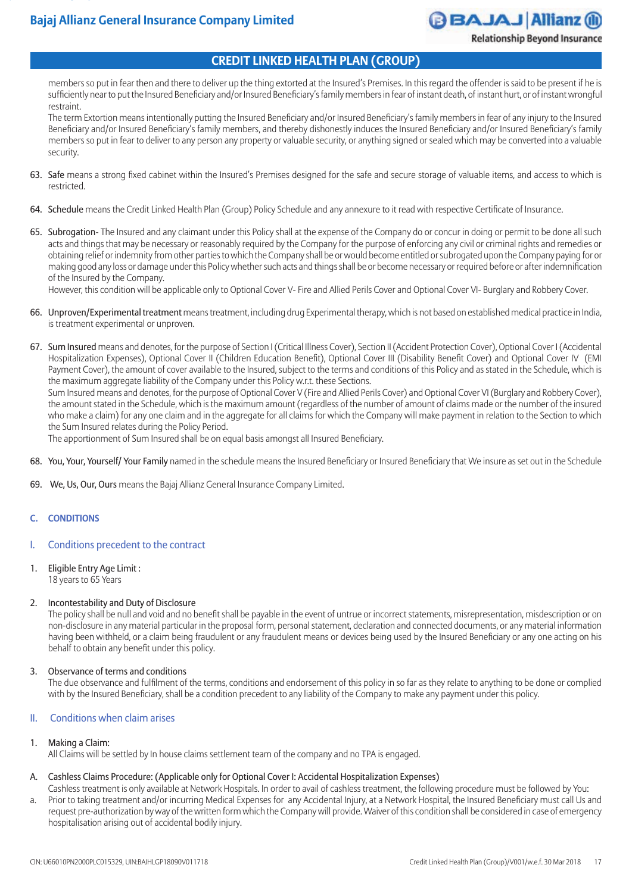members so put in fear then and there to deliver up the thing extorted at the Insured's Premises. In this regard the offender is said to be present if he is sufficiently near to put the Insured Beneficiary and/or Insured Beneficiary's family members in fear of instant death, of instant hurt, or of instant wrongful restraint.

The term Extortion means intentionally putting the Insured Beneficiary and/or Insured Beneficiary's family members in fear of any injury to the Insured Beneficiary and/or Insured Beneficiary's family members, and thereby dishonestly induces the Insured Beneficiary and/or Insured Beneficiary's family members so put in fear to deliver to any person any property or valuable security, or anything signed or sealed which may be converted into a valuable security.

- 63. Safe means a strong fixed cabinet within the Insured's Premises designed for the safe and secure storage of valuable items, and access to which is restricted.
- 64. Schedule means the Credit Linked Health Plan (Group) Policy Schedule and any annexure to it read with respective Certificate of Insurance.
- 65. Subrogation- The Insured and any claimant under this Policy shall at the expense of the Company do or concur in doing or permit to be done all such acts and things that may be necessary or reasonably required by the Company for the purpose of enforcing any civil or criminal rights and remedies or obtaining relief or indemnity from other parties to which the Company shall be or would become entitled or subrogated upon the Company paying for or making good any loss or damage under this Policy whether such acts and things shall be or become necessary or required before or after indemnification of the Insured by the Company.

However, this condition will be applicable only to Optional Cover V- Fire and Allied Perils Cover and Optional Cover VI- Burglary and Robbery Cover.

- 66. Unproven/Experimental treatment means treatment, including drug Experimental therapy, which is not based on established medical practice in India, is treatment experimental or unproven.
- 67. Sum Insured means and denotes, for the purpose of Section I (Critical Illness Cover), Section II (Accident Protection Cover), Optional Cover I (Accidental Hospitalization Expenses), Optional Cover II (Children Education Benefit), Optional Cover III (Disability Benefit Cover) and Optional Cover IV (EMI Payment Cover), the amount of cover available to the Insured, subject to the terms and conditions of this Policy and as stated in the Schedule, which is the maximum aggregate liability of the Company under this Policy w.r.t. these Sections. Sum Insured means and denotes, for the purpose of Optional Cover V (Fire and Allied Perils Cover) and Optional Cover VI (Burglary and Robbery Cover),

the amount stated in the Schedule, which is the maximum amount (regardless of the number of amount of claims made or the number of the insured who make a claim) for any one claim and in the aggregate for all claims for which the Company will make payment in relation to the Section to which the Sum Insured relates during the Policy Period.

The apportionment of Sum Insured shall be on equal basis amongst all Insured Beneficiary.

- 68. You, Your, Yourself/ Your Family named in the schedule means the Insured Beneficiary or Insured Beneficiary that We insure as set out in the Schedule
- 69. We, Us, Our, Ours means the Bajaj Allianz General Insurance Company Limited.

### **C. CONDITIONS**

- I. Conditions precedent to the contract
- 1. Eligible Entry Age Limit : 18 years to 65 Years

### 2. Incontestability and Duty of Disclosure

The policy shall be null and void and no benefit shall be payable in the event of untrue or incorrect statements, misrepresentation, misdescription or on non-disclosure in any material particular in the proposal form, personal statement, declaration and connected documents, or any material information having been withheld, or a claim being fraudulent or any fraudulent means or devices being used by the Insured Beneficiary or any one acting on his behalf to obtain any benefit under this policy.

### 3. Observance of terms and conditions

The due observance and fulfilment of the terms, conditions and endorsement of this policy in so far as they relate to anything to be done or complied with by the Insured Beneficiary, shall be a condition precedent to any liability of the Company to make any payment under this policy.

### II. Conditions when claim arises

### 1. Making a Claim:

All Claims will be settled by In house claims settlement team of the company and no TPA is engaged.

### A. Cashless Claims Procedure: (Applicable only for Optional Cover I: Accidental Hospitalization Expenses)

Cashless treatment is only available at Network Hospitals. In order to avail of cashless treatment, the following procedure must be followed by You: a. Prior to taking treatment and/or incurring Medical Expenses for any Accidental Injury, at a Network Hospital, the Insured Beneficiary must call Us and request pre-authorization by way of the written form which the Company will provide. Waiver of this condition shall be considered in case of emergency hospitalisation arising out of accidental bodily injury.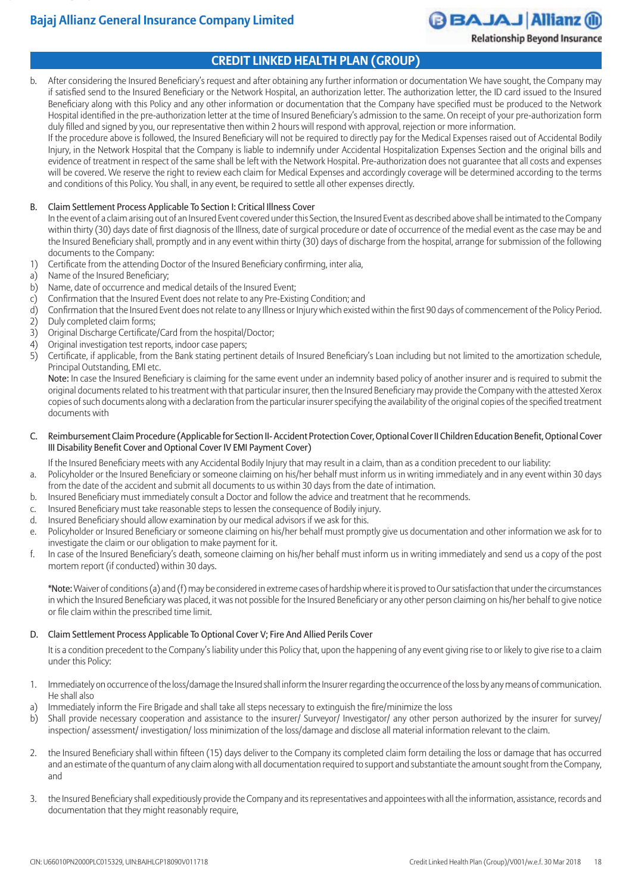b. After considering the Insured Beneficiary's request and after obtaining any further information or documentation We have sought, the Company may if satisfied send to the Insured Beneficiary or the Network Hospital, an authorization letter. The authorization letter, the ID card issued to the Insured Beneficiary along with this Policy and any other information or documentation that the Company have specified must be produced to the Network Hospital identified in the pre-authorization letter at the time of Insured Beneficiary's admission to the same. On receipt of your pre-authorization form duly filled and signed by you, our representative then within 2 hours will respond with approval, rejection or more information.

 If the procedure above is followed, the Insured Beneficiary will not be required to directly pay for the Medical Expenses raised out of Accidental Bodily Injury, in the Network Hospital that the Company is liable to indemnify under Accidental Hospitalization Expenses Section and the original bills and evidence of treatment in respect of the same shall be left with the Network Hospital. Pre-authorization does not guarantee that all costs and expenses will be covered. We reserve the right to review each claim for Medical Expenses and accordingly coverage will be determined according to the terms and conditions of this Policy. You shall, in any event, be required to settle all other expenses directly.

### B. Claim Settlement Process Applicable To Section I: Critical Illness Cover

 In the event of a claim arising out of an Insured Event covered under this Section, the Insured Event as described above shall be intimated to the Company within thirty (30) days date of first diagnosis of the Illness, date of surgical procedure or date of occurrence of the medial event as the case may be and the Insured Beneficiary shall, promptly and in any event within thirty (30) days of discharge from the hospital, arrange for submission of the following documents to the Company:

- 1) Certificate from the attending Doctor of the Insured Beneficiary confirming, inter alia,
- a) Name of the Insured Beneficiary;
- b) Name, date of occurrence and medical details of the Insured Event;
- c) Confirmation that the Insured Event does not relate to any Pre-Existing Condition; and
- d) Confirmation that the Insured Event does not relate to any Illness or Injury which existed within the first 90 days of commencement of the Policy Period.
- 2) Duly completed claim forms:
- 3) Original Discharge Certificate/Card from the hospital/Doctor;
- 4) Original investigation test reports, indoor case papers;
- 5) Certificate, if applicable, from the Bank stating pertinent details of Insured Beneficiary's Loan including but not limited to the amortization schedule, Principal Outstanding, EMI etc.

 Note: In case the Insured Beneficiary is claiming for the same event under an indemnity based policy of another insurer and is required to submit the original documents related to his treatment with that particular insurer, then the Insured Beneficiary may provide the Company with the attested Xerox copies of such documents along with a declaration from the particular insurer specifying the availability of the original copies of the specified treatment documents with

### C. Reimbursement Claim Procedure (Applicable for Section II- Accident Protection Cover, Optional Cover II Children Education Benefit, Optional Cover III Disability Benefit Cover and Optional Cover IV EMI Payment Cover)

If the Insured Beneficiary meets with any Accidental Bodily Injury that may result in a claim, than as a condition precedent to our liability:

- a. Policyholder or the Insured Beneficiary or someone claiming on his/her behalf must inform us in writing immediately and in any event within 30 days from the date of the accident and submit all documents to us within 30 days from the date of intimation.
- b. Insured Beneficiary must immediately consult a Doctor and follow the advice and treatment that he recommends.
- c. Insured Beneficiary must take reasonable steps to lessen the consequence of Bodily injury.
- d. Insured Beneficiary should allow examination by our medical advisors if we ask for this.
- e. Policyholder or Insured Beneficiary or someone claiming on his/her behalf must promptly give us documentation and other information we ask for to investigate the claim or our obligation to make payment for it.
- f. In case of the Insured Beneficiary's death, someone claiming on his/her behalf must inform us in writing immediately and send us a copy of the post mortem report (if conducted) within 30 days.

 \*Note: Waiver of conditions (a) and (f) may be considered in extreme cases of hardship where it is proved to Our satisfaction that under the circumstances in which the Insured Beneficiary was placed, it was not possible for the Insured Beneficiary or any other person claiming on his/her behalf to give notice or file claim within the prescribed time limit.

### D. Claim Settlement Process Applicable To Optional Cover V; Fire And Allied Perils Cover

It is a condition precedent to the Company's liability under this Policy that, upon the happening of any event giving rise to or likely to give rise to a claim under this Policy:

- 1. Immediately on occurrence of the loss/damage the Insured shall inform the Insurer regarding the occurrence of the loss by any means of communication. He shall also
- a) Immediately inform the Fire Brigade and shall take all steps necessary to extinguish the fire/minimize the loss
- b) Shall provide necessary cooperation and assistance to the insurer/ Surveyor/ Investigator/ any other person authorized by the insurer for survey/ inspection/ assessment/ investigation/ loss minimization of the loss/damage and disclose all material information relevant to the claim.
- 2. the Insured Beneficiary shall within fifteen (15) days deliver to the Company its completed claim form detailing the loss or damage that has occurred and an estimate of the quantum of any claim along with all documentation required to support and substantiate the amount sought from the Company, and
- 3. the Insured Beneficiary shall expeditiously provide the Company and its representatives and appointees with all the information, assistance, records and documentation that they might reasonably require,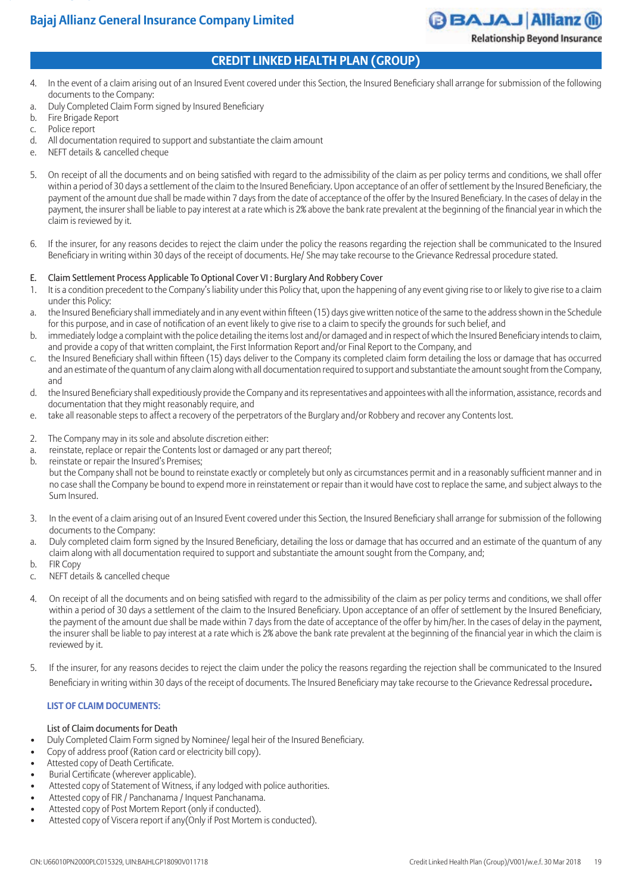**BAJAJ Allianz (ii) Relationship Beyond Insurance** 

### **Credit Linked Health Plan (Group)**

- 4. In the event of a claim arising out of an Insured Event covered under this Section, the Insured Beneficiary shall arrange for submission of the following documents to the Company:
- a. Duly Completed Claim Form signed by Insured Beneficiary
- b. Fire Brigade Report
- c. Police report
- d. All documentation required to support and substantiate the claim amount
- e. NEFT details & cancelled cheque
- 5. On receipt of all the documents and on being satisfied with regard to the admissibility of the claim as per policy terms and conditions, we shall offer within a period of 30 days a settlement of the claim to the Insured Beneficiary. Upon acceptance of an offer of settlement by the Insured Beneficiary, the payment of the amount due shall be made within 7 days from the date of acceptance of the offer by the Insured Beneficiary. In the cases of delay in the payment, the insurer shall be liable to pay interest at a rate which is 2% above the bank rate prevalent at the beginning of the financial year in which the claim is reviewed by it.
- 6. If the insurer, for any reasons decides to reject the claim under the policy the reasons regarding the rejection shall be communicated to the Insured Beneficiary in writing within 30 days of the receipt of documents. He/ She may take recourse to the Grievance Redressal procedure stated.

### E. Claim Settlement Process Applicable To Optional Cover VI : Burglary And Robbery Cover

- 1. It is a condition precedent to the Company's liability under this Policy that, upon the happening of any event giving rise to or likely to give rise to a claim under this Policy:
- a. the Insured Beneficiary shall immediately and in any event within fifteen (15) days give written notice of the same to the address shown in the Schedule for this purpose, and in case of notification of an event likely to give rise to a claim to specify the grounds for such belief, and
- b. immediately lodge a complaint with the police detailing the items lost and/or damaged and in respect of which the Insured Beneficiary intends to claim, and provide a copy of that written complaint, the First Information Report and/or Final Report to the Company, and
- c. the Insured Beneficiary shall within fifteen (15) days deliver to the Company its completed claim form detailing the loss or damage that has occurred and an estimate of the quantum of any claim along with all documentation required to support and substantiate the amount sought from the Company, and
- d. the Insured Beneficiary shall expeditiously provide the Company and its representatives and appointees with all the information, assistance, records and documentation that they might reasonably require, and
- e. take all reasonable steps to affect a recovery of the perpetrators of the Burglary and/or Robbery and recover any Contents lost.
- 2. The Company may in its sole and absolute discretion either:
- a. reinstate, replace or repair the Contents lost or damaged or any part thereof;
- b. reinstate or repair the Insured's Premises;

 but the Company shall not be bound to reinstate exactly or completely but only as circumstances permit and in a reasonably sufficient manner and in no case shall the Company be bound to expend more in reinstatement or repair than it would have cost to replace the same, and subject always to the Sum Insured.

- 3. In the event of a claim arising out of an Insured Event covered under this Section, the Insured Beneficiary shall arrange for submission of the following documents to the Company:
- a. Duly completed claim form signed by the Insured Beneficiary, detailing the loss or damage that has occurred and an estimate of the quantum of any claim along with all documentation required to support and substantiate the amount sought from the Company, and;
- b. FIR Copy
- c. NEFT details & cancelled cheque
- 4. On receipt of all the documents and on being satisfied with regard to the admissibility of the claim as per policy terms and conditions, we shall offer within a period of 30 days a settlement of the claim to the Insured Beneficiary. Upon acceptance of an offer of settlement by the Insured Beneficiary, the payment of the amount due shall be made within 7 days from the date of acceptance of the offer by him/her. In the cases of delay in the payment, the insurer shall be liable to pay interest at a rate which is 2% above the bank rate prevalent at the beginning of the financial year in which the claim is reviewed by it.
- 5. If the insurer, for any reasons decides to reject the claim under the policy the reasons regarding the rejection shall be communicated to the Insured Beneficiary in writing within 30 days of the receipt of documents. The Insured Beneficiary may take recourse to the Grievance Redressal procedure.

### **LIST OF CLAIM DOCUMENTS:**

### List of Claim documents for Death

- Duly Completed Claim Form signed by Nominee/ legal heir of the Insured Beneficiary.
- Copy of address proof (Ration card or electricity bill copy).
- Attested copy of Death Certificate.
- Burial Certificate (wherever applicable).
- Attested copy of Statement of Witness, if any lodged with police authorities.
- Attested copy of FIR / Panchanama / Inquest Panchanama.
- Attested copy of Post Mortem Report (only if conducted).
- Attested copy of Viscera report if any(Only if Post Mortem is conducted).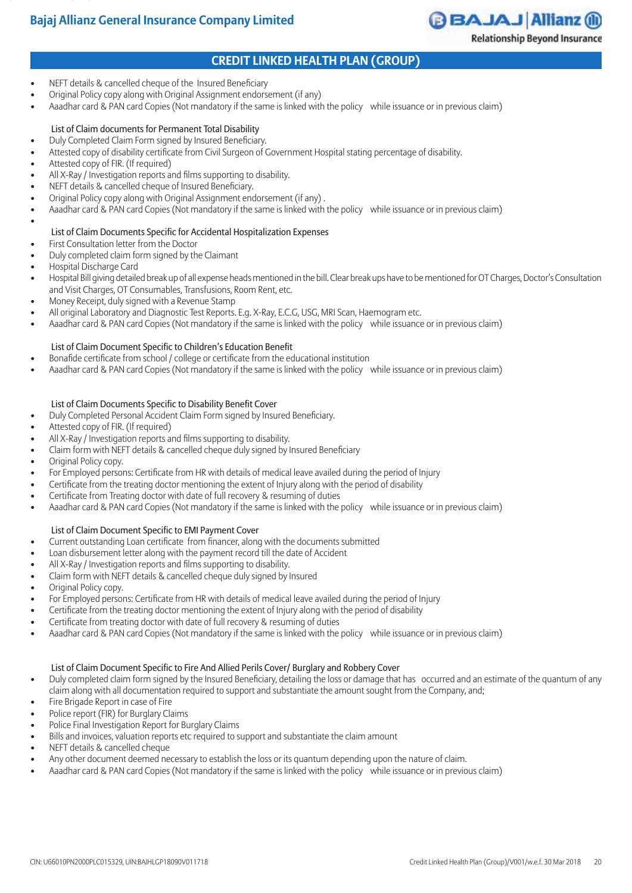

**Relationship Beyond Insurance** 

### **Credit Linked Health Plan (Group)**

- NEFT details & cancelled cheque of the Insured Beneficiary
- Original Policy copy along with Original Assignment endorsement (if any)
- Aaadhar card & PAN card Copies (Not mandatory if the same is linked with the policy while issuance or in previous claim)

### List of Claim documents for Permanent Total Disability

- Duly Completed Claim Form signed by Insured Beneficiary.
- Attested copy of disability certificate from Civil Surgeon of Government Hospital stating percentage of disability.
- Attested copy of FIR. (If required)
- All X-Ray / Investigation reports and films supporting to disability.
- NEFT details & cancelled cheque of Insured Beneficiary.
- Original Policy copy along with Original Assignment endorsement (if any) .
- Aaadhar card & PAN card Copies (Not mandatory if the same is linked with the policy while issuance or in previous claim)

### List of Claim Documents Specific for Accidental Hospitalization Expenses

- First Consultation letter from the Doctor
- Duly completed claim form signed by the Claimant
- Hospital Discharge Card

•

- Hospital Bill giving detailed break up of all expense heads mentioned in the bill. Clear break ups have to be mentioned for OT Charges, Doctor's Consultation and Visit Charges, OT Consumables, Transfusions, Room Rent, etc.
- Money Receipt, duly signed with a Revenue Stamp
- All original Laboratory and Diagnostic Test Reports. E.g. X-Ray, E.C.G, USG, MRI Scan, Haemogram etc.
- Aaadhar card & PAN card Copies (Not mandatory if the same is linked with the policy while issuance or in previous claim)

### List of Claim Document Specific to Children's Education Benefit

- Bonafide certificate from school / college or certificate from the educational institution
- Aaadhar card & PAN card Copies (Not mandatory if the same is linked with the policy while issuance or in previous claim)

### List of Claim Documents Specific to Disability Benefit Cover

- Duly Completed Personal Accident Claim Form signed by Insured Beneficiary.
- Attested copy of FIR. (If required)
- All X-Ray / Investigation reports and films supporting to disability.
- Claim form with NEFT details & cancelled cheque duly signed by Insured Beneficiary
- Original Policy copy.
- For Employed persons: Certificate from HR with details of medical leave availed during the period of Injury
- Certificate from the treating doctor mentioning the extent of Injury along with the period of disability
- Certificate from Treating doctor with date of full recovery & resuming of duties
- Aaadhar card & PAN card Copies (Not mandatory if the same is linked with the policy while issuance or in previous claim)

### List of Claim Document Specific to EMI Payment Cover

- Current outstanding Loan certificate from financer, along with the documents submitted
- Loan disbursement letter along with the payment record till the date of Accident
- All X-Ray / Investigation reports and films supporting to disability.
- Claim form with NEFT details & cancelled cheque duly signed by Insured
- Original Policy copy.
- For Employed persons: Certificate from HR with details of medical leave availed during the period of Injury
- Certificate from the treating doctor mentioning the extent of Injury along with the period of disability
- Certificate from treating doctor with date of full recovery & resuming of duties
- Aaadhar card & PAN card Copies (Not mandatory if the same is linked with the policy while issuance or in previous claim)

### List of Claim Document Specific to Fire And Allied Perils Cover/ Burglary and Robbery Cover

- Duly completed claim form signed by the Insured Beneficiary, detailing the loss or damage that has occurred and an estimate of the quantum of any claim along with all documentation required to support and substantiate the amount sought from the Company, and;
- Fire Brigade Report in case of Fire
- Police report (FIR) for Burglary Claims
- Police Final Investigation Report for Burglary Claims
- Bills and invoices, valuation reports etc required to support and substantiate the claim amount
- NEFT details & cancelled cheque
- Any other document deemed necessary to establish the loss or its quantum depending upon the nature of claim.
- Aaadhar card & PAN card Copies (Not mandatory if the same is linked with the policy while issuance or in previous claim)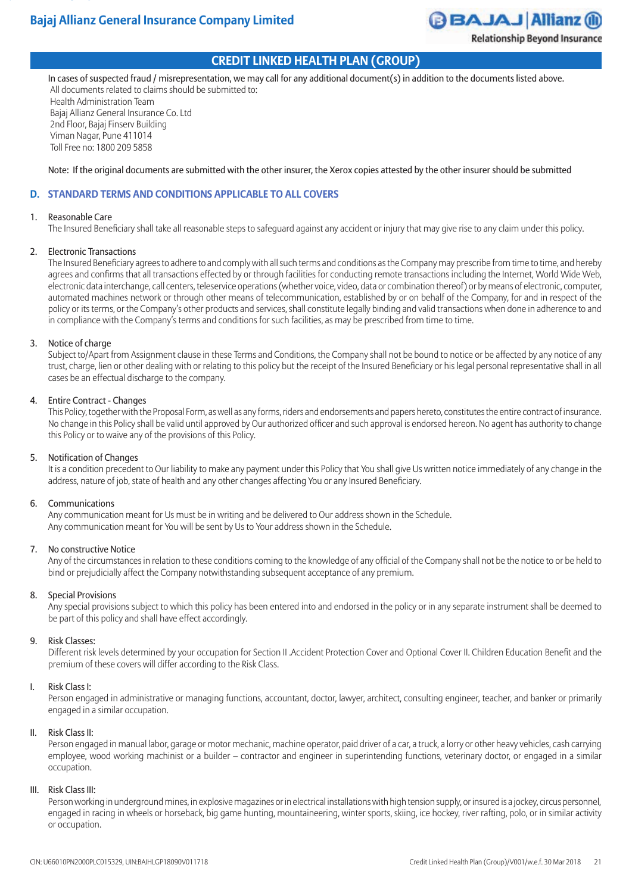In cases of suspected fraud / misrepresentation, we may call for any additional document(s) in addition to the documents listed above. All documents related to claims should be submitted to: Health Administration Team Bajaj Allianz General Insurance Co. Ltd 2nd Floor, Bajaj Finserv Building Viman Nagar, Pune 411014 Toll Free no: 1800 209 5858

### Note: If the original documents are submitted with the other insurer, the Xerox copies attested by the other insurer should be submitted

### **D. STANDARD TERMS AND CONDITIONS APPLICABLE TO ALL COVERS**

### 1. Reasonable Care

The Insured Beneficiary shall take all reasonable steps to safeguard against any accident or injury that may give rise to any claim under this policy.

### 2. Electronic Transactions

The Insured Beneficiary agrees to adhere to and comply with all such terms and conditions as the Company may prescribe from time to time, and hereby agrees and confirms that all transactions effected by or through facilities for conducting remote transactions including the Internet, World Wide Web, electronic data interchange, call centers, teleservice operations (whether voice, video, data or combination thereof) or by means of electronic, computer, automated machines network or through other means of telecommunication, established by or on behalf of the Company, for and in respect of the policy or its terms, or the Company's other products and services, shall constitute legally binding and valid transactions when done in adherence to and in compliance with the Company's terms and conditions for such facilities, as may be prescribed from time to time.

### 3. Notice of charge

Subject to/Apart from Assignment clause in these Terms and Conditions, the Company shall not be bound to notice or be affected by any notice of any trust, charge, lien or other dealing with or relating to this policy but the receipt of the Insured Beneficiary or his legal personal representative shall in all cases be an effectual discharge to the company.

### 4. Entire Contract - Changes

This Policy, together with the Proposal Form, as well as any forms, riders and endorsements and papers hereto, constitutes the entire contract of insurance. No change in this Policy shall be valid until approved by Our authorized officer and such approval is endorsed hereon. No agent has authority to change this Policy or to waive any of the provisions of this Policy.

### 5. Notification of Changes

It is a condition precedent to Our liability to make any payment under this Policy that You shall give Us written notice immediately of any change in the address, nature of job, state of health and any other changes affecting You or any Insured Beneficiary.

### 6. Communications

Any communication meant for Us must be in writing and be delivered to Our address shown in the Schedule. Any communication meant for You will be sent by Us to Your address shown in the Schedule.

### 7. No constructive Notice

Any of the circumstances in relation to these conditions coming to the knowledge of any official of the Company shall not be the notice to or be held to bind or prejudicially affect the Company notwithstanding subsequent acceptance of any premium.

### 8. Special Provisions

Any special provisions subject to which this policy has been entered into and endorsed in the policy or in any separate instrument shall be deemed to be part of this policy and shall have effect accordingly.

### 9. Risk Classes:

Different risk levels determined by your occupation for Section II .Accident Protection Cover and Optional Cover II. Children Education Benefit and the premium of these covers will differ according to the Risk Class.

### I. Risk Class I:

Person engaged in administrative or managing functions, accountant, doctor, lawyer, architect, consulting engineer, teacher, and banker or primarily engaged in a similar occupation.

### II. Risk Class II:

Person engaged in manual labor, garage or motor mechanic, machine operator, paid driver of a car, a truck, a lorry or other heavy vehicles, cash carrying employee, wood working machinist or a builder – contractor and engineer in superintending functions, veterinary doctor, or engaged in a similar occupation.

### III. Risk Class III:

Person working in underground mines, in explosive magazines or in electrical installations with high tension supply, or insured is a jockey, circus personnel, engaged in racing in wheels or horseback, big game hunting, mountaineering, winter sports, skiing, ice hockey, river rafting, polo, or in similar activity or occupation.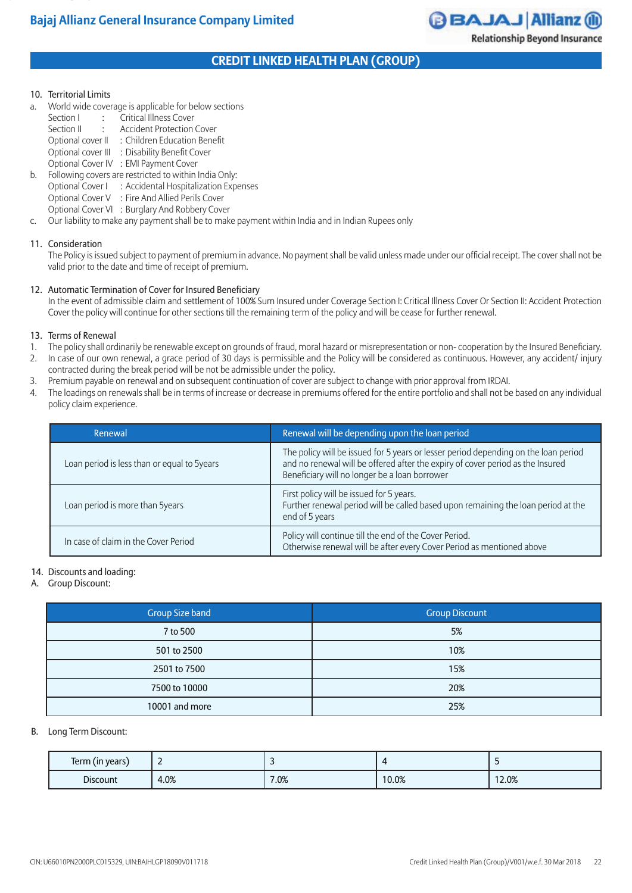### 10. Territorial Limits

- a. World wide coverage is applicable for below sections
- Section I : Critical Illness Cover Section II : Accident Protection Cover
- Optional cover II : Children Education Benefit
- Optional cover III : Disability Benefit Cover
- Optional Cover IV : EMI Payment Cover
- b. Following covers are restricted to within India Only:
- Optional Cover I : Accidental Hospitalization Expenses
- Optional Cover V : Fire And Allied Perils Cover
- Optional Cover VI : Burglary And Robbery Cover
- c. Our liability to make any payment shall be to make payment within India and in Indian Rupees only

### 11. Consideration

The Policy is issued subject to payment of premium in advance. No payment shall be valid unless made under our official receipt. The cover shall not be valid prior to the date and time of receipt of premium.

#### 12. Automatic Termination of Cover for Insured Beneficiary In the event of admissible claim and settlement of 100% Sum Insured under Coverage Section I: Critical Illness Cover Or Section II: Accident Protection Cover the policy will continue for other sections till the remaining term of the policy and will be cease for further renewal.

### 13. Terms of Renewal

- 1. The policy shall ordinarily be renewable except on grounds of fraud, moral hazard or misrepresentation or non- cooperation by the Insured Beneficiary.
- 2. In case of our own renewal, a grace period of 30 days is permissible and the Policy will be considered as continuous. However, any accident/ injury contracted during the break period will be not be admissible under the policy.
- 3. Premium payable on renewal and on subsequent continuation of cover are subject to change with prior approval from IRDAI.
- 4. The loadings on renewals shall be in terms of increase or decrease in premiums offered for the entire portfolio and shall not be based on any individual policy claim experience.

| Renewal                                     | Renewal will be depending upon the loan period                                                                                                                                                                         |
|---------------------------------------------|------------------------------------------------------------------------------------------------------------------------------------------------------------------------------------------------------------------------|
| Loan period is less than or equal to 5years | The policy will be issued for 5 years or lesser period depending on the loan period<br>and no renewal will be offered after the expiry of cover period as the Insured<br>Beneficiary will no longer be a loan borrower |
| Loan period is more than 5years             | First policy will be issued for 5 years.<br>Further renewal period will be called based upon remaining the loan period at the<br>end of 5 years                                                                        |
| In case of claim in the Cover Period        | Policy will continue till the end of the Cover Period.<br>Otherwise renewal will be after every Cover Period as mentioned above                                                                                        |

### 14. Discounts and loading:

### A. Group Discount:

| <b>Group Size band</b> | <b>Group Discount</b> |
|------------------------|-----------------------|
| 7 to 500               | 5%                    |
| 501 to 2500            | 10%                   |
| 2501 to 7500           | 15%                   |
| 7500 to 10000          | 20%                   |
| 10001 and more         | 25%                   |

### B. Long Term Discount:

| Term (in years) |      |         |       |       |
|-----------------|------|---------|-------|-------|
| <b>Discount</b> | 4.0% | $2.0\%$ | 10.0% | 12.0% |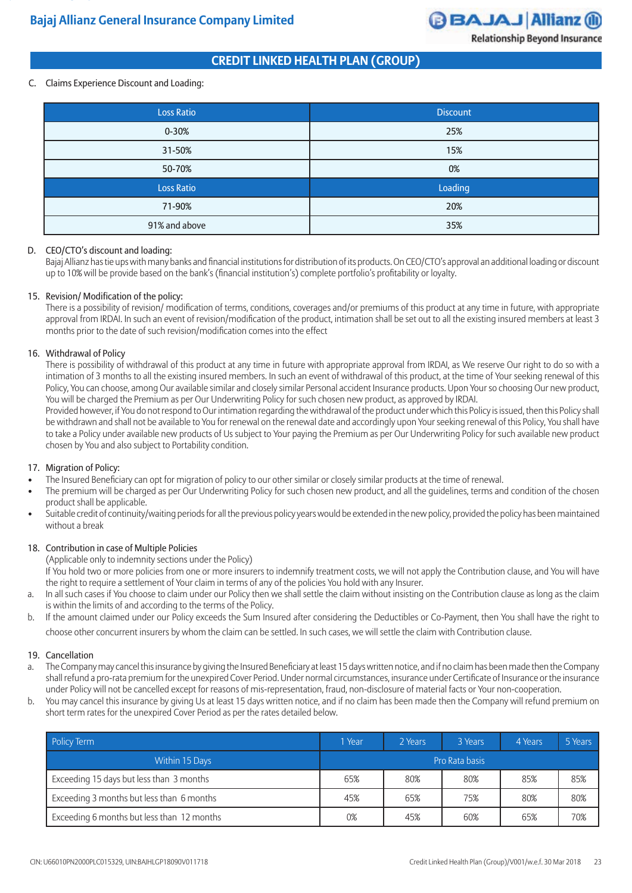### C. Claims Experience Discount and Loading:

| <b>Loss Ratio</b> | <b>Discount</b> |
|-------------------|-----------------|
| $0 - 30%$         | 25%             |
| 31-50%            | 15%             |
| 50-70%            | 0%              |
| Loss Ratio        | Loading         |
| 71-90%            | 20%             |
| 91% and above     | 35%             |

### D. CEO/CTO's discount and loading:

Bajaj Allianz has tie ups with many banks and financial institutions for distribution of its products. On CEO/CTO's approval an additional loading or discount up to 10% will be provide based on the bank's (financial institution's) complete portfolio's profitability or loyalty.

### 15. Revision/ Modification of the policy:

 There is a possibility of revision/ modification of terms, conditions, coverages and/or premiums of this product at any time in future, with appropriate approval from IRDAI. In such an event of revision/modification of the product, intimation shall be set out to all the existing insured members at least 3 months prior to the date of such revision/modification comes into the effect

### 16. Withdrawal of Policy

 There is possibility of withdrawal of this product at any time in future with appropriate approval from IRDAI, as We reserve Our right to do so with a intimation of 3 months to all the existing insured members. In such an event of withdrawal of this product, at the time of Your seeking renewal of this Policy, You can choose, among Our available similar and closely similar Personal accident Insurance products. Upon Your so choosing Our new product, You will be charged the Premium as per Our Underwriting Policy for such chosen new product, as approved by IRDAI.

 Provided however, if You do not respond to Our intimation regarding the withdrawal of the product under which this Policy is issued, then this Policy shall be withdrawn and shall not be available to You for renewal on the renewal date and accordingly upon Your seeking renewal of this Policy, You shall have to take a Policy under available new products of Us subject to Your paying the Premium as per Our Underwriting Policy for such available new product chosen by You and also subject to Portability condition.

### 17. Migration of Policy:

- The Insured Beneficiary can opt for migration of policy to our other similar or closely similar products at the time of renewal.
- The premium will be charged as per Our Underwriting Policy for such chosen new product, and all the guidelines, terms and condition of the chosen product shall be applicable.
- Suitable credit of continuity/waiting periods for all the previous policy years would be extended in the new policy, provided the policy has been maintained without a break

### 18. Contribution in case of Multiple Policies

(Applicable only to indemnity sections under the Policy)

 If You hold two or more policies from one or more insurers to indemnify treatment costs, we will not apply the Contribution clause, and You will have the right to require a settlement of Your claim in terms of any of the policies You hold with any Insurer.

- a. In all such cases if You choose to claim under our Policy then we shall settle the claim without insisting on the Contribution clause as long as the claim is within the limits of and according to the terms of the Policy.
- b. If the amount claimed under our Policy exceeds the Sum Insured after considering the Deductibles or Co-Payment, then You shall have the right to choose other concurrent insurers by whom the claim can be settled. In such cases, we will settle the claim with Contribution clause.

### 19. Cancellation

- a. The Company may cancel this insurance by giving the Insured Beneficiary at least 15 days written notice, and if no claim has been made then the Company shall refund a pro-rata premium for the unexpired Cover Period. Under normal circumstances, insurance under Certificate of Insurance or the insurance under Policy will not be cancelled except for reasons of mis-representation, fraud, non-disclosure of material facts or Your non-cooperation.
- b. You may cancel this insurance by giving Us at least 15 days written notice, and if no claim has been made then the Company will refund premium on short term rates for the unexpired Cover Period as per the rates detailed below.

| Policy Term                                | 1 Year | 2 Years | 3 Years        | 4 Years | 5 Years |
|--------------------------------------------|--------|---------|----------------|---------|---------|
| Within 15 Days                             |        |         | Pro Rata basis |         |         |
| Exceeding 15 days but less than 3 months   | 65%    | 80%     | 80%            | 85%     | 85%     |
| Exceeding 3 months but less than 6 months  | 45%    | 65%     | 75%            | 80%     | 80%     |
| Exceeding 6 months but less than 12 months | 0%     | 45%     | 60%            | 65%     | 70%     |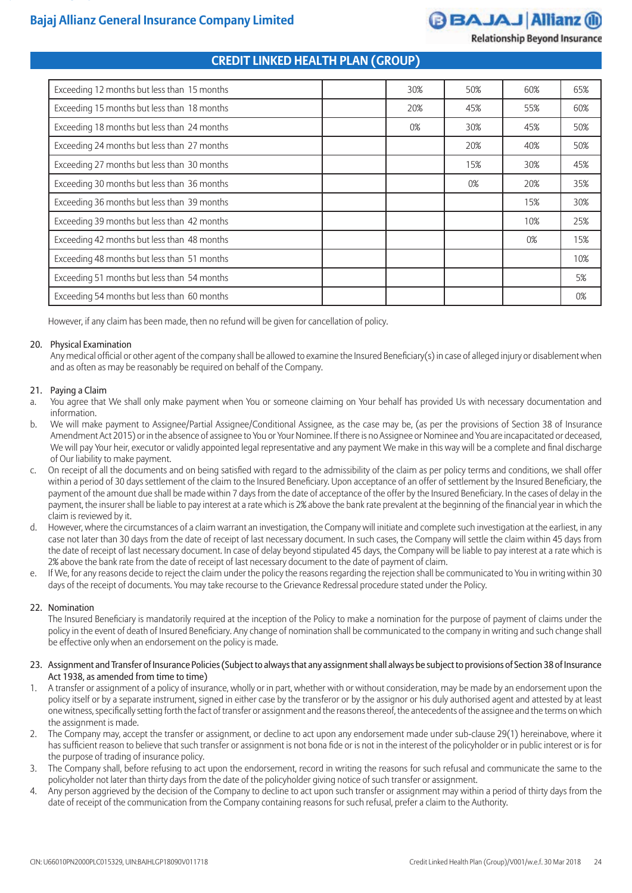# **BAJAJ Allianz (ii)**

**Relationship Beyond Insurance** 

### **Credit Linked Health Plan (Group)**

| Exceeding 12 months but less than 15 months | 30% | 50% | 60%   | 65% |
|---------------------------------------------|-----|-----|-------|-----|
| Exceeding 15 months but less than 18 months | 20% | 45% | 55%   | 60% |
| Exceeding 18 months but less than 24 months | 0%  | 30% | 45%   | 50% |
| Exceeding 24 months but less than 27 months |     | 20% | 40%   | 50% |
| Exceeding 27 months but less than 30 months |     | 15% | 30%   | 45% |
| Exceeding 30 months but less than 36 months |     | 0%  | 20%   | 35% |
| Exceeding 36 months but less than 39 months |     |     | 15%   | 30% |
| Exceeding 39 months but less than 42 months |     |     | 10%   | 25% |
| Exceeding 42 months but less than 48 months |     |     | $0\%$ | 15% |
| Exceeding 48 months but less than 51 months |     |     |       | 10% |
| Exceeding 51 months but less than 54 months |     |     |       | 5%  |
| Exceeding 54 months but less than 60 months |     |     |       | 0%  |

However, if any claim has been made, then no refund will be given for cancellation of policy.

### 20. Physical Examination

 Any medical official or other agent of the company shall be allowed to examine the Insured Beneficiary(s) in case of alleged injury or disablement when and as often as may be reasonably be required on behalf of the Company.

### 21. Paying a Claim

- a. You agree that We shall only make payment when You or someone claiming on Your behalf has provided Us with necessary documentation and information.
- b. We will make payment to Assignee/Partial Assignee/Conditional Assignee, as the case may be, (as per the provisions of Section 38 of Insurance Amendment Act 2015) or in the absence of assignee to You or Your Nominee. If there is no Assignee or Nominee and You are incapacitated or deceased, We will pay Your heir, executor or validly appointed legal representative and any payment We make in this way will be a complete and final discharge of Our liability to make payment.
- c. On receipt of all the documents and on being satisfied with regard to the admissibility of the claim as per policy terms and conditions, we shall offer within a period of 30 days settlement of the claim to the Insured Beneficiary. Upon acceptance of an offer of settlement by the Insured Beneficiary, the payment of the amount due shall be made within 7 days from the date of acceptance of the offer by the Insured Beneficiary. In the cases of delay in the payment, the insurer shall be liable to pay interest at a rate which is 2% above the bank rate prevalent at the beginning of the financial year in which the claim is reviewed by it.
- d. However, where the circumstances of a claim warrant an investigation, the Company will initiate and complete such investigation at the earliest, in any case not later than 30 days from the date of receipt of last necessary document. In such cases, the Company will settle the claim within 45 days from the date of receipt of last necessary document. In case of delay beyond stipulated 45 days, the Company will be liable to pay interest at a rate which is 2% above the bank rate from the date of receipt of last necessary document to the date of payment of claim.
- e. If We, for any reasons decide to reject the claim under the policy the reasons regarding the rejection shall be communicated to You in writing within 30 days of the receipt of documents. You may take recourse to the Grievance Redressal procedure stated under the Policy.

### 22. Nomination

 The Insured Beneficiary is mandatorily required at the inception of the Policy to make a nomination for the purpose of payment of claims under the policy in the event of death of Insured Beneficiary. Any change of nomination shall be communicated to the company in writing and such change shall be effective only when an endorsement on the policy is made.

### 23. Assignment and Transfer of Insurance Policies (Subject to always that any assignment shall always be subject to provisions of Section 38 of Insurance Act 1938, as amended from time to time)

- 1. A transfer or assignment of a policy of insurance, wholly or in part, whether with or without consideration, may be made by an endorsement upon the policy itself or by a separate instrument, signed in either case by the transferor or by the assignor or his duly authorised agent and attested by at least one witness, specifically setting forth the fact of transfer or assignment and the reasons thereof, the antecedents of the assignee and the terms on which the assignment is made.
- 2. The Company may, accept the transfer or assignment, or decline to act upon any endorsement made under sub-clause 29(1) hereinabove, where it has sufficient reason to believe that such transfer or assignment is not bona fide or is not in the interest of the policyholder or in public interest or is for the purpose of trading of insurance policy.
- 3. The Company shall, before refusing to act upon the endorsement, record in writing the reasons for such refusal and communicate the same to the policyholder not later than thirty days from the date of the policyholder giving notice of such transfer or assignment.
- 4. Any person aggrieved by the decision of the Company to decline to act upon such transfer or assignment may within a period of thirty days from the date of receipt of the communication from the Company containing reasons for such refusal, prefer a claim to the Authority.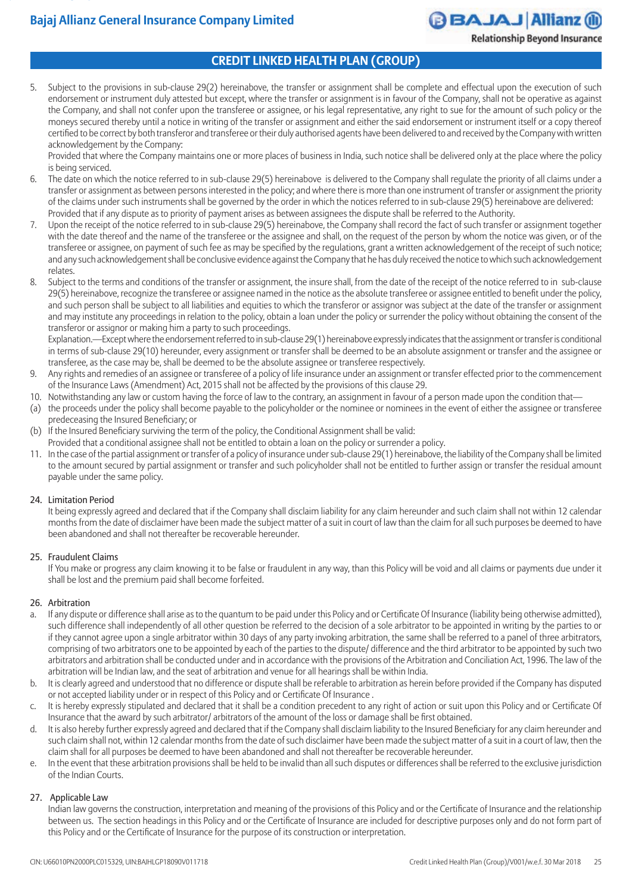### **Relationship Beyond Insurance**

### **Credit Linked Health Plan (Group)**

5. Subject to the provisions in sub-clause 29(2) hereinabove, the transfer or assignment shall be complete and effectual upon the execution of such endorsement or instrument duly attested but except, where the transfer or assignment is in favour of the Company, shall not be operative as against the Company, and shall not confer upon the transferee or assignee, or his legal representative, any right to sue for the amount of such policy or the moneys secured thereby until a notice in writing of the transfer or assignment and either the said endorsement or instrument itself or a copy thereof certified to be correct by both transferor and transferee or their duly authorised agents have been delivered to and received by the Company with written acknowledgement by the Company:

 Provided that where the Company maintains one or more places of business in India, such notice shall be delivered only at the place where the policy is being serviced.

- 6. The date on which the notice referred to in sub-clause 29(5) hereinabove is delivered to the Company shall regulate the priority of all claims under a transfer or assignment as between persons interested in the policy; and where there is more than one instrument of transfer or assignment the priority of the claims under such instruments shall be governed by the order in which the notices referred to in sub-clause 29(5) hereinabove are delivered: Provided that if any dispute as to priority of payment arises as between assignees the dispute shall be referred to the Authority.
- 7. Upon the receipt of the notice referred to in sub-clause 29(5) hereinabove, the Company shall record the fact of such transfer or assignment together with the date thereof and the name of the transferee or the assignee and shall, on the request of the person by whom the notice was given, or of the transferee or assignee, on payment of such fee as may be specified by the regulations, grant a written acknowledgement of the receipt of such notice; and any such acknowledgement shall be conclusive evidence against the Company that he has duly received the notice to which such acknowledgement relates.
- 8. Subject to the terms and conditions of the transfer or assignment, the insure shall, from the date of the receipt of the notice referred to in sub-clause 29(5) hereinabove, recognize the transferee or assignee named in the notice as the absolute transferee or assignee entitled to benefit under the policy, and such person shall be subject to all liabilities and equities to which the transferor or assignor was subject at the date of the transfer or assignment and may institute any proceedings in relation to the policy, obtain a loan under the policy or surrender the policy without obtaining the consent of the transferor or assignor or making him a party to such proceedings.

 Explanation.—Except where the endorsement referred to in sub-clause 29(1) hereinabove expressly indicates that the assignment or transfer is conditional in terms of sub-clause 29(10) hereunder, every assignment or transfer shall be deemed to be an absolute assignment or transfer and the assignee or transferee, as the case may be, shall be deemed to be the absolute assignee or transferee respectively.

- 9. Any rights and remedies of an assignee or transferee of a policy of life insurance under an assignment or transfer effected prior to the commencement of the Insurance Laws (Amendment) Act, 2015 shall not be affected by the provisions of this clause 29.
- 10. Notwithstanding any law or custom having the force of law to the contrary, an assignment in favour of a person made upon the condition that—
- (a) the proceeds under the policy shall become payable to the policyholder or the nominee or nominees in the event of either the assignee or transferee predeceasing the Insured Beneficiary; or
- (b) If the Insured Beneficiary surviving the term of the policy, the Conditional Assignment shall be valid: Provided that a conditional assignee shall not be entitled to obtain a loan on the policy or surrender a policy.
- 11. In the case of the partial assignment or transfer of a policy of insurance under sub-clause 29(1) hereinabove, the liability of the Company shall be limited to the amount secured by partial assignment or transfer and such policyholder shall not be entitled to further assign or transfer the residual amount payable under the same policy.

### 24. Limitation Period

 It being expressly agreed and declared that if the Company shall disclaim liability for any claim hereunder and such claim shall not within 12 calendar months from the date of disclaimer have been made the subject matter of a suit in court of law than the claim for all such purposes be deemed to have been abandoned and shall not thereafter be recoverable hereunder.

### 25. Fraudulent Claims

 If You make or progress any claim knowing it to be false or fraudulent in any way, than this Policy will be void and all claims or payments due under it shall be lost and the premium paid shall become forfeited.

### 26. Arbitration

- a. If any dispute or difference shall arise as to the quantum to be paid under this Policy and or Certificate Of Insurance (liability being otherwise admitted), such difference shall independently of all other question be referred to the decision of a sole arbitrator to be appointed in writing by the parties to or if they cannot agree upon a single arbitrator within 30 days of any party invoking arbitration, the same shall be referred to a panel of three arbitrators, comprising of two arbitrators one to be appointed by each of the parties to the dispute/ difference and the third arbitrator to be appointed by such two arbitrators and arbitration shall be conducted under and in accordance with the provisions of the Arbitration and Conciliation Act, 1996. The law of the arbitration will be Indian law, and the seat of arbitration and venue for all hearings shall be within India.
- b. It is clearly agreed and understood that no difference or dispute shall be referable to arbitration as herein before provided if the Company has disputed or not accepted liability under or in respect of this Policy and or Certificate Of Insurance .
- c. It is hereby expressly stipulated and declared that it shall be a condition precedent to any right of action or suit upon this Policy and or Certificate Of Insurance that the award by such arbitrator/ arbitrators of the amount of the loss or damage shall be first obtained.
- d. It is also hereby further expressly agreed and declared that if the Company shall disclaim liability to the Insured Beneficiary for any claim hereunder and such claim shall not, within 12 calendar months from the date of such disclaimer have been made the subject matter of a suit in a court of law, then the claim shall for all purposes be deemed to have been abandoned and shall not thereafter be recoverable hereunder.
- e. In the event that these arbitration provisions shall be held to be invalid than all such disputes or differences shall be referred to the exclusive jurisdiction of the Indian Courts.

### 27. Applicable Law

 Indian law governs the construction, interpretation and meaning of the provisions of this Policy and or the Certificate of Insurance and the relationship between us. The section headings in this Policy and or the Certificate of Insurance are included for descriptive purposes only and do not form part of this Policy and or the Certificate of Insurance for the purpose of its construction or interpretation.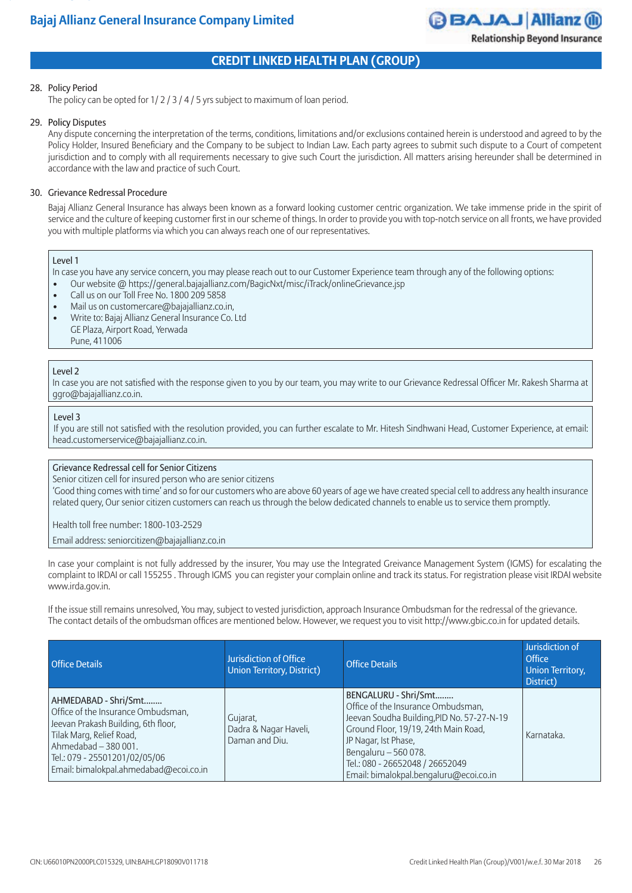### 28. Policy Period

The policy can be opted for 1/ 2 / 3 / 4 / 5 yrs subject to maximum of loan period.

### 29. Policy Disputes

 Any dispute concerning the interpretation of the terms, conditions, limitations and/or exclusions contained herein is understood and agreed to by the Policy Holder, Insured Beneficiary and the Company to be subject to Indian Law. Each party agrees to submit such dispute to a Court of competent jurisdiction and to comply with all requirements necessary to give such Court the jurisdiction. All matters arising hereunder shall be determined in accordance with the law and practice of such Court.

### 30. Grievance Redressal Procedure

Bajaj Allianz General Insurance has always been known as a forward looking customer centric organization. We take immense pride in the spirit of service and the culture of keeping customer first in our scheme of things. In order to provide you with top-notch service on all fronts, we have provided you with multiple platforms via which you can always reach one of our representatives.

#### Level 1

In case you have any service concern, you may please reach out to our Customer Experience team through any of the following options:

- Our website @ https://general.bajajallianz.com/BagicNxt/misc/iTrack/onlineGrievance.jsp
- Call us on our Toll Free No. 1800 209 5858
- Mail us on customercare@bajajallianz.co.in,
- Write to: Bajaj Allianz General Insurance Co. Ltd GE Plaza, Airport Road, Yerwada Pune, 411006

### Level 2

In case you are not satisfied with the response given to you by our team, you may write to our Grievance Redressal Officer Mr. Rakesh Sharma at ggro@bajajallianz.co.in.

### Level 3

If you are still not satisfied with the resolution provided, you can further escalate to Mr. Hitesh Sindhwani Head, Customer Experience, at email: head.customerservice@bajajallianz.co.in.

### Grievance Redressal cell for Senior Citizens

Senior citizen cell for insured person who are senior citizens

'Good thing comes with time' and so for our customers who are above 60 years of age we have created special cell to address any health insurance related query, Our senior citizen customers can reach us through the below dedicated channels to enable us to service them promptly.

Health toll free number: 1800-103-2529

Email address: seniorcitizen@bajajallianz.co.in

 In case your complaint is not fully addressed by the insurer, You may use the Integrated Greivance Management System (IGMS) for escalating the complaint to IRDAI or call 155255 . Through IGMS you can register your complain online and track its status. For registration please visit IRDAI website www.irda.gov.in.

 If the issue still remains unresolved, You may, subject to vested jurisdiction, approach Insurance Ombudsman for the redressal of the grievance. The contact details of the ombudsman offices are mentioned below. However, we request you to visit http://www.gbic.co.in for updated details.

| <b>Office Details</b>                                                                                                                                                                                                            | Jurisdiction of Office<br><b>Union Territory, District)</b> | <b>Office Details</b>                                                                                                                                                                                                                                                         | Jurisdiction of<br><b>Office</b><br><b>Union Territory,</b><br>District) |
|----------------------------------------------------------------------------------------------------------------------------------------------------------------------------------------------------------------------------------|-------------------------------------------------------------|-------------------------------------------------------------------------------------------------------------------------------------------------------------------------------------------------------------------------------------------------------------------------------|--------------------------------------------------------------------------|
| AHMEDABAD - Shri/Smt<br>Office of the Insurance Ombudsman,<br>Jeevan Prakash Building, 6th floor,<br>Tilak Marg, Relief Road,<br>Ahmedabad - 380 001.<br>Tel.: 079 - 25501201/02/05/06<br>Email: bimalokpal.ahmedabad@ecoi.co.in | Gujarat,<br>Dadra & Nagar Haveli,<br>Daman and Diu.         | BENGALURU - Shri/Smt<br>Office of the Insurance Ombudsman,<br>Jeevan Soudha Building, PID No. 57-27-N-19<br>Ground Floor, 19/19, 24th Main Road,<br>JP Nagar, Ist Phase,<br>Bengaluru - 560 078.<br>Tel.: 080 - 26652048 / 26652049<br>Email: bimalokpal.bengaluru@ecoi.co.in | Karnataka.                                                               |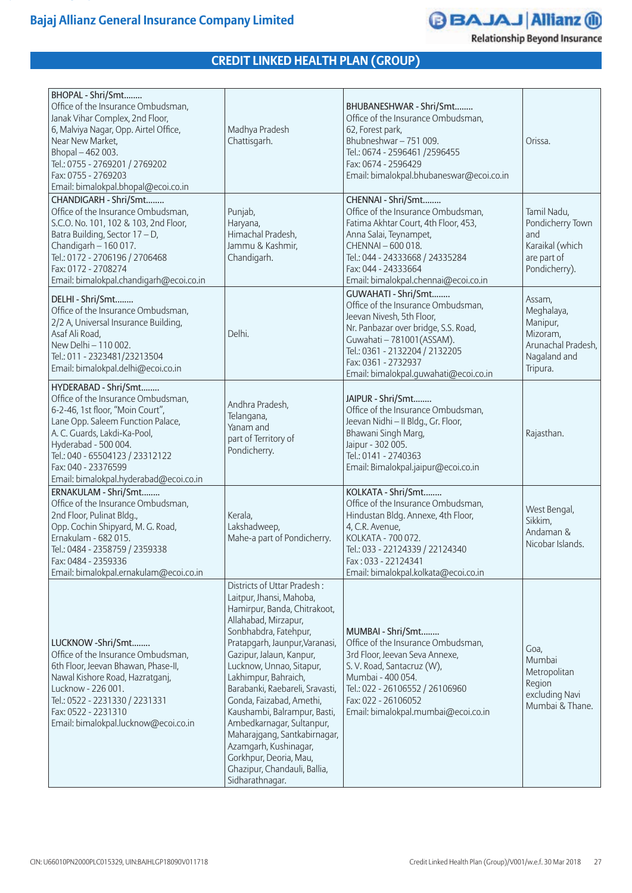

**Relationship Beyond Insurance** 

| BHOPAL - Shri/Smt<br>Office of the Insurance Ombudsman,<br>Janak Vihar Complex, 2nd Floor,<br>6, Malviya Nagar, Opp. Airtel Office,<br>Near New Market,<br>Bhopal-462003.<br>Tel.: 0755 - 2769201 / 2769202<br>Fax: 0755 - 2769203<br>Email: bimalokpal.bhopal@ecoi.co.in                       | Madhya Pradesh<br>Chattisgarh.                                                                                                                                                                                                                                                                                                                                                                                                                                                                                               | BHUBANESHWAR - Shri/Smt<br>Office of the Insurance Ombudsman,<br>62, Forest park,<br>Bhubneshwar - 751 009.<br>Tel.: 0674 - 2596461 /2596455<br>Fax: 0674 - 2596429<br>Email: bimalokpal.bhubaneswar@ecoi.co.in                                                | Orissa.                                                                                        |
|-------------------------------------------------------------------------------------------------------------------------------------------------------------------------------------------------------------------------------------------------------------------------------------------------|------------------------------------------------------------------------------------------------------------------------------------------------------------------------------------------------------------------------------------------------------------------------------------------------------------------------------------------------------------------------------------------------------------------------------------------------------------------------------------------------------------------------------|----------------------------------------------------------------------------------------------------------------------------------------------------------------------------------------------------------------------------------------------------------------|------------------------------------------------------------------------------------------------|
| CHANDIGARH - Shri/Smt<br>Office of the Insurance Ombudsman,<br>S.C.O. No. 101, 102 & 103, 2nd Floor,<br>Batra Building, Sector 17 - D,<br>Chandigarh - 160 017.<br>Tel.: 0172 - 2706196 / 2706468<br>Fax: 0172 - 2708274<br>Email: bimalokpal.chandigarh@ecoi.co.in                             | Punjab,<br>Haryana,<br>Himachal Pradesh,<br>Jammu & Kashmir,<br>Chandigarh.                                                                                                                                                                                                                                                                                                                                                                                                                                                  | CHENNAI - Shri/Smt<br>Office of the Insurance Ombudsman,<br>Fatima Akhtar Court, 4th Floor, 453,<br>Anna Salai, Teynampet,<br>CHENNAI - 600 018.<br>Tel.: 044 - 24333668 / 24335284<br>Fax: 044 - 24333664<br>Email: bimalokpal.chennai@ecoi.co.in             | Tamil Nadu,<br>Pondicherry Town<br>and<br>Karaikal (which<br>are part of<br>Pondicherry).      |
| DELHI - Shri/Smt<br>Office of the Insurance Ombudsman,<br>2/2 A, Universal Insurance Building,<br>Asaf Ali Road,<br>New Delhi - 110 002.<br>Tel.: 011 - 2323481/23213504<br>Email: bimalokpal.delhi@ecoi.co.in                                                                                  | Delhi.                                                                                                                                                                                                                                                                                                                                                                                                                                                                                                                       | GUWAHATI - Shri/Smt<br>Office of the Insurance Ombudsman,<br>Jeevan Nivesh, 5th Floor,<br>Nr. Panbazar over bridge, S.S. Road,<br>Guwahati - 781001 (ASSAM).<br>Tel.: 0361 - 2132204 / 2132205<br>Fax: 0361 - 2732937<br>Email: bimalokpal.guwahati@ecoi.co.in | Assam.<br>Meghalaya,<br>Manipur,<br>Mizoram,<br>Arunachal Pradesh,<br>Nagaland and<br>Tripura. |
| HYDERABAD - Shri/Smt<br>Office of the Insurance Ombudsman,<br>6-2-46, 1st floor, "Moin Court",<br>Lane Opp. Saleem Function Palace,<br>A. C. Guards, Lakdi-Ka-Pool,<br>Hyderabad - 500 004.<br>Tel.: 040 - 65504123 / 23312122<br>Fax: 040 - 23376599<br>Email: bimalokpal.hyderabad@ecoi.co.in | Andhra Pradesh,<br>Telangana,<br>Yanam and<br>part of Territory of<br>Pondicherry.                                                                                                                                                                                                                                                                                                                                                                                                                                           | JAIPUR - Shri/Smt<br>Office of the Insurance Ombudsman,<br>Jeevan Nidhi - II Bldg., Gr. Floor,<br>Bhawani Singh Marg,<br>Jaipur - 302 005.<br>Tel.: 0141 - 2740363<br>Email: Bimalokpal.jaipur@ecoi.co.in                                                      | Rajasthan.                                                                                     |
| ERNAKULAM - Shri/Smt<br>Office of the Insurance Ombudsman,<br>2nd Floor, Pulinat Bldg.,<br>Opp. Cochin Shipyard, M. G. Road,<br>Ernakulam - 682 015.<br>Tel.: 0484 - 2358759 / 2359338<br>Fax: 0484 - 2359336<br>Email: bimalokpal.ernakulam@ecoi.co.in                                         | Kerala,<br>Lakshadweep,<br>Mahe-a part of Pondicherry.                                                                                                                                                                                                                                                                                                                                                                                                                                                                       | KOLKATA - Shri/Smt<br>Office of the Insurance Ombudsman,<br>Hindustan Bldg. Annexe, 4th Floor,<br>4, C.R. Avenue,<br>KOLKATA - 700 072.<br>Tel.: 033 - 22124339 / 22124340<br>Fax: 033 - 22124341<br>Email: bimalokpal.kolkata@ecoi.co.in                      | West Bengal,<br>Sikkim,<br>Andaman &<br>Nicobar Islands.                                       |
| LUCKNOW -Shri/Smt<br>Office of the Insurance Ombudsman,<br>6th Floor, Jeevan Bhawan, Phase-II,<br>Nawal Kishore Road, Hazratganj,<br>Lucknow - 226 001.<br>Tel.: 0522 - 2231330 / 2231331<br>Fax: 0522 - 2231310<br>Email: bimalokpal.lucknow@ecoi.co.in                                        | Districts of Uttar Pradesh:<br>Laitpur, Jhansi, Mahoba,<br>Hamirpur, Banda, Chitrakoot,<br>Allahabad, Mirzapur,<br>Sonbhabdra, Fatehpur,<br>Pratapgarh, Jaunpur, Varanasi,<br>Gazipur, Jalaun, Kanpur,<br>Lucknow, Unnao, Sitapur,<br>Lakhimpur, Bahraich,<br>Barabanki, Raebareli, Sravasti,<br>Gonda, Faizabad, Amethi,<br>Kaushambi, Balrampur, Basti,<br>Ambedkarnagar, Sultanpur,<br>Maharajgang, Santkabirnagar,<br>Azamgarh, Kushinagar,<br>Gorkhpur, Deoria, Mau,<br>Ghazipur, Chandauli, Ballia,<br>Sidharathnagar. | MUMBAI - Shri/Smt<br>Office of the Insurance Ombudsman,<br>3rd Floor, Jeevan Seva Annexe,<br>S. V. Road, Santacruz (W),<br>Mumbai - 400 054.<br>Tel.: 022 - 26106552 / 26106960<br>Fax: 022 - 26106052<br>Email: bimalokpal.mumbai@ecoi.co.in                  | Goa,<br>Mumbai<br>Metropolitan<br>Region<br>excluding Navi<br>Mumbai & Thane.                  |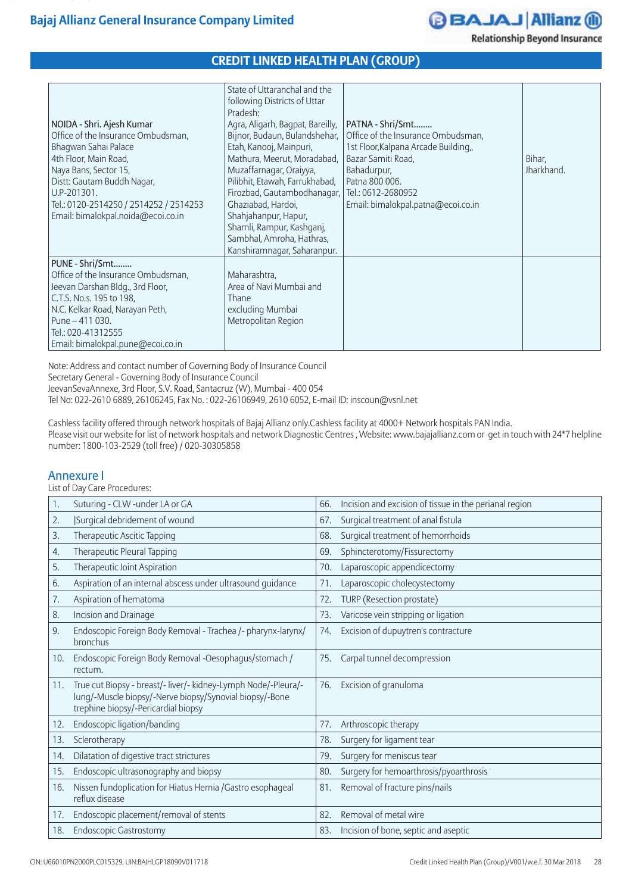

**Relationship Beyond Insurance** 

### **Credit Linked Health Plan (Group)**

| NOIDA - Shri. Ajesh Kumar<br>Office of the Insurance Ombudsman,<br>Bhaqwan Sahai Palace<br>4th Floor, Main Road,<br>Naya Bans, Sector 15,<br>Distt: Gautam Buddh Nagar,<br>U.P-201301.<br>Tel.: 0120-2514250 / 2514252 / 2514253<br>Email: bimalokpal.noida@ecoi.co.in | State of Uttaranchal and the<br>following Districts of Uttar<br>Pradesh:<br>Agra, Aligarh, Bagpat, Bareilly,<br>Bijnor, Budaun, Bulandshehar,<br>Etah, Kanooj, Mainpuri,<br>Mathura, Meerut, Moradabad,<br>Muzaffarnagar, Oraiyya,<br>Pilibhit, Etawah, Farrukhabad,<br>Firozbad, Gautambodhanagar,<br>Ghaziabad, Hardoi,<br>Shahjahanpur, Hapur,<br>Shamli, Rampur, Kashganj,<br>Sambhal, Amroha, Hathras,<br>Kanshiramnagar, Saharanpur. | PATNA - Shri/Smt<br>Office of the Insurance Ombudsman,<br>1st Floor, Kalpana Arcade Building,,<br>Bazar Samiti Road,<br>Bahadurpur,<br>Patna 800 006.<br>Tel.: 0612-2680952<br>Email: bimalokpal.patna@ecoi.co.in | Bihar,<br>Jharkhand. |
|------------------------------------------------------------------------------------------------------------------------------------------------------------------------------------------------------------------------------------------------------------------------|--------------------------------------------------------------------------------------------------------------------------------------------------------------------------------------------------------------------------------------------------------------------------------------------------------------------------------------------------------------------------------------------------------------------------------------------|-------------------------------------------------------------------------------------------------------------------------------------------------------------------------------------------------------------------|----------------------|
| PUNE - Shri/Smt<br>Office of the Insurance Ombudsman,<br>Jeevan Darshan Bldg., 3rd Floor,<br>C.T.S. No.s. 195 to 198,<br>N.C. Kelkar Road, Narayan Peth,<br>Pune - 411 030.<br>Tel.: 020-41312555<br>Email: bimalokpal.pune@ecoi.co.in                                 | Maharashtra,<br>Area of Navi Mumbai and<br>Thane<br>excluding Mumbai<br>Metropolitan Region                                                                                                                                                                                                                                                                                                                                                |                                                                                                                                                                                                                   |                      |

Note: Address and contact number of Governing Body of Insurance Council

Secretary General - Governing Body of Insurance Council

JeevanSevaAnnexe, 3rd Floor, S.V. Road, Santacruz (W), Mumbai - 400 054

Tel No: 022-2610 6889, 26106245, Fax No. : 022-26106949, 2610 6052, E-mail ID: inscoun@vsnl.net

Cashless facility offered through network hospitals of Bajaj Allianz only.Cashless facility at 4000+ Network hospitals PAN India. Please visit our website for list of network hospitals and network Diagnostic Centres , Website: www.bajajallianz.com or get in touch with 24\*7 helpline number: 1800-103-2529 (toll free) / 020-30305858

### Annexure I

List of Day Care Procedures:

| 1.  | Suturing - CLW -under LA or GA                                                                                                                                   | 66. | Incision and excision of tissue in the perianal region |
|-----|------------------------------------------------------------------------------------------------------------------------------------------------------------------|-----|--------------------------------------------------------|
| 2.  | Surgical debridement of wound                                                                                                                                    | 67. | Surgical treatment of anal fistula                     |
| 3.  | Therapeutic Ascitic Tapping                                                                                                                                      | 68. | Surgical treatment of hemorrhoids                      |
| 4.  | Therapeutic Pleural Tapping                                                                                                                                      | 69. | Sphincterotomy/Fissurectomy                            |
| 5.  | Therapeutic Joint Aspiration                                                                                                                                     | 70. | Laparoscopic appendicectomy                            |
| 6.  | Aspiration of an internal abscess under ultrasound guidance                                                                                                      | 71. | Laparoscopic cholecystectomy                           |
| 7.  | Aspiration of hematoma                                                                                                                                           | 72. | TURP (Resection prostate)                              |
| 8.  | Incision and Drainage                                                                                                                                            | 73. | Varicose vein stripping or ligation                    |
| 9.  | Endoscopic Foreign Body Removal - Trachea /- pharynx-larynx/<br>bronchus                                                                                         | 74. | Excision of dupuytren's contracture                    |
| 10. | Endoscopic Foreign Body Removal -Oesophagus/stomach /<br>rectum.                                                                                                 | 75. | Carpal tunnel decompression                            |
| 11. | True cut Biopsy - breast/- liver/- kidney-Lymph Node/-Pleura/-<br>lung/-Muscle biopsy/-Nerve biopsy/Synovial biopsy/-Bone<br>trephine biopsy/-Pericardial biopsy | 76. | Excision of granuloma                                  |
| 12. | Endoscopic ligation/banding                                                                                                                                      | 77. | Arthroscopic therapy                                   |
| 13. | Sclerotherapy                                                                                                                                                    | 78. | Surgery for ligament tear                              |
| 14. | Dilatation of digestive tract strictures                                                                                                                         | 79. | Surgery for meniscus tear                              |
| 15. | Endoscopic ultrasonography and biopsy                                                                                                                            | 80. | Surgery for hemoarthrosis/pyoarthrosis                 |
| 16. | Nissen fundoplication for Hiatus Hernia / Gastro esophageal<br>reflux disease                                                                                    | 81. | Removal of fracture pins/nails                         |
|     | 17. Endoscopic placement/removal of stents                                                                                                                       | 82. | Removal of metal wire                                  |
| 18. | <b>Endoscopic Gastrostomy</b>                                                                                                                                    | 83. | Incision of bone, septic and aseptic                   |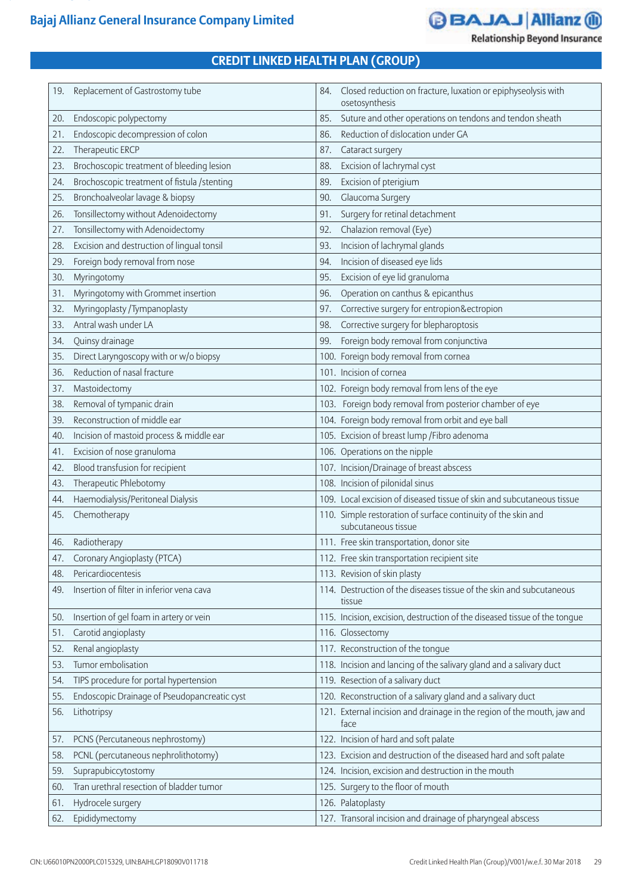**Relationship Beyond Insurance** 

| 19. | Replacement of Gastrostomy tube              | 84. | Closed reduction on fracture, luxation or epiphyseolysis with<br>osetosynthesis      |
|-----|----------------------------------------------|-----|--------------------------------------------------------------------------------------|
| 20. | Endoscopic polypectomy                       | 85. | Suture and other operations on tendons and tendon sheath                             |
| 21. | Endoscopic decompression of colon            | 86. | Reduction of dislocation under GA                                                    |
| 22. | Therapeutic ERCP                             | 87. | Cataract surgery                                                                     |
| 23. | Brochoscopic treatment of bleeding lesion    | 88. | Excision of lachrymal cyst                                                           |
| 24. | Brochoscopic treatment of fistula /stenting  | 89. | Excision of pterigium                                                                |
| 25. | Bronchoalveolar lavage & biopsy              | 90. | Glaucoma Surgery                                                                     |
| 26. | Tonsillectomy without Adenoidectomy          | 91. | Surgery for retinal detachment                                                       |
| 27. | Tonsillectomy with Adenoidectomy             | 92. | Chalazion removal (Eye)                                                              |
| 28. | Excision and destruction of lingual tonsil   | 93. | Incision of lachrymal glands                                                         |
| 29. | Foreign body removal from nose               | 94. | Incision of diseased eye lids                                                        |
| 30. | Myringotomy                                  | 95. | Excision of eye lid granuloma                                                        |
| 31. | Myringotomy with Grommet insertion           | 96. | Operation on canthus & epicanthus                                                    |
| 32. | Myringoplasty /Tympanoplasty                 | 97. | Corrective surgery for entropion&ectropion                                           |
| 33. | Antral wash under LA                         | 98. | Corrective surgery for blepharoptosis                                                |
| 34. | Quinsy drainage                              | 99. | Foreign body removal from conjunctiva                                                |
| 35. | Direct Laryngoscopy with or w/o biopsy       |     | 100. Foreign body removal from cornea                                                |
| 36. | Reduction of nasal fracture                  |     | 101. Incision of cornea                                                              |
| 37. | Mastoidectomy                                |     | 102. Foreign body removal from lens of the eye                                       |
| 38. | Removal of tympanic drain                    |     | 103. Foreign body removal from posterior chamber of eye                              |
| 39. | Reconstruction of middle ear                 |     | 104. Foreign body removal from orbit and eye ball                                    |
| 40. | Incision of mastoid process & middle ear     |     | 105. Excision of breast lump / Fibro adenoma                                         |
| 41. | Excision of nose granuloma                   |     | 106. Operations on the nipple                                                        |
| 42. | Blood transfusion for recipient              |     | 107. Incision/Drainage of breast abscess                                             |
| 43. | Therapeutic Phlebotomy                       |     | 108. Incision of pilonidal sinus                                                     |
| 44. | Haemodialysis/Peritoneal Dialysis            |     | 109. Local excision of diseased tissue of skin and subcutaneous tissue               |
| 45. | Chemotherapy                                 |     | 110. Simple restoration of surface continuity of the skin and<br>subcutaneous tissue |
| 46. | Radiotherapy                                 |     | 111. Free skin transportation, donor site                                            |
| 47. | Coronary Angioplasty (PTCA)                  |     | 112. Free skin transportation recipient site                                         |
| 48. | Pericardiocentesis                           |     | 113. Revision of skin plasty                                                         |
| 49. | Insertion of filter in inferior vena cava    |     | 114. Destruction of the diseases tissue of the skin and subcutaneous<br>tissue       |
| 50. | Insertion of gel foam in artery or vein      |     | 115. Incision, excision, destruction of the diseased tissue of the tongue            |
| 51. | Carotid angioplasty                          |     | 116. Glossectomy                                                                     |
| 52. | Renal angioplasty                            |     | 117. Reconstruction of the tongue                                                    |
| 53. | Tumor embolisation                           |     | 118. Incision and lancing of the salivary gland and a salivary duct                  |
| 54. | TIPS procedure for portal hypertension       |     | 119. Resection of a salivary duct                                                    |
| 55. | Endoscopic Drainage of Pseudopancreatic cyst |     | 120. Reconstruction of a salivary gland and a salivary duct                          |
| 56. | Lithotripsy                                  |     | 121. External incision and drainage in the region of the mouth, jaw and<br>face      |
| 57. | PCNS (Percutaneous nephrostomy)              |     | 122. Incision of hard and soft palate                                                |
| 58. | PCNL (percutaneous nephrolithotomy)          |     | 123. Excision and destruction of the diseased hard and soft palate                   |
| 59. | Suprapubiccytostomy                          |     | 124. Incision, excision and destruction in the mouth                                 |
| 60. | Tran urethral resection of bladder tumor     |     | 125. Surgery to the floor of mouth                                                   |
| 61. | Hydrocele surgery                            |     | 126. Palatoplasty                                                                    |
| 62. | Epididymectomy                               |     | 127. Transoral incision and drainage of pharyngeal abscess                           |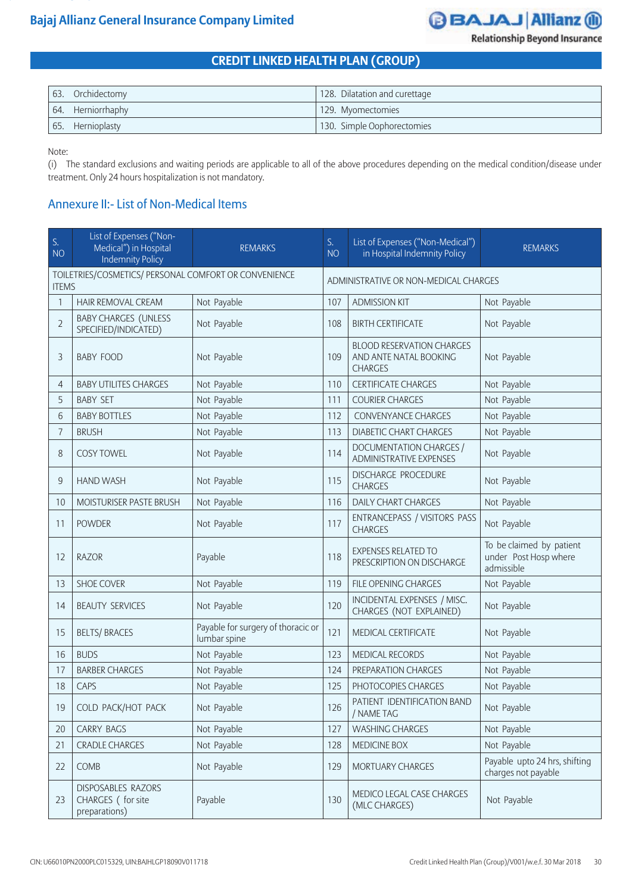**Relationship Beyond Insurance** 

### **Credit Linked Health Plan (Group)**

| 63. | Orchidectomy      | 128. Dilatation and curettage |
|-----|-------------------|-------------------------------|
|     | 64. Herniorrhaphy | 129. Myomectomies             |
|     | 65. Hernioplasty  | 130. Simple Oophorectomies    |

Note:

(i) The standard exclusions and waiting periods are applicable to all of the above procedures depending on the medical condition/disease under treatment. Only 24 hours hospitalization is not mandatory.

### Annexure II:- List of Non-Medical Items

| $\mathsf{S},$<br><b>NO</b> | List of Expenses ("Non-<br>Medical") in Hospital<br><b>Indemnity Policy</b> | <b>REMARKS</b>                                     | S.<br><b>NO</b>                       | List of Expenses ("Non-Medical")<br>in Hospital Indemnity Policy             | <b>REMARKS</b>                                                  |  |
|----------------------------|-----------------------------------------------------------------------------|----------------------------------------------------|---------------------------------------|------------------------------------------------------------------------------|-----------------------------------------------------------------|--|
|                            | TOILETRIES/COSMETICS/ PERSONAL COMFORT OR CONVENIENCE<br><b>ITEMS</b>       |                                                    | ADMINISTRATIVE OR NON-MEDICAL CHARGES |                                                                              |                                                                 |  |
|                            | HAIR REMOVAL CREAM                                                          | Not Payable                                        | 107                                   | <b>ADMISSION KIT</b>                                                         | Not Payable                                                     |  |
| $\overline{2}$             | <b>BABY CHARGES (UNLESS</b><br>SPECIFIED/INDICATED)                         | Not Payable                                        | 108                                   | <b>BIRTH CERTIFICATE</b>                                                     | Not Payable                                                     |  |
| 3                          | <b>BABY FOOD</b>                                                            | Not Payable                                        | 109                                   | <b>BLOOD RESERVATION CHARGES</b><br>AND ANTE NATAL BOOKING<br><b>CHARGES</b> | Not Payable                                                     |  |
| 4                          | <b>BABY UTILITES CHARGES</b>                                                | Not Payable                                        | 110                                   | <b>CERTIFICATE CHARGES</b>                                                   | Not Payable                                                     |  |
| 5                          | <b>BABY SET</b>                                                             | Not Payable                                        | 111                                   | <b>COURIER CHARGES</b>                                                       | Not Payable                                                     |  |
| 6                          | <b>BABY BOTTLES</b>                                                         | Not Payable                                        | 112                                   | <b>CONVENYANCE CHARGES</b>                                                   | Not Payable                                                     |  |
| 7                          | <b>BRUSH</b>                                                                | Not Payable                                        | 113                                   | <b>DIABETIC CHART CHARGES</b>                                                | Not Payable                                                     |  |
| 8                          | <b>COSY TOWEL</b>                                                           | Not Payable                                        | 114                                   | DOCUMENTATION CHARGES /<br><b>ADMINISTRATIVE EXPENSES</b>                    | Not Payable                                                     |  |
| 9                          | <b>HAND WASH</b>                                                            | Not Payable                                        | 115                                   | <b>DISCHARGE PROCEDURE</b><br><b>CHARGES</b>                                 | Not Payable                                                     |  |
| 10                         | MOISTURISER PASTE BRUSH                                                     | Not Payable                                        | 116                                   | <b>DAILY CHART CHARGES</b>                                                   | Not Payable                                                     |  |
| 11                         | <b>POWDER</b>                                                               | Not Payable                                        | 117                                   | ENTRANCEPASS / VISITORS PASS<br><b>CHARGES</b>                               | Not Payable                                                     |  |
| 12                         | <b>RAZOR</b>                                                                | Payable                                            | 118                                   | <b>EXPENSES RELATED TO</b><br>PRESCRIPTION ON DISCHARGE                      | To be claimed by patient<br>under Post Hosp where<br>admissible |  |
| 13                         | SHOE COVER                                                                  | Not Payable                                        | 119                                   | FILE OPENING CHARGES                                                         | Not Payable                                                     |  |
| 14                         | <b>BEAUTY SERVICES</b>                                                      | Not Payable                                        | 120                                   | INCIDENTAL EXPENSES / MISC.<br>CHARGES (NOT EXPLAINED)                       | Not Payable                                                     |  |
| 15                         | <b>BELTS/BRACES</b>                                                         | Payable for surgery of thoracic or<br>lumbar spine | 121                                   | MEDICAL CERTIFICATE                                                          | Not Payable                                                     |  |
| 16                         | <b>BUDS</b>                                                                 | Not Payable                                        | 123                                   | MEDICAL RECORDS                                                              | Not Payable                                                     |  |
| 17                         | <b>BARBER CHARGES</b>                                                       | Not Payable                                        | 124                                   | PREPARATION CHARGES                                                          | Not Payable                                                     |  |
| 18                         | CAPS                                                                        | Not Payable                                        | 125                                   | PHOTOCOPIES CHARGES                                                          | Not Payable                                                     |  |
| 19                         | COLD PACK/HOT PACK                                                          | Not Payable                                        | 126                                   | PATIENT IDENTIFICATION BAND<br>/ NAME TAG                                    | Not Payable                                                     |  |
| 20                         | CARRY BAGS                                                                  | Not Payable                                        | 127                                   | <b>WASHING CHARGES</b>                                                       | Not Payable                                                     |  |
| 21                         | <b>CRADLE CHARGES</b>                                                       | Not Payable                                        | 128                                   | MEDICINE BOX                                                                 | Not Payable                                                     |  |
| 22                         | COMB                                                                        | Not Payable                                        | 129                                   | MORTUARY CHARGES                                                             | Payable upto 24 hrs, shifting<br>charges not payable            |  |
| 23                         | DISPOSABLES RAZORS<br>CHARGES (for site<br>preparations)                    | Payable                                            | 130                                   | MEDICO LEGAL CASE CHARGES<br>(MLC CHARGES)                                   | Not Payable                                                     |  |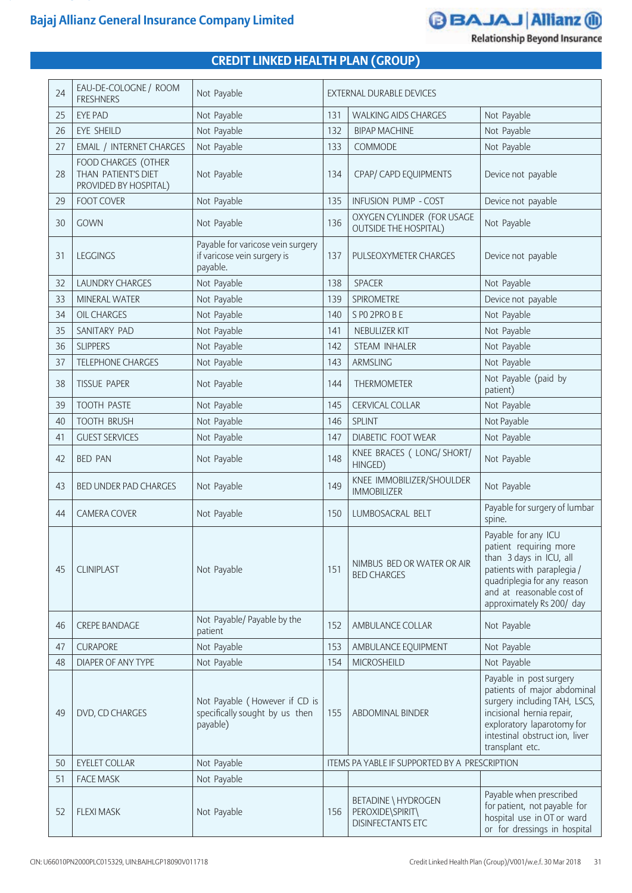Relationship Beyond Insurance

| 24 | EAU-DE-COLOGNE / ROOM<br><b>FRESHNERS</b>                           | Not Payable                                                                  | <b>EXTERNAL DURABLE DEVICES</b> |                                                                            |                                                                                                                                                                                                        |
|----|---------------------------------------------------------------------|------------------------------------------------------------------------------|---------------------------------|----------------------------------------------------------------------------|--------------------------------------------------------------------------------------------------------------------------------------------------------------------------------------------------------|
| 25 | <b>EYE PAD</b>                                                      | Not Payable                                                                  | 131                             | <b>WALKING AIDS CHARGES</b>                                                | Not Payable                                                                                                                                                                                            |
| 26 | EYE SHEILD                                                          | Not Payable                                                                  | 132                             | <b>BIPAP MACHINE</b>                                                       | Not Payable                                                                                                                                                                                            |
| 27 | <b>EMAIL / INTERNET CHARGES</b>                                     | Not Payable                                                                  | 133                             | COMMODE                                                                    | Not Payable                                                                                                                                                                                            |
| 28 | FOOD CHARGES (OTHER<br>THAN PATIENT'S DIET<br>PROVIDED BY HOSPITAL) | Not Payable                                                                  | 134                             | CPAP/ CAPD EQUIPMENTS                                                      | Device not payable                                                                                                                                                                                     |
| 29 | <b>FOOT COVER</b>                                                   | Not Payable                                                                  | 135                             | <b>INFUSION PUMP - COST</b>                                                | Device not payable                                                                                                                                                                                     |
| 30 | <b>GOWN</b>                                                         | Not Payable                                                                  | 136                             | OXYGEN CYLINDER (FOR USAGE<br><b>OUTSIDE THE HOSPITAL)</b>                 | Not Payable                                                                                                                                                                                            |
| 31 | <b>LEGGINGS</b>                                                     | Payable for varicose vein surgery<br>if varicose vein surgery is<br>payable. | 137                             | PULSEOXYMETER CHARGES                                                      | Device not payable                                                                                                                                                                                     |
| 32 | <b>LAUNDRY CHARGES</b>                                              | Not Payable                                                                  | 138                             | <b>SPACER</b>                                                              | Not Payable                                                                                                                                                                                            |
| 33 | <b>MINERAL WATER</b>                                                | Not Payable                                                                  | 139                             | SPIROMETRE                                                                 | Device not payable                                                                                                                                                                                     |
| 34 | <b>OIL CHARGES</b>                                                  | Not Payable                                                                  | 140                             | S PO 2PRO B E                                                              | Not Payable                                                                                                                                                                                            |
| 35 | SANITARY PAD                                                        | Not Payable                                                                  | 141                             | NEBULIZER KIT                                                              | Not Payable                                                                                                                                                                                            |
| 36 | <b>SLIPPERS</b>                                                     | Not Payable                                                                  | 142                             | STEAM INHALER                                                              | Not Payable                                                                                                                                                                                            |
| 37 | TELEPHONE CHARGES                                                   | Not Payable                                                                  | 143                             | ARMSLING                                                                   | Not Payable                                                                                                                                                                                            |
| 38 | <b>TISSUE PAPER</b>                                                 | Not Payable                                                                  | 144                             | <b>THERMOMETER</b>                                                         | Not Payable (paid by<br>patient)                                                                                                                                                                       |
| 39 | TOOTH PASTE                                                         | Not Payable                                                                  | 145                             | <b>CERVICAL COLLAR</b>                                                     | Not Payable                                                                                                                                                                                            |
| 40 | <b>TOOTH BRUSH</b>                                                  | Not Payable                                                                  | 146                             | <b>SPLINT</b>                                                              | Not Payable                                                                                                                                                                                            |
| 41 | <b>GUEST SERVICES</b>                                               | Not Payable                                                                  | 147                             | DIABETIC FOOT WEAR                                                         | Not Payable                                                                                                                                                                                            |
| 42 | <b>BED PAN</b>                                                      | Not Payable                                                                  | 148                             | KNEE BRACES ( LONG/ SHORT/<br>HINGED)                                      | Not Payable                                                                                                                                                                                            |
| 43 | BED UNDER PAD CHARGES                                               | Not Payable                                                                  | 149                             | KNEE IMMOBILIZER/SHOULDER<br><b>IMMOBILIZER</b>                            | Not Payable                                                                                                                                                                                            |
| 44 | <b>CAMERA COVER</b>                                                 | Not Payable                                                                  | 150                             | LUMBOSACRAL BELT                                                           | Payable for surgery of lumbar<br>spine.                                                                                                                                                                |
| 45 | <b>CLINIPLAST</b>                                                   | Not Payable                                                                  | 151                             | NIMBUS BED OR WATER OR AIR<br><b>BED CHARGES</b>                           | Payable for any ICU<br>patient requiring more<br>than 3 days in ICU, all<br>patients with paraplegia /<br>quadriplegia for any reason<br>and at reasonable cost of<br>approximately Rs 200/ day        |
| 46 | <b>CREPE BANDAGE</b>                                                | Not Payable/ Payable by the<br>patient                                       | 152                             | AMBULANCE COLLAR                                                           | Not Payable                                                                                                                                                                                            |
| 47 | <b>CURAPORE</b>                                                     | Not Payable                                                                  | 153                             | AMBULANCE EQUIPMENT                                                        | Not Payable                                                                                                                                                                                            |
| 48 | DIAPER OF ANY TYPE                                                  | Not Payable                                                                  | 154                             | <b>MICROSHEILD</b>                                                         | Not Payable                                                                                                                                                                                            |
| 49 | DVD, CD CHARGES                                                     | Not Payable (However if CD is<br>specifically sought by us then<br>payable)  | 155                             | ABDOMINAL BINDER                                                           | Payable in post surgery<br>patients of major abdominal<br>surgery including TAH, LSCS,<br>incisional hernia repair,<br>exploratory laparotomy for<br>intestinal obstruct ion, liver<br>transplant etc. |
| 50 | <b>EYELET COLLAR</b>                                                | Not Payable                                                                  |                                 | ITEMS PA YABLE IF SUPPORTED BY A PRESCRIPTION                              |                                                                                                                                                                                                        |
| 51 | <b>FACE MASK</b>                                                    | Not Payable                                                                  |                                 |                                                                            |                                                                                                                                                                                                        |
| 52 | <b>FLEXI MASK</b>                                                   | Not Payable                                                                  | 156                             | <b>BETADINE \ HYDROGEN</b><br>PEROXIDE\SPIRIT\<br><b>DISINFECTANTS ETC</b> | Payable when prescribed<br>for patient, not payable for<br>hospital use in OT or ward<br>or for dressings in hospital                                                                                  |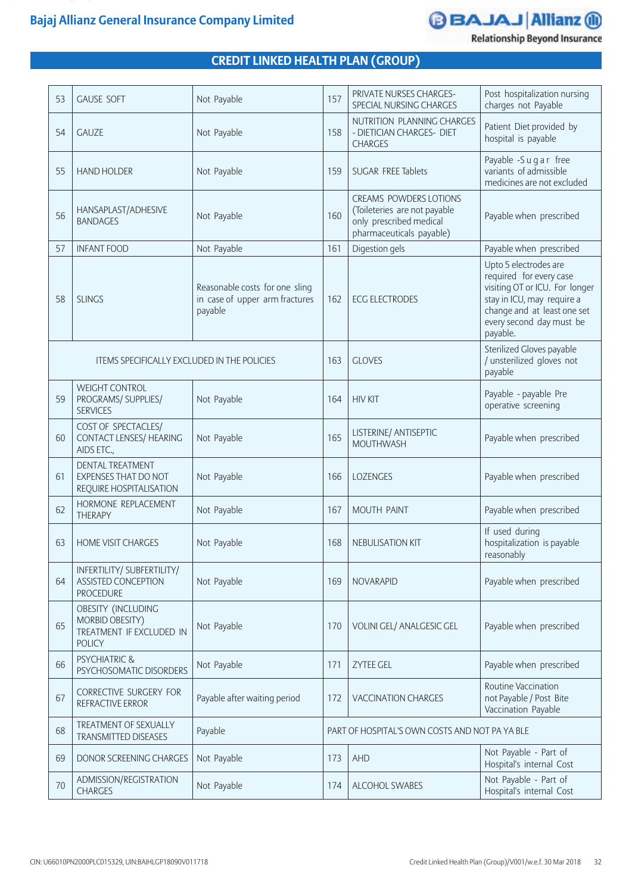**Relationship Beyond Insurance** 

| 53 | <b>GAUSE SOFT</b>                                                                  | Not Payable                                                                 | 157 | <b>PRIVATE NURSES CHARGES-</b><br>SPECIAL NURSING CHARGES                                                            | Post hospitalization nursing<br>charges not Payable                                                                                                                                     |
|----|------------------------------------------------------------------------------------|-----------------------------------------------------------------------------|-----|----------------------------------------------------------------------------------------------------------------------|-----------------------------------------------------------------------------------------------------------------------------------------------------------------------------------------|
| 54 | <b>GAUZE</b>                                                                       | Not Payable                                                                 | 158 | NUTRITION PLANNING CHARGES<br>- DIETICIAN CHARGES- DIET<br><b>CHARGES</b>                                            | Patient Diet provided by<br>hospital is payable                                                                                                                                         |
| 55 | <b>HAND HOLDER</b>                                                                 | Not Payable                                                                 | 159 | <b>SUGAR FREE Tablets</b>                                                                                            | Payable -Sugar free<br>variants of admissible<br>medicines are not excluded                                                                                                             |
| 56 | HANSAPLAST/ADHESIVE<br><b>BANDAGES</b>                                             | Not Payable                                                                 | 160 | <b>CREAMS POWDERS LOTIONS</b><br>(Toileteries are not payable<br>only prescribed medical<br>pharmaceuticals payable) | Payable when prescribed                                                                                                                                                                 |
| 57 | <b>INFANT FOOD</b>                                                                 | Not Payable                                                                 | 161 | Digestion gels                                                                                                       | Payable when prescribed                                                                                                                                                                 |
| 58 | <b>SLINGS</b>                                                                      | Reasonable costs for one sling<br>in case of upper arm fractures<br>payable | 162 | <b>ECG ELECTRODES</b>                                                                                                | Upto 5 electrodes are<br>required for every case<br>visiting OT or ICU. For longer<br>stay in ICU, may require a<br>change and at least one set<br>every second day must be<br>payable. |
|    | <b>ITEMS SPECIFICALLY EXCLUDED IN THE POLICIES</b>                                 |                                                                             | 163 | <b>GLOVES</b>                                                                                                        | Sterilized Gloves payable<br>/ unsterilized gloves not<br>payable                                                                                                                       |
| 59 | <b>WEIGHT CONTROL</b><br>PROGRAMS/SUPPLIES/<br><b>SERVICES</b>                     | Not Payable                                                                 | 164 | <b>HIV KIT</b>                                                                                                       | Payable - payable Pre<br>operative screening                                                                                                                                            |
| 60 | COST OF SPECTACLES/<br>CONTACT LENSES/ HEARING<br>AIDS ETC.,                       | Not Payable                                                                 | 165 | LISTERINE/ ANTISEPTIC<br><b>MOUTHWASH</b>                                                                            | Payable when prescribed                                                                                                                                                                 |
| 61 | <b>DENTAL TREATMENT</b><br><b>EXPENSES THAT DO NOT</b><br>REQUIRE HOSPITALISATION  | Not Payable                                                                 | 166 | <b>LOZENGES</b>                                                                                                      | Payable when prescribed                                                                                                                                                                 |
| 62 | HORMONE REPLACEMENT<br><b>THERAPY</b>                                              | Not Payable                                                                 | 167 | MOUTH PAINT                                                                                                          | Payable when prescribed                                                                                                                                                                 |
| 63 | <b>HOME VISIT CHARGES</b>                                                          | Not Payable                                                                 | 168 | NEBULISATION KIT                                                                                                     | If used during<br>hospitalization is payable<br>reasonably                                                                                                                              |
| 64 | INFERTILITY/ SUBFERTILITY/<br><b>ASSISTED CONCEPTION</b><br><b>PROCEDURE</b>       | Not Payable                                                                 | 169 | <b>NOVARAPID</b>                                                                                                     | Payable when prescribed                                                                                                                                                                 |
| 65 | OBESITY (INCLUDING<br>MORBID OBESITY)<br>TREATMENT IF EXCLUDED IN<br><b>POLICY</b> | Not Payable                                                                 | 170 | <b>VOLINI GEL/ ANALGESIC GEL</b>                                                                                     | Payable when prescribed                                                                                                                                                                 |
| 66 | <b>PSYCHIATRIC &amp;</b><br>PSYCHOSOMATIC DISORDERS                                | Not Payable                                                                 | 171 | <b>ZYTEE GEL</b>                                                                                                     | Payable when prescribed                                                                                                                                                                 |
| 67 | CORRECTIVE SURGERY FOR<br>REFRACTIVE ERROR                                         | Payable after waiting period                                                | 172 | <b>VACCINATION CHARGES</b>                                                                                           | Routine Vaccination<br>not Payable / Post Bite<br>Vaccination Payable                                                                                                                   |
| 68 | TREATMENT OF SEXUALLY<br>TRANSMITTED DISEASES                                      | Payable                                                                     |     | PART OF HOSPITAL'S OWN COSTS AND NOT PA YA BLE                                                                       |                                                                                                                                                                                         |
| 69 | DONOR SCREENING CHARGES                                                            | Not Payable                                                                 | 173 | <b>AHD</b>                                                                                                           | Not Payable - Part of<br>Hospital's internal Cost                                                                                                                                       |
| 70 | ADMISSION/REGISTRATION<br><b>CHARGES</b>                                           | Not Payable                                                                 | 174 | ALCOHOL SWABES                                                                                                       | Not Payable - Part of<br>Hospital's internal Cost                                                                                                                                       |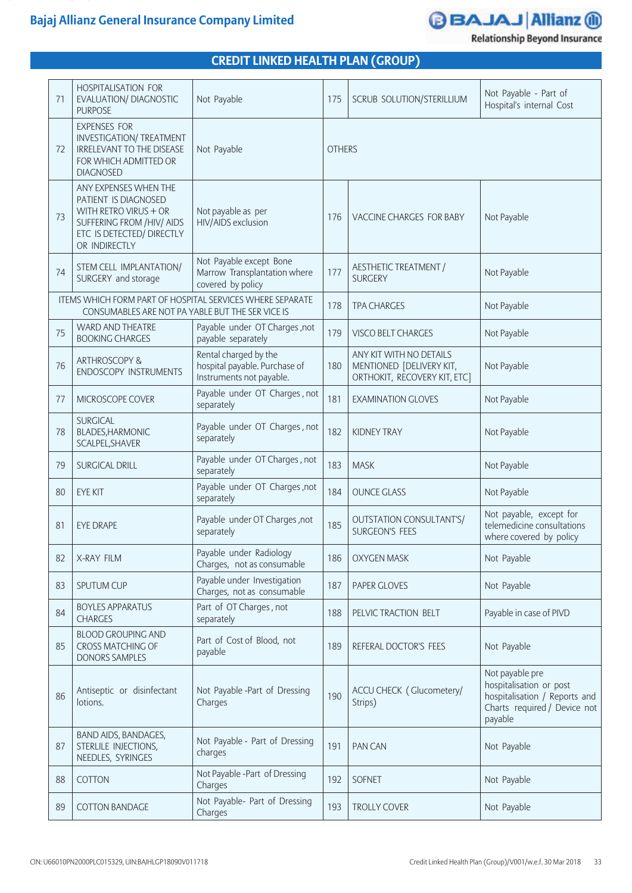**Relationship Beyond Insurance** 

| 71 | <b>HOSPITALISATION FOR</b><br><b>EVALUATION/ DIAGNOSTIC</b><br><b>PURPOSE</b>                                                                      | Not Payable                                                                        | 175           | SCRUB SOLUTION/STERILLIUM                                                           | Not Payable - Part of<br>Hospital's internal Cost                                                                      |
|----|----------------------------------------------------------------------------------------------------------------------------------------------------|------------------------------------------------------------------------------------|---------------|-------------------------------------------------------------------------------------|------------------------------------------------------------------------------------------------------------------------|
| 72 | <b>EXPENSES FOR</b><br><b>INVESTIGATION/ TREATMENT</b><br><b>IRRELEVANT TO THE DISEASE</b><br>FOR WHICH ADMITTED OR<br><b>DIAGNOSED</b>            | Not Payable                                                                        | <b>OTHERS</b> |                                                                                     |                                                                                                                        |
| 73 | ANY EXPENSES WHEN THE<br>PATIENT IS DIAGNOSED<br>WITH RETRO VIRUS + OR<br>SUFFERING FROM / HIV/ AIDS<br>ETC IS DETECTED/ DIRECTLY<br>OR INDIRECTLY | Not payable as per<br>HIV/AIDS exclusion                                           | 176           | VACCINE CHARGES FOR BABY                                                            | Not Payable                                                                                                            |
| 74 | STEM CELL IMPLANTATION/<br>SURGERY and storage                                                                                                     | Not Payable except Bone<br>Marrow Transplantation where<br>covered by policy       | 177           | AESTHETIC TREATMENT /<br><b>SURGERY</b>                                             | Not Payable                                                                                                            |
|    | CONSUMABLES ARE NOT PA YABLE BUT THE SER VICE IS                                                                                                   | ITEMS WHICH FORM PART OF HOSPITAL SERVICES WHERE SEPARATE                          | 178           | <b>TPA CHARGES</b>                                                                  | Not Payable                                                                                                            |
| 75 | <b>WARD AND THEATRE</b><br><b>BOOKING CHARGES</b>                                                                                                  | Payable under OT Charges, not<br>payable separately                                | 179           | VISCO BELT CHARGES                                                                  | Not Payable                                                                                                            |
| 76 | <b>ARTHROSCOPY &amp;</b><br>ENDOSCOPY INSTRUMENTS                                                                                                  | Rental charged by the<br>hospital payable. Purchase of<br>Instruments not payable. | 180           | ANY KIT WITH NO DETAILS<br>MENTIONED [DELIVERY KIT,<br>ORTHOKIT, RECOVERY KIT, ETC] | Not Payable                                                                                                            |
| 77 | MICROSCOPE COVER                                                                                                                                   | Payable under OT Charges, not<br>separately                                        | 181           | <b>EXAMINATION GLOVES</b>                                                           | Not Payable                                                                                                            |
| 78 | <b>SURGICAL</b><br><b>BLADES, HARMONIC</b><br>SCALPEL, SHAVER                                                                                      | Payable under OT Charges, not<br>separately                                        | 182           | <b>KIDNEY TRAY</b>                                                                  | Not Payable                                                                                                            |
| 79 | <b>SURGICAL DRILL</b>                                                                                                                              | Payable under OT Charges, not<br>separately                                        | 183           | <b>MASK</b>                                                                         | Not Payable                                                                                                            |
| 80 | <b>EYE KIT</b>                                                                                                                                     | Payable under OT Charges, not<br>separately                                        | 184           | <b>OUNCE GLASS</b>                                                                  | Not Payable                                                                                                            |
| 81 | <b>EYE DRAPE</b>                                                                                                                                   | Payable under OT Charges, not<br>separately                                        | 185           | <b>OUTSTATION CONSULTANT'S/</b><br><b>SURGEON'S FEES</b>                            | Not payable, except for<br>telemedicine consultations<br>where covered by policy                                       |
| 82 | X-RAY FILM                                                                                                                                         | Payable under Radiology<br>Charges, not as consumable                              | 186           | <b>OXYGEN MASK</b>                                                                  | Not Payable                                                                                                            |
| 83 | <b>SPUTUM CUP</b>                                                                                                                                  | Payable under Investigation<br>Charges, not as consumable                          | 187           | PAPER GLOVES                                                                        | Not Payable                                                                                                            |
| 84 | <b>BOYLES APPARATUS</b><br><b>CHARGES</b>                                                                                                          | Part of OT Charges, not<br>separately                                              | 188           | PELVIC TRACTION BELT                                                                | Payable in case of PIVD                                                                                                |
| 85 | <b>BLOOD GROUPING AND</b><br><b>CROSS MATCHING OF</b><br><b>DONORS SAMPLES</b>                                                                     | Part of Cost of Blood, not<br>payable                                              | 189           | REFERAL DOCTOR'S FEES                                                               | Not Payable                                                                                                            |
| 86 | Antiseptic or disinfectant<br>lotions.                                                                                                             | Not Payable-Part of Dressing<br>Charges                                            | 190           | ACCU CHECK (Glucometery/<br>Strips)                                                 | Not payable pre<br>hospitalisation or post<br>hospitalisation / Reports and<br>Charts required / Device not<br>payable |
| 87 | BAND AIDS, BANDAGES,<br>STERLILE INJECTIONS,<br>NEEDLES, SYRINGES                                                                                  | Not Payable - Part of Dressing<br>charges                                          | 191           | <b>PAN CAN</b>                                                                      | Not Payable                                                                                                            |
| 88 | COTTON                                                                                                                                             | Not Payable -Part of Dressing<br>Charges                                           | 192           | <b>SOFNET</b>                                                                       | Not Payable                                                                                                            |
| 89 | <b>COTTON BANDAGE</b>                                                                                                                              | Not Payable- Part of Dressing<br>Charges                                           | 193           | <b>TROLLY COVER</b>                                                                 | Not Payable                                                                                                            |